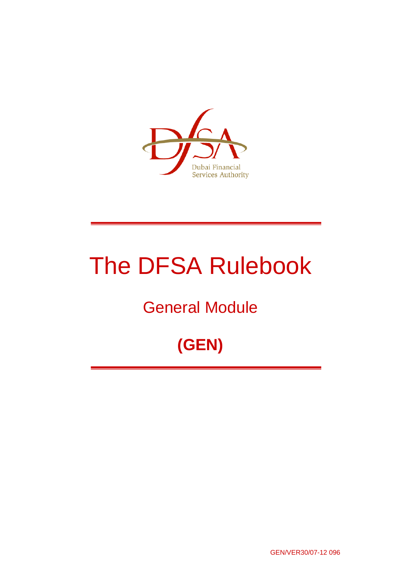

# The DFSA Rulebook

## General Module

## **(GEN)**

GEN/VER30/07-12 096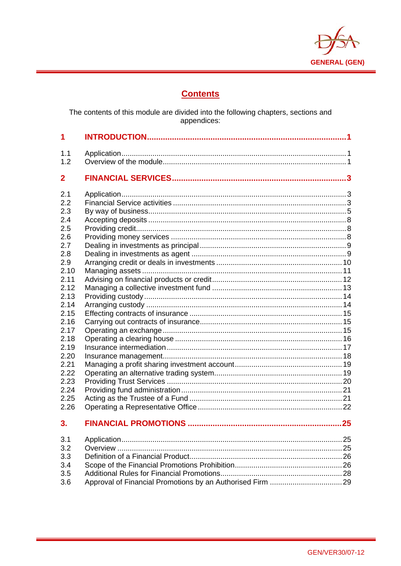

## **Contents**

The contents of this module are divided into the following chapters, sections and<br>appendices:

| 1.1          |  |
|--------------|--|
| 1.2          |  |
| $\mathbf{2}$ |  |
| 2.1          |  |
| 2.2          |  |
| 2.3          |  |
| 2.4          |  |
| 2.5          |  |
| 2.6          |  |
| 2.7          |  |
| 2.8          |  |
| 2.9          |  |
| 2.10         |  |
| 2.11         |  |
| 2.12<br>2.13 |  |
| 2.14         |  |
| 2.15         |  |
| 2.16         |  |
| 2.17         |  |
| 2.18         |  |
| 2.19         |  |
| 2.20         |  |
| 2.21         |  |
| 2.22         |  |
| 2.23         |  |
| 2.24         |  |
| 2.25         |  |
| 2.26         |  |
| 3.           |  |
| 3.1          |  |
| 3.2          |  |
| 3.3          |  |
| 3.4          |  |
| 3.5          |  |
| 3.6          |  |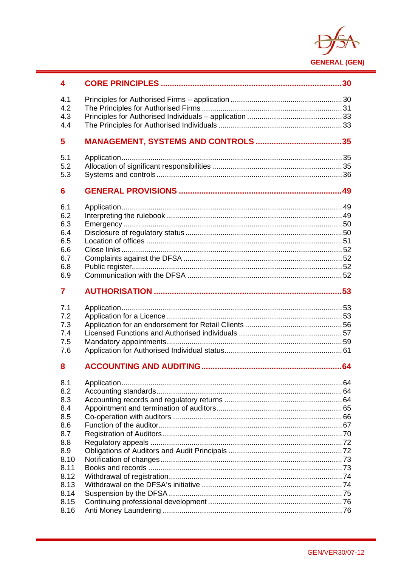

| 4            |  |
|--------------|--|
| 4.1          |  |
| 4.2          |  |
| 4.3          |  |
| 4.4          |  |
| 5            |  |
|              |  |
| 5.1<br>5.2   |  |
| 5.3          |  |
|              |  |
| 6            |  |
| 6.1          |  |
| 6.2          |  |
| 6.3          |  |
| 6.4          |  |
| 6.5          |  |
| 6.6          |  |
| 6.7          |  |
| 6.8          |  |
| 6.9          |  |
| 7            |  |
|              |  |
|              |  |
| 7.1          |  |
| 7.2          |  |
| 7.3          |  |
| 7.4          |  |
| 7.5          |  |
| 7.6          |  |
| 8            |  |
| 8.1          |  |
| 8.2          |  |
| 8.3          |  |
| 8.4          |  |
| 8.5          |  |
| 8.6          |  |
| 8.7          |  |
| 8.8          |  |
| 8.9          |  |
| 8.10         |  |
| 8.11         |  |
| 8.12         |  |
| 8.13         |  |
| 8.14         |  |
| 8.15<br>8.16 |  |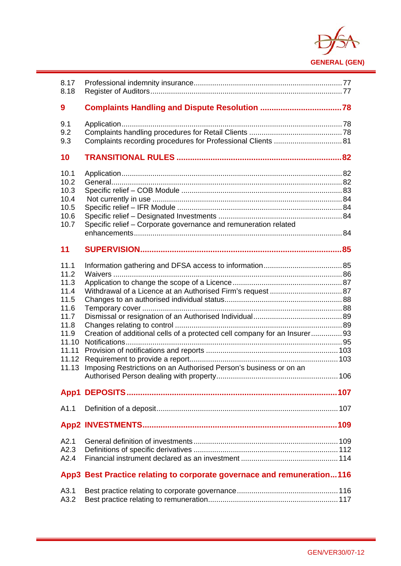

| 8.17<br>8.18                                                                                             |                                                                                                                                                |  |
|----------------------------------------------------------------------------------------------------------|------------------------------------------------------------------------------------------------------------------------------------------------|--|
| 9                                                                                                        |                                                                                                                                                |  |
| 9.1<br>9.2<br>9.3                                                                                        |                                                                                                                                                |  |
| 10                                                                                                       |                                                                                                                                                |  |
| 10.1<br>10.2<br>10.3<br>10.4<br>10.5<br>10.6<br>10.7                                                     | Specific relief - Corporate governance and remuneration related                                                                                |  |
| 11                                                                                                       |                                                                                                                                                |  |
| 11.1<br>11.2<br>11.3<br>11.4<br>11.5<br>11.6<br>11.7<br>11.8<br>11.9<br>11.10<br>11.11<br>11.12<br>11.13 | Creation of additional cells of a protected cell company for an Insurer93<br>Imposing Restrictions on an Authorised Person's business or on an |  |
|                                                                                                          |                                                                                                                                                |  |
| A1.1                                                                                                     |                                                                                                                                                |  |
|                                                                                                          |                                                                                                                                                |  |
| A2.1<br>A2.3<br>A2.4                                                                                     |                                                                                                                                                |  |
|                                                                                                          | App3 Best Practice relating to corporate governace and remuneration116                                                                         |  |
| A3.1<br>A3.2                                                                                             |                                                                                                                                                |  |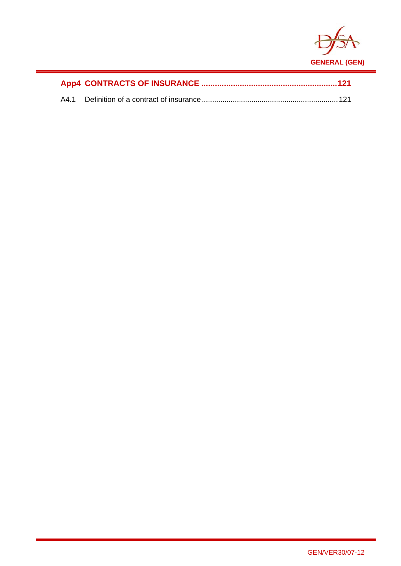

i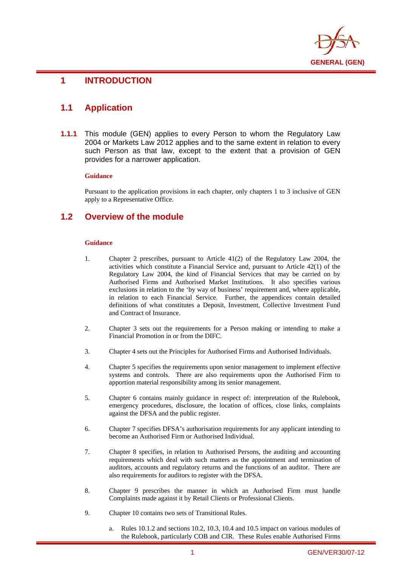

#### i **1 INTRODUCTION**

## **1.1 Application**

**1.1.1** This module (GEN) applies to every Person to whom the Regulatory Law 2004 or Markets Law 2012 applies and to the same extent in relation to every such Person as that law, except to the extent that a provision of GEN provides for a narrower application.

#### **Guidance**

Pursuant to the application provisions in each chapter, only chapters 1 to 3 inclusive of GEN apply to a Representative Office.

## **1.2 Overview of the module**

#### **Guidance**

- 1. Chapter 2 prescribes, pursuant to Article 41(2) of the Regulatory Law 2004, the activities which constitute a Financial Service and, pursuant to Article 42(1) of the Regulatory Law 2004, the kind of Financial Services that may be carried on by Authorised Firms and Authorised Market Institutions. It also specifies various exclusions in relation to the 'by way of business' requirement and, where applicable, in relation to each Financial Service. Further, the appendices contain detailed definitions of what constitutes a Deposit, Investment, Collective Investment Fund and Contract of Insurance.
- 2. Chapter 3 sets out the requirements for a Person making or intending to make a Financial Promotion in or from the DIFC.
- 3. Chapter 4 sets out the Principles for Authorised Firms and Authorised Individuals.
- 4. Chapter 5 specifies the requirements upon senior management to implement effective systems and controls. There are also requirements upon the Authorised Firm to apportion material responsibility among its senior management.
- 5. Chapter 6 contains mainly guidance in respect of: interpretation of the Rulebook, emergency procedures, disclosure, the location of offices, close links, complaints against the DFSA and the public register.
- 6. Chapter 7 specifies DFSA's authorisation requirements for any applicant intending to become an Authorised Firm or Authorised Individual.
- 7. Chapter 8 specifies, in relation to Authorised Persons, the auditing and accounting requirements which deal with such matters as the appointment and termination of auditors, accounts and regulatory returns and the functions of an auditor. There are also requirements for auditors to register with the DFSA.
- 8. Chapter 9 prescribes the manner in which an Authorised Firm must handle Complaints made against it by Retail Clients or Professional Clients.
- 9. Chapter 10 contains two sets of Transitional Rules.
	- a. Rules 10.1.2 and sections 10.2, 10.3, 10.4 and 10.5 impact on various modules of the Rulebook, particularly COB and CIR. These Rules enable Authorised Firms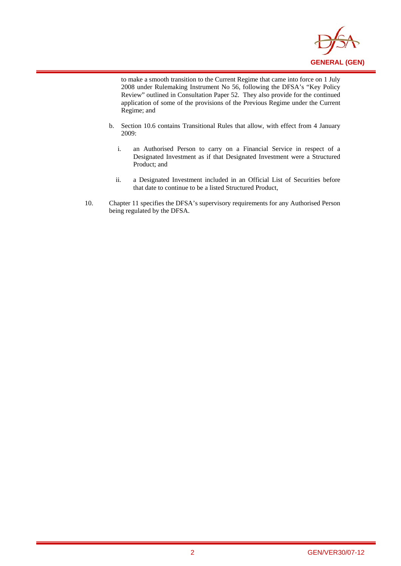

to make a smooth transition to the Current Regime that came into force on 1 July 2008 under Rulemaking Instrument No 56, following the DFSA's "Key Policy Review" outlined in Consultation Paper 52. They also provide for the continued application of some of the provisions of the Previous Regime under the Current Regime; and

i

- b. Section 10.6 contains Transitional Rules that allow, with effect from 4 January 2009:
	- i. an Authorised Person to carry on a Financial Service in respect of a Designated Investment as if that Designated Investment were a Structured Product; and
	- ii. a Designated Investment included in an Official List of Securities before that date to continue to be a listed Structured Product,
- 10. Chapter 11 specifies the DFSA's supervisory requirements for any Authorised Person being regulated by the DFSA.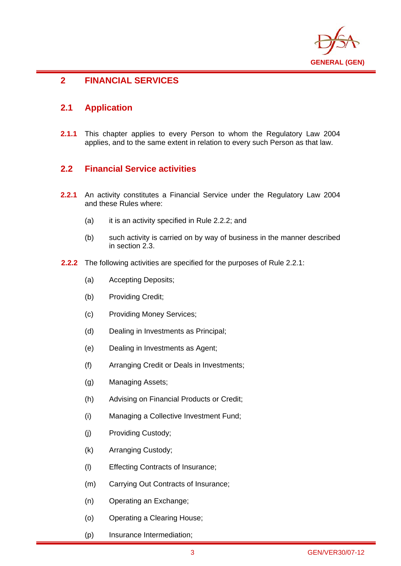

### i **2 FINANCIAL SERVICES**

## **2.1 Application**

**2.1.1** This chapter applies to every Person to whom the Regulatory Law 2004 applies, and to the same extent in relation to every such Person as that law.

## **2.2 Financial Service activities**

- **2.2.1** An activity constitutes a Financial Service under the Regulatory Law 2004 and these Rules where:
	- (a) it is an activity specified in Rule 2.2.2; and
	- (b) such activity is carried on by way of business in the manner described in section 2.3.
- **2.2.2** The following activities are specified for the purposes of Rule 2.2.1:
	- (a) Accepting Deposits;
	- (b) Providing Credit;
	- (c) Providing Money Services;
	- (d) Dealing in Investments as Principal;
	- (e) Dealing in Investments as Agent;
	- (f) Arranging Credit or Deals in Investments;
	- (g) Managing Assets;
	- (h) Advising on Financial Products or Credit;
	- (i) Managing a Collective Investment Fund;
	- (j) Providing Custody;
	- (k) Arranging Custody;
	- (l) Effecting Contracts of Insurance;
	- (m) Carrying Out Contracts of Insurance;
	- (n) Operating an Exchange;
	- (o) Operating a Clearing House;
	- (p) Insurance Intermediation;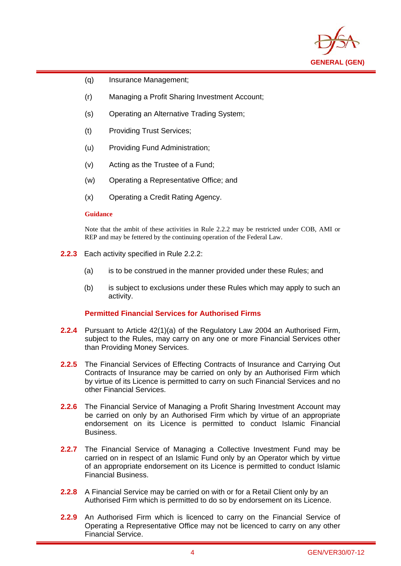

- (q) Insurance Management;
- (r) Managing a Profit Sharing Investment Account;
- (s) Operating an Alternative Trading System;
- (t) Providing Trust Services;
- (u) Providing Fund Administration;
- (v) Acting as the Trustee of a Fund;
- (w) Operating a Representative Office; and
- (x) Operating a Credit Rating Agency.

#### **Guidance**

i

Note that the ambit of these activities in Rule 2.2.2 may be restricted under COB, AMI or REP and may be fettered by the continuing operation of the Federal Law.

- **2.2.3** Each activity specified in Rule 2.2.2:
	- (a) is to be construed in the manner provided under these Rules; and
	- (b) is subject to exclusions under these Rules which may apply to such an activity.

#### **Permitted Financial Services for Authorised Firms**

- **2.2.4** Pursuant to Article 42(1)(a) of the Regulatory Law 2004 an Authorised Firm, subject to the Rules, may carry on any one or more Financial Services other than Providing Money Services.
- **2.2.5** The Financial Services of Effecting Contracts of Insurance and Carrying Out Contracts of Insurance may be carried on only by an Authorised Firm which by virtue of its Licence is permitted to carry on such Financial Services and no other Financial Services.
- **2.2.6** The Financial Service of Managing a Profit Sharing Investment Account may be carried on only by an Authorised Firm which by virtue of an appropriate endorsement on its Licence is permitted to conduct Islamic Financial Business.
- **2.2.7** The Financial Service of Managing a Collective Investment Fund may be carried on in respect of an Islamic Fund only by an Operator which by virtue of an appropriate endorsement on its Licence is permitted to conduct Islamic Financial Business.
- **2.2.8** A Financial Service may be carried on with or for a Retail Client only by an Authorised Firm which is permitted to do so by endorsement on its Licence.
- **2.2.9** An Authorised Firm which is licenced to carry on the Financial Service of Operating a Representative Office may not be licenced to carry on any other Financial Service.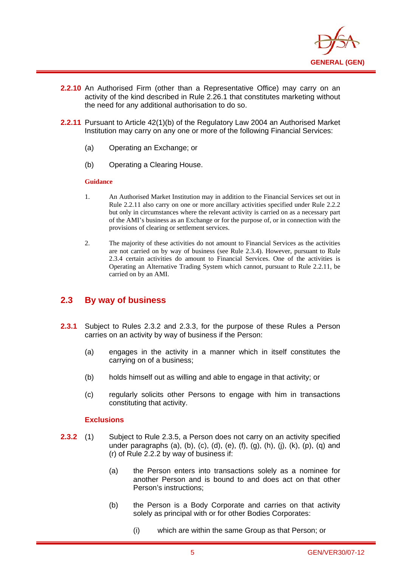

- **2.2.10** An Authorised Firm (other than a Representative Office) may carry on an activity of the kind described in Rule 2.26.1 that constitutes marketing without the need for any additional authorisation to do so.
- **2.2.11** Pursuant to Article 42(1)(b) of the Regulatory Law 2004 an Authorised Market Institution may carry on any one or more of the following Financial Services:
	- (a) Operating an Exchange; or
	- (b) Operating a Clearing House.

#### **Guidance**

i

- 1. An Authorised Market Institution may in addition to the Financial Services set out in Rule 2.2.11 also carry on one or more ancillary activities specified under Rule 2.2.2 but only in circumstances where the relevant activity is carried on as a necessary part of the AMI's business as an Exchange or for the purpose of, or in connection with the provisions of clearing or settlement services.
- 2. The majority of these activities do not amount to Financial Services as the activities are not carried on by way of business (see Rule 2.3.4). However, pursuant to Rule 2.3.4 certain activities do amount to Financial Services. One of the activities is Operating an Alternative Trading System which cannot, pursuant to Rule 2.2.11, be carried on by an AMI.

## **2.3 By way of business**

- **2.3.1** Subject to Rules 2.3.2 and 2.3.3, for the purpose of these Rules a Person carries on an activity by way of business if the Person:
	- (a) engages in the activity in a manner which in itself constitutes the carrying on of a business;
	- (b) holds himself out as willing and able to engage in that activity; or
	- (c) regularly solicits other Persons to engage with him in transactions constituting that activity.

- **2.3.2** (1) Subject to Rule 2.3.5, a Person does not carry on an activity specified under paragraphs (a), (b), (c), (d), (e), (f), (g), (h), (j), (k), (p), (q) and (r) of Rule 2.2.2 by way of business if:
	- (a) the Person enters into transactions solely as a nominee for another Person and is bound to and does act on that other Person's instructions;
	- (b) the Person is a Body Corporate and carries on that activity solely as principal with or for other Bodies Corporates:
		- (i) which are within the same Group as that Person; or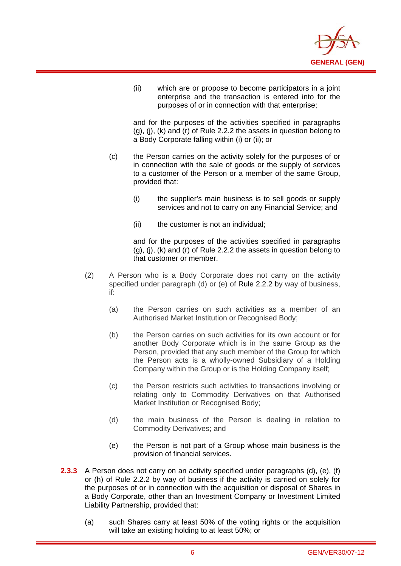

(ii) which are or propose to become participators in a joint enterprise and the transaction is entered into for the purposes of or in connection with that enterprise;

and for the purposes of the activities specified in paragraphs (g), (j), (k) and (r) of Rule 2.2.2 the assets in question belong to a Body Corporate falling within (i) or (ii); or

- (c) the Person carries on the activity solely for the purposes of or in connection with the sale of goods or the supply of services to a customer of the Person or a member of the same Group, provided that:
	- (i) the supplier's main business is to sell goods or supply services and not to carry on any Financial Service; and
	- (ii) the customer is not an individual;

i

and for the purposes of the activities specified in paragraphs (g), (j), (k) and (r) of Rule 2.2.2 the assets in question belong to that customer or member.

- (2) A Person who is a Body Corporate does not carry on the activity specified under paragraph (d) or (e) of Rule 2.2.2 by way of business, if:
	- (a) the Person carries on such activities as a member of an Authorised Market Institution or Recognised Body;
	- (b) the Person carries on such activities for its own account or for another Body Corporate which is in the same Group as the Person, provided that any such member of the Group for which the Person acts is a wholly-owned Subsidiary of a Holding Company within the Group or is the Holding Company itself;
	- (c) the Person restricts such activities to transactions involving or relating only to Commodity Derivatives on that Authorised Market Institution or Recognised Body;
	- (d) the main business of the Person is dealing in relation to Commodity Derivatives; and
	- (e) the Person is not part of a Group whose main business is the provision of financial services.
- **2.3.3** A Person does not carry on an activity specified under paragraphs (d), (e), (f) or (h) of Rule 2.2.2 by way of business if the activity is carried on solely for the purposes of or in connection with the acquisition or disposal of Shares in a Body Corporate, other than an Investment Company or Investment Limited Liability Partnership, provided that:
	- (a) such Shares carry at least 50% of the voting rights or the acquisition will take an existing holding to at least 50%; or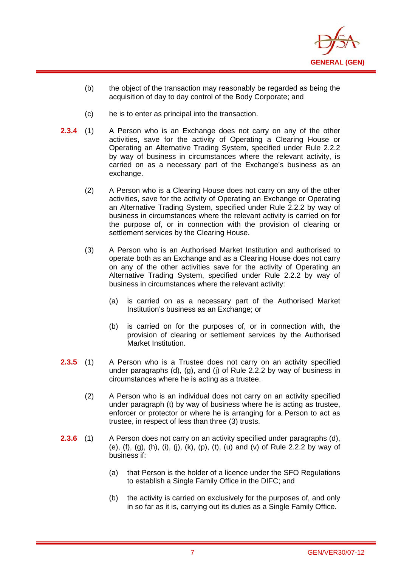

- (b) the object of the transaction may reasonably be regarded as being the acquisition of day to day control of the Body Corporate; and
- (c) he is to enter as principal into the transaction.

i

- **2.3.4** (1) A Person who is an Exchange does not carry on any of the other activities, save for the activity of Operating a Clearing House or Operating an Alternative Trading System, specified under Rule 2.2.2 by way of business in circumstances where the relevant activity, is carried on as a necessary part of the Exchange's business as an exchange.
	- (2) A Person who is a Clearing House does not carry on any of the other activities, save for the activity of Operating an Exchange or Operating an Alternative Trading System, specified under Rule 2.2.2 by way of business in circumstances where the relevant activity is carried on for the purpose of, or in connection with the provision of clearing or settlement services by the Clearing House.
	- (3) A Person who is an Authorised Market Institution and authorised to operate both as an Exchange and as a Clearing House does not carry on any of the other activities save for the activity of Operating an Alternative Trading System, specified under Rule 2.2.2 by way of business in circumstances where the relevant activity:
		- (a) is carried on as a necessary part of the Authorised Market Institution's business as an Exchange; or
		- (b) is carried on for the purposes of, or in connection with, the provision of clearing or settlement services by the Authorised Market Institution.
- **2.3.5** (1) A Person who is a Trustee does not carry on an activity specified under paragraphs (d), (g), and (j) of Rule 2.2.2 by way of business in circumstances where he is acting as a trustee.
	- (2) A Person who is an individual does not carry on an activity specified under paragraph (t) by way of business where he is acting as trustee, enforcer or protector or where he is arranging for a Person to act as trustee, in respect of less than three (3) trusts.
- **2.3.6** (1) A Person does not carry on an activity specified under paragraphs (d), (e),  $(f)$ ,  $(g)$ ,  $(h)$ ,  $(i)$ ,  $(j)$ ,  $(k)$ ,  $(p)$ ,  $(t)$ ,  $(u)$  and  $(v)$  of Rule 2.2.2 by way of business if:
	- (a) that Person is the holder of a licence under the SFO Regulations to establish a Single Family Office in the DIFC; and
	- (b) the activity is carried on exclusively for the purposes of, and only in so far as it is, carrying out its duties as a Single Family Office.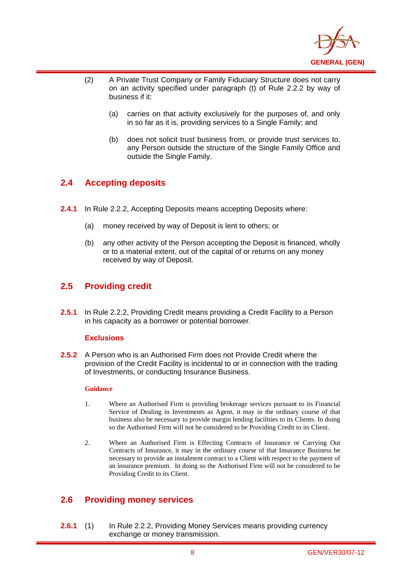

- (2) A Private Trust Company or Family Fiduciary Structure does not carry on an activity specified under paragraph (t) of Rule 2.2.2 by way of business if it:
	- (a) carries on that activity exclusively for the purposes of, and only in so far as it is, providing services to a Single Family; and
	- (b) does not solicit trust business from, or provide trust services to, any Person outside the structure of the Single Family Office and outside the Single Family.

## **2.4 Accepting deposits**

i

- **2.4.1** In Rule 2.2.2, Accepting Deposits means accepting Deposits where:
	- (a) money received by way of Deposit is lent to others; or
	- (b) any other activity of the Person accepting the Deposit is financed, wholly or to a material extent, out of the capital of or returns on any money received by way of Deposit.

## **2.5 Providing credit**

**2.5.1** In Rule 2.2.2, Providing Credit means providing a Credit Facility to a Person in his capacity as a borrower or potential borrower.

#### **Exclusions**

**2.5.2** A Person who is an Authorised Firm does not Provide Credit where the provision of the Credit Facility is incidental to or in connection with the trading of Investments, or conducting Insurance Business.

#### **Guidance**

- 1. Where an Authorised Firm is providing brokerage services pursuant to its Financial Service of Dealing in Investments as Agent, it may in the ordinary course of that business also be necessary to provide margin lending facilities to its Clients. In doing so the Authorised Firm will not be considered to be Providing Credit to its Client.
- 2. Where an Authorised Firm is Effecting Contracts of Insurance or Carrying Out Contracts of Insurance, it may in the ordinary course of that Insurance Business be necessary to provide an instalment contract to a Client with respect to the payment of an insurance premium. In doing so the Authorised Firm will not be considered to be Providing Credit to its Client.

## **2.6 Providing money services**

**2.6.1** (1) In Rule 2.2.2, Providing Money Services means providing currency exchange or money transmission.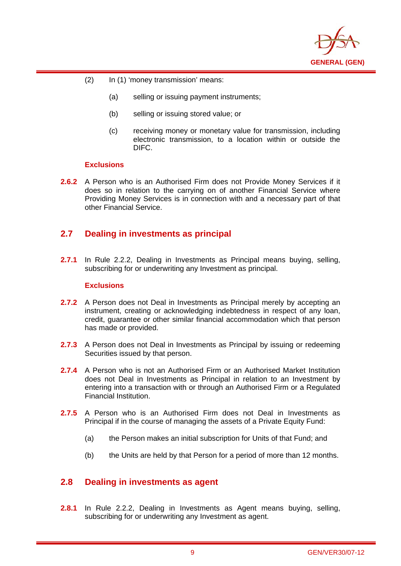

- (2) In (1) 'money transmission' means:
	- (a) selling or issuing payment instruments;
	- (b) selling or issuing stored value; or
	- (c) receiving money or monetary value for transmission, including electronic transmission, to a location within or outside the DIFC.

#### **Exclusions**

i

**2.6.2** A Person who is an Authorised Firm does not Provide Money Services if it does so in relation to the carrying on of another Financial Service where Providing Money Services is in connection with and a necessary part of that other Financial Service.

## **2.7 Dealing in investments as principal**

**2.7.1** In Rule 2.2.2, Dealing in Investments as Principal means buying, selling, subscribing for or underwriting any Investment as principal.

#### **Exclusions**

- **2.7.2** A Person does not Deal in Investments as Principal merely by accepting an instrument, creating or acknowledging indebtedness in respect of any loan, credit, guarantee or other similar financial accommodation which that person has made or provided.
- **2.7.3** A Person does not Deal in Investments as Principal by issuing or redeeming Securities issued by that person.
- **2.7.4** A Person who is not an Authorised Firm or an Authorised Market Institution does not Deal in Investments as Principal in relation to an Investment by entering into a transaction with or through an Authorised Firm or a Regulated Financial Institution.
- **2.7.5** A Person who is an Authorised Firm does not Deal in Investments as Principal if in the course of managing the assets of a Private Equity Fund:
	- (a) the Person makes an initial subscription for Units of that Fund; and
	- (b) the Units are held by that Person for a period of more than 12 months.

## **2.8 Dealing in investments as agent**

**2.8.1** In Rule 2.2.2, Dealing in Investments as Agent means buying, selling, subscribing for or underwriting any Investment as agent.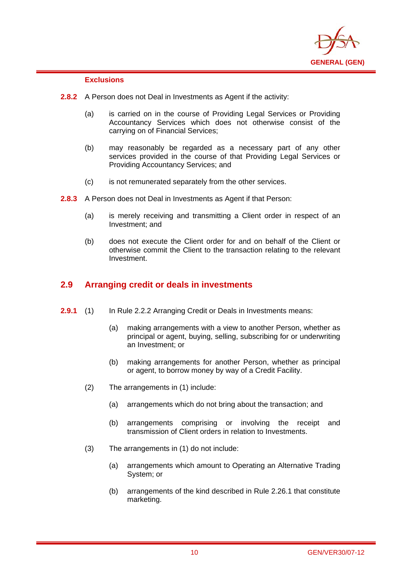

#### **Exclusions**

i

- **2.8.2** A Person does not Deal in Investments as Agent if the activity:
	- (a) is carried on in the course of Providing Legal Services or Providing Accountancy Services which does not otherwise consist of the carrying on of Financial Services;
	- (b) may reasonably be regarded as a necessary part of any other services provided in the course of that Providing Legal Services or Providing Accountancy Services; and
	- (c) is not remunerated separately from the other services.
- **2.8.3** A Person does not Deal in Investments as Agent if that Person:
	- (a) is merely receiving and transmitting a Client order in respect of an Investment; and
	- (b) does not execute the Client order for and on behalf of the Client or otherwise commit the Client to the transaction relating to the relevant Investment.

## **2.9 Arranging credit or deals in investments**

- **2.9.1** (1) In Rule 2.2.2 Arranging Credit or Deals in Investments means:
	- (a) making arrangements with a view to another Person, whether as principal or agent, buying, selling, subscribing for or underwriting an Investment; or
	- (b) making arrangements for another Person, whether as principal or agent, to borrow money by way of a Credit Facility.
	- (2) The arrangements in (1) include:
		- (a) arrangements which do not bring about the transaction; and
		- (b) arrangements comprising or involving the receipt and transmission of Client orders in relation to Investments.
	- (3) The arrangements in (1) do not include:
		- (a) arrangements which amount to Operating an Alternative Trading System; or
		- (b) arrangements of the kind described in Rule 2.26.1 that constitute marketing.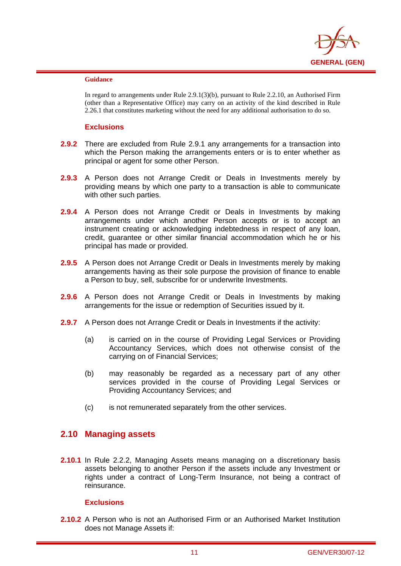

#### **Guidance**

i

In regard to arrangements under Rule 2.9.1(3)(b), pursuant to Rule 2.2.10, an Authorised Firm (other than a Representative Office) may carry on an activity of the kind described in Rule 2.26.1 that constitutes marketing without the need for any additional authorisation to do so.

#### **Exclusions**

- **2.9.2** There are excluded from Rule 2.9.1 any arrangements for a transaction into which the Person making the arrangements enters or is to enter whether as principal or agent for some other Person.
- **2.9.3** A Person does not Arrange Credit or Deals in Investments merely by providing means by which one party to a transaction is able to communicate with other such parties.
- **2.9.4** A Person does not Arrange Credit or Deals in Investments by making arrangements under which another Person accepts or is to accept an instrument creating or acknowledging indebtedness in respect of any loan, credit, guarantee or other similar financial accommodation which he or his principal has made or provided.
- **2.9.5** A Person does not Arrange Credit or Deals in Investments merely by making arrangements having as their sole purpose the provision of finance to enable a Person to buy, sell, subscribe for or underwrite Investments.
- **2.9.6** A Person does not Arrange Credit or Deals in Investments by making arrangements for the issue or redemption of Securities issued by it.
- **2.9.7** A Person does not Arrange Credit or Deals in Investments if the activity:
	- (a) is carried on in the course of Providing Legal Services or Providing Accountancy Services, which does not otherwise consist of the carrying on of Financial Services;
	- (b) may reasonably be regarded as a necessary part of any other services provided in the course of Providing Legal Services or Providing Accountancy Services; and
	- (c) is not remunerated separately from the other services.

## **2.10 Managing assets**

**2.10.1** In Rule 2.2.2, Managing Assets means managing on a discretionary basis assets belonging to another Person if the assets include any Investment or rights under a contract of Long-Term Insurance, not being a contract of reinsurance.

#### **Exclusions**

**2.10.2** A Person who is not an Authorised Firm or an Authorised Market Institution does not Manage Assets if: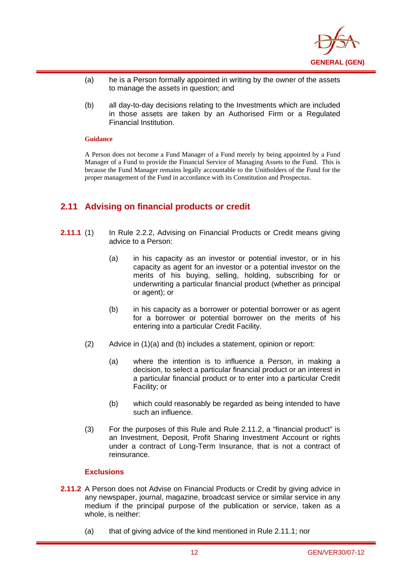

- (a) he is a Person formally appointed in writing by the owner of the assets to manage the assets in question; and
- (b) all day-to-day decisions relating to the Investments which are included in those assets are taken by an Authorised Firm or a Regulated Financial Institution.

#### **Guidance**

i

A Person does not become a Fund Manager of a Fund merely by being appointed by a Fund Manager of a Fund to provide the Financial Service of Managing Assets to the Fund. This is because the Fund Manager remains legally accountable to the Unitholders of the Fund for the proper management of the Fund in accordance with its Constitution and Prospectus.

## **2.11 Advising on financial products or credit**

- **2.11.1** (1) In Rule 2.2.2, Advising on Financial Products or Credit means giving advice to a Person:
	- (a) in his capacity as an investor or potential investor, or in his capacity as agent for an investor or a potential investor on the merits of his buying, selling, holding, subscribing for or underwriting a particular financial product (whether as principal or agent); or
	- (b) in his capacity as a borrower or potential borrower or as agent for a borrower or potential borrower on the merits of his entering into a particular Credit Facility.
	- (2) Advice in (1)(a) and (b) includes a statement, opinion or report:
		- (a) where the intention is to influence a Person, in making a decision, to select a particular financial product or an interest in a particular financial product or to enter into a particular Credit Facility; or
		- (b) which could reasonably be regarded as being intended to have such an influence.
	- (3) For the purposes of this Rule and Rule 2.11.2, a "financial product" is an Investment, Deposit, Profit Sharing Investment Account or rights under a contract of Long-Term Insurance, that is not a contract of reinsurance.

- **2.11.2** A Person does not Advise on Financial Products or Credit by giving advice in any newspaper, journal, magazine, broadcast service or similar service in any medium if the principal purpose of the publication or service, taken as a whole, is neither:
	- (a) that of giving advice of the kind mentioned in Rule 2.11.1; nor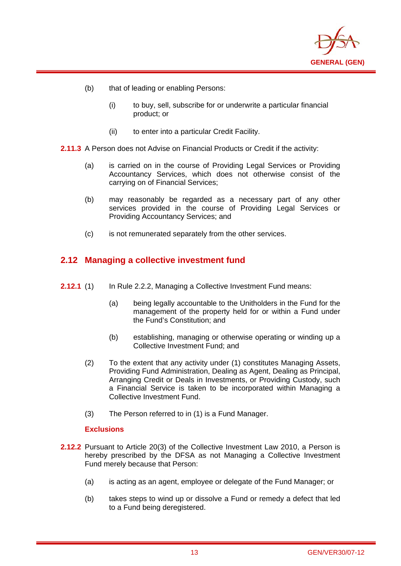

(b) that of leading or enabling Persons:

i

- (i) to buy, sell, subscribe for or underwrite a particular financial product; or
- (ii) to enter into a particular Credit Facility.
- **2.11.3** A Person does not Advise on Financial Products or Credit if the activity:
	- (a) is carried on in the course of Providing Legal Services or Providing Accountancy Services, which does not otherwise consist of the carrying on of Financial Services;
	- (b) may reasonably be regarded as a necessary part of any other services provided in the course of Providing Legal Services or Providing Accountancy Services; and
	- (c) is not remunerated separately from the other services.

## **2.12 Managing a collective investment fund**

- **2.12.1** (1) In Rule 2.2.2, Managing a Collective Investment Fund means:
	- (a) being legally accountable to the Unitholders in the Fund for the management of the property held for or within a Fund under the Fund's Constitution; and
	- (b) establishing, managing or otherwise operating or winding up a Collective Investment Fund; and
	- (2) To the extent that any activity under (1) constitutes Managing Assets, Providing Fund Administration, Dealing as Agent, Dealing as Principal, Arranging Credit or Deals in Investments, or Providing Custody, such a Financial Service is taken to be incorporated within Managing a Collective Investment Fund.
	- (3) The Person referred to in (1) is a Fund Manager.

- **2.12.2** Pursuant to Article 20(3) of the Collective Investment Law 2010, a Person is hereby prescribed by the DFSA as not Managing a Collective Investment Fund merely because that Person:
	- (a) is acting as an agent, employee or delegate of the Fund Manager; or
	- (b) takes steps to wind up or dissolve a Fund or remedy a defect that led to a Fund being deregistered.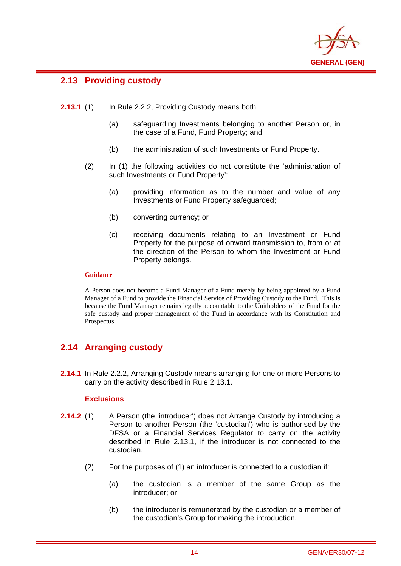

## **2.13 Providing custody**

i

- **2.13.1** (1) In Rule 2.2.2, Providing Custody means both:
	- (a) safeguarding Investments belonging to another Person or, in the case of a Fund, Fund Property; and
	- (b) the administration of such Investments or Fund Property.
	- (2) In (1) the following activities do not constitute the 'administration of such Investments or Fund Property':
		- (a) providing information as to the number and value of any Investments or Fund Property safeguarded;
		- (b) converting currency; or
		- (c) receiving documents relating to an Investment or Fund Property for the purpose of onward transmission to, from or at the direction of the Person to whom the Investment or Fund Property belongs.

#### **Guidance**

A Person does not become a Fund Manager of a Fund merely by being appointed by a Fund Manager of a Fund to provide the Financial Service of Providing Custody to the Fund. This is because the Fund Manager remains legally accountable to the Unitholders of the Fund for the safe custody and proper management of the Fund in accordance with its Constitution and Prospectus.

## **2.14 Arranging custody**

**2.14.1** In Rule 2.2.2, Arranging Custody means arranging for one or more Persons to carry on the activity described in Rule 2.13.1.

- **2.14.2** (1) A Person (the 'introducer') does not Arrange Custody by introducing a Person to another Person (the 'custodian') who is authorised by the DFSA or a Financial Services Regulator to carry on the activity described in Rule 2.13.1, if the introducer is not connected to the custodian.
	- (2) For the purposes of (1) an introducer is connected to a custodian if:
		- (a) the custodian is a member of the same Group as the introducer; or
		- (b) the introducer is remunerated by the custodian or a member of the custodian's Group for making the introduction.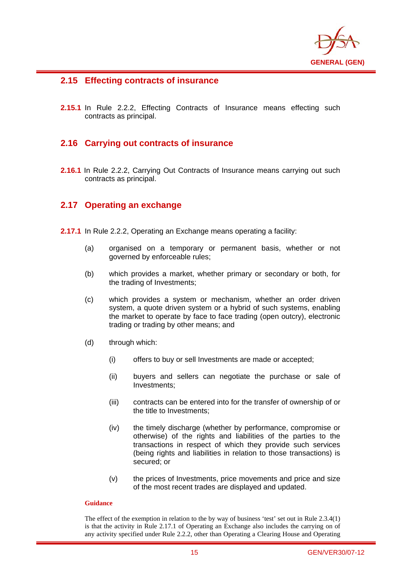

## **2.15 Effecting contracts of insurance**

i

**2.15.1** In Rule 2.2.2, Effecting Contracts of Insurance means effecting such contracts as principal.

## **2.16 Carrying out contracts of insurance**

**2.16.1** In Rule 2.2.2, Carrying Out Contracts of Insurance means carrying out such contracts as principal.

## **2.17 Operating an exchange**

- **2.17.1** In Rule 2.2.2, Operating an Exchange means operating a facility:
	- (a) organised on a temporary or permanent basis, whether or not governed by enforceable rules;
	- (b) which provides a market, whether primary or secondary or both, for the trading of Investments;
	- (c) which provides a system or mechanism, whether an order driven system, a quote driven system or a hybrid of such systems, enabling the market to operate by face to face trading (open outcry), electronic trading or trading by other means; and
	- (d) through which:
		- (i) offers to buy or sell Investments are made or accepted;
		- (ii) buyers and sellers can negotiate the purchase or sale of Investments;
		- (iii) contracts can be entered into for the transfer of ownership of or the title to Investments;
		- (iv) the timely discharge (whether by performance, compromise or otherwise) of the rights and liabilities of the parties to the transactions in respect of which they provide such services (being rights and liabilities in relation to those transactions) is secured; or
		- (v) the prices of Investments, price movements and price and size of the most recent trades are displayed and updated.

#### **Guidance**

The effect of the exemption in relation to the by way of business 'test' set out in Rule 2.3.4(1) is that the activity in Rule 2.17.1 of Operating an Exchange also includes the carrying on of any activity specified under Rule 2.2.2, other than Operating a Clearing House and Operating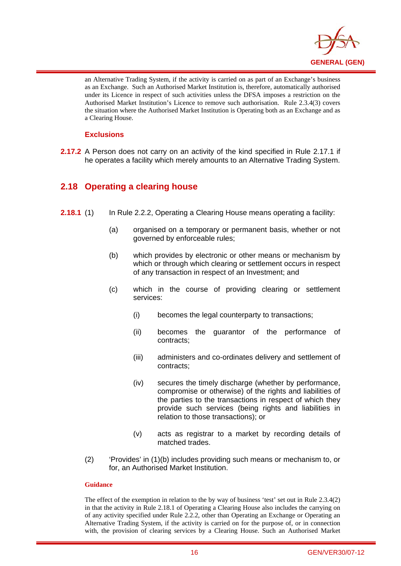

an Alternative Trading System, if the activity is carried on as part of an Exchange's business as an Exchange. Such an Authorised Market Institution is, therefore, automatically authorised under its Licence in respect of such activities unless the DFSA imposes a restriction on the Authorised Market Institution's Licence to remove such authorisation. Rule 2.3.4(3) covers the situation where the Authorised Market Institution is Operating both as an Exchange and as a Clearing House.

#### **Exclusions**

i

**2.17.2** A Person does not carry on an activity of the kind specified in Rule 2.17.1 if he operates a facility which merely amounts to an Alternative Trading System.

## **2.18 Operating a clearing house**

- **2.18.1** (1) In Rule 2.2.2, Operating a Clearing House means operating a facility:
	- (a) organised on a temporary or permanent basis, whether or not governed by enforceable rules;
	- (b) which provides by electronic or other means or mechanism by which or through which clearing or settlement occurs in respect of any transaction in respect of an Investment; and
	- (c) which in the course of providing clearing or settlement services:
		- (i) becomes the legal counterparty to transactions;
		- (ii) becomes the guarantor of the performance of contracts;
		- (iii) administers and co-ordinates delivery and settlement of contracts;
		- (iv) secures the timely discharge (whether by performance, compromise or otherwise) of the rights and liabilities of the parties to the transactions in respect of which they provide such services (being rights and liabilities in relation to those transactions); or
		- (v) acts as registrar to a market by recording details of matched trades.
	- (2) 'Provides' in (1)(b) includes providing such means or mechanism to, or for, an Authorised Market Institution.

#### **Guidance**

The effect of the exemption in relation to the by way of business 'test' set out in Rule 2.3.4(2) in that the activity in Rule 2.18.1 of Operating a Clearing House also includes the carrying on of any activity specified under Rule 2.2.2, other than Operating an Exchange or Operating an Alternative Trading System, if the activity is carried on for the purpose of, or in connection with, the provision of clearing services by a Clearing House. Such an Authorised Market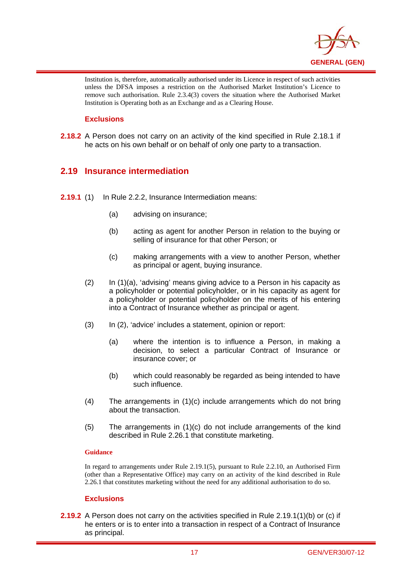

Institution is, therefore, automatically authorised under its Licence in respect of such activities unless the DFSA imposes a restriction on the Authorised Market Institution's Licence to remove such authorisation. Rule 2.3.4(3) covers the situation where the Authorised Market Institution is Operating both as an Exchange and as a Clearing House.

#### **Exclusions**

i

**2.18.2** A Person does not carry on an activity of the kind specified in Rule 2.18.1 if he acts on his own behalf or on behalf of only one party to a transaction.

## **2.19 Insurance intermediation**

- **2.19.1** (1) In Rule 2.2.2, Insurance Intermediation means:
	- (a) advising on insurance;
	- (b) acting as agent for another Person in relation to the buying or selling of insurance for that other Person; or
	- (c) making arrangements with a view to another Person, whether as principal or agent, buying insurance.
	- (2) In (1)(a), 'advising' means giving advice to a Person in his capacity as a policyholder or potential policyholder, or in his capacity as agent for a policyholder or potential policyholder on the merits of his entering into a Contract of Insurance whether as principal or agent.
	- (3) In (2), 'advice' includes a statement, opinion or report:
		- (a) where the intention is to influence a Person, in making a decision, to select a particular Contract of Insurance or insurance cover; or
		- (b) which could reasonably be regarded as being intended to have such influence.
	- (4) The arrangements in (1)(c) include arrangements which do not bring about the transaction.
	- (5) The arrangements in (1)(c) do not include arrangements of the kind described in Rule 2.26.1 that constitute marketing.

#### **Guidance**

In regard to arrangements under Rule 2.19.1(5), pursuant to Rule 2.2.10, an Authorised Firm (other than a Representative Office) may carry on an activity of the kind described in Rule 2.26.1 that constitutes marketing without the need for any additional authorisation to do so.

#### **Exclusions**

**2.19.2** A Person does not carry on the activities specified in Rule 2.19.1(1)(b) or (c) if he enters or is to enter into a transaction in respect of a Contract of Insurance as principal.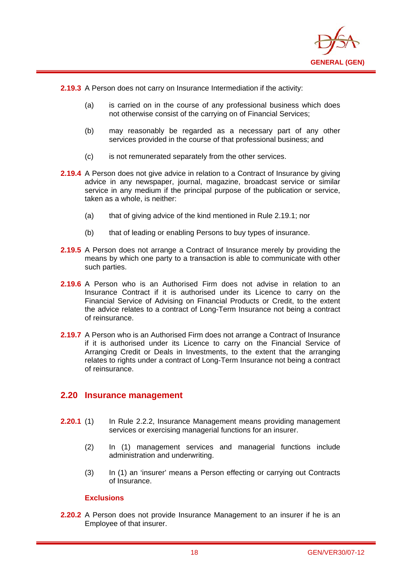

**2.19.3** A Person does not carry on Insurance Intermediation if the activity:

i

- (a) is carried on in the course of any professional business which does not otherwise consist of the carrying on of Financial Services;
- (b) may reasonably be regarded as a necessary part of any other services provided in the course of that professional business; and
- (c) is not remunerated separately from the other services.
- **2.19.4** A Person does not give advice in relation to a Contract of Insurance by giving advice in any newspaper, journal, magazine, broadcast service or similar service in any medium if the principal purpose of the publication or service, taken as a whole, is neither:
	- (a) that of giving advice of the kind mentioned in Rule 2.19.1; nor
	- (b) that of leading or enabling Persons to buy types of insurance.
- **2.19.5** A Person does not arrange a Contract of Insurance merely by providing the means by which one party to a transaction is able to communicate with other such parties.
- **2.19.6** A Person who is an Authorised Firm does not advise in relation to an Insurance Contract if it is authorised under its Licence to carry on the Financial Service of Advising on Financial Products or Credit, to the extent the advice relates to a contract of Long-Term Insurance not being a contract of reinsurance.
- **2.19.7** A Person who is an Authorised Firm does not arrange a Contract of Insurance if it is authorised under its Licence to carry on the Financial Service of Arranging Credit or Deals in Investments, to the extent that the arranging relates to rights under a contract of Long-Term Insurance not being a contract of reinsurance.

#### **2.20 Insurance management**

- **2.20.1** (1) In Rule 2.2.2, Insurance Management means providing management services or exercising managerial functions for an insurer.
	- (2) In (1) management services and managerial functions include administration and underwriting.
	- (3) In (1) an 'insurer' means a Person effecting or carrying out Contracts of Insurance.

#### **Exclusions**

**2.20.2** A Person does not provide Insurance Management to an insurer if he is an Employee of that insurer.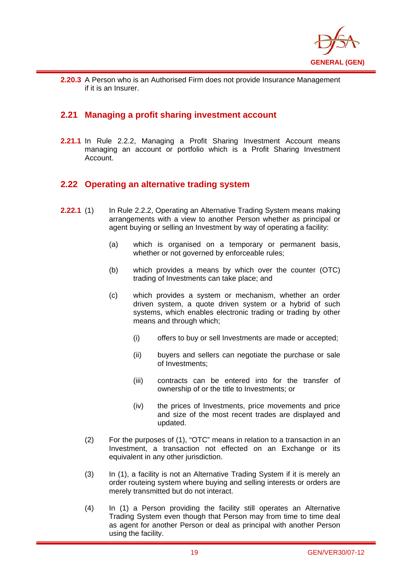

i **2.20.3** A Person who is an Authorised Firm does not provide Insurance Management if it is an Insurer.

## **2.21 Managing a profit sharing investment account**

**2.21.1** In Rule 2.2.2, Managing a Profit Sharing Investment Account means managing an account or portfolio which is a Profit Sharing Investment Account.

## **2.22 Operating an alternative trading system**

- **2.22.1** (1) In Rule 2.2.2, Operating an Alternative Trading System means making arrangements with a view to another Person whether as principal or agent buying or selling an Investment by way of operating a facility:
	- (a) which is organised on a temporary or permanent basis, whether or not governed by enforceable rules;
	- (b) which provides a means by which over the counter (OTC) trading of Investments can take place; and
	- (c) which provides a system or mechanism, whether an order driven system, a quote driven system or a hybrid of such systems, which enables electronic trading or trading by other means and through which;
		- (i) offers to buy or sell Investments are made or accepted;
		- (ii) buyers and sellers can negotiate the purchase or sale of Investments;
		- (iii) contracts can be entered into for the transfer of ownership of or the title to Investments; or
		- (iv) the prices of Investments, price movements and price and size of the most recent trades are displayed and updated.
	- (2) For the purposes of (1), "OTC" means in relation to a transaction in an Investment, a transaction not effected on an Exchange or its equivalent in any other jurisdiction.
	- (3) In (1), a facility is not an Alternative Trading System if it is merely an order routeing system where buying and selling interests or orders are merely transmitted but do not interact.
	- (4) In (1) a Person providing the facility still operates an Alternative Trading System even though that Person may from time to time deal as agent for another Person or deal as principal with another Person using the facility.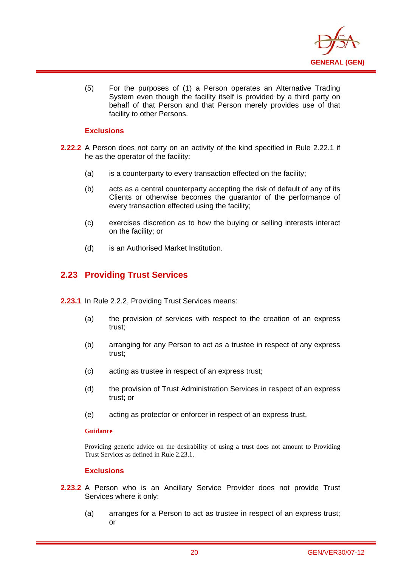

(5) For the purposes of (1) a Person operates an Alternative Trading System even though the facility itself is provided by a third party on behalf of that Person and that Person merely provides use of that facility to other Persons.

#### **Exclusions**

i

- **2.22.2** A Person does not carry on an activity of the kind specified in Rule 2.22.1 if he as the operator of the facility:
	- (a) is a counterparty to every transaction effected on the facility;
	- (b) acts as a central counterparty accepting the risk of default of any of its Clients or otherwise becomes the guarantor of the performance of every transaction effected using the facility;
	- (c) exercises discretion as to how the buying or selling interests interact on the facility; or
	- (d) is an Authorised Market Institution.

## **2.23 Providing Trust Services**

- **2.23.1** In Rule 2.2.2, Providing Trust Services means:
	- (a) the provision of services with respect to the creation of an express trust;
	- (b) arranging for any Person to act as a trustee in respect of any express trust;
	- (c) acting as trustee in respect of an express trust;
	- (d) the provision of Trust Administration Services in respect of an express trust; or
	- (e) acting as protector or enforcer in respect of an express trust.

#### **Guidance**

Providing generic advice on the desirability of using a trust does not amount to Providing Trust Services as defined in Rule 2.23.1.

- **2.23.2** A Person who is an Ancillary Service Provider does not provide Trust Services where it only:
	- (a) arranges for a Person to act as trustee in respect of an express trust; or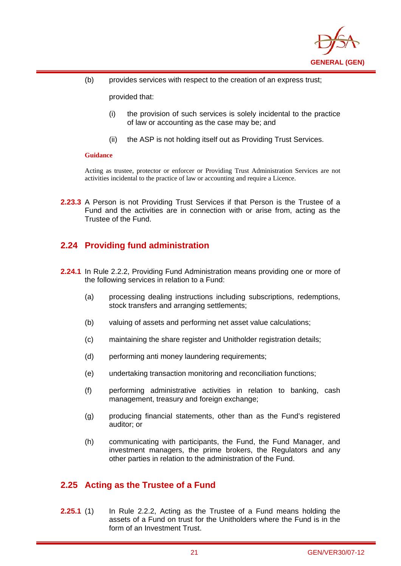

(b) provides services with respect to the creation of an express trust;

provided that:

- (i) the provision of such services is solely incidental to the practice of law or accounting as the case may be; and
- (ii) the ASP is not holding itself out as Providing Trust Services.

#### **Guidance**

i

Acting as trustee, protector or enforcer or Providing Trust Administration Services are not activities incidental to the practice of law or accounting and require a Licence.

**2.23.3** A Person is not Providing Trust Services if that Person is the Trustee of a Fund and the activities are in connection with or arise from, acting as the Trustee of the Fund.

## **2.24 Providing fund administration**

- **2.24.1** In Rule 2.2.2, Providing Fund Administration means providing one or more of the following services in relation to a Fund:
	- (a) processing dealing instructions including subscriptions, redemptions, stock transfers and arranging settlements:
	- (b) valuing of assets and performing net asset value calculations;
	- (c) maintaining the share register and Unitholder registration details;
	- (d) performing anti money laundering requirements;
	- (e) undertaking transaction monitoring and reconciliation functions;
	- (f) performing administrative activities in relation to banking, cash management, treasury and foreign exchange;
	- (g) producing financial statements, other than as the Fund's registered auditor; or
	- (h) communicating with participants, the Fund, the Fund Manager, and investment managers, the prime brokers, the Regulators and any other parties in relation to the administration of the Fund.

## **2.25 Acting as the Trustee of a Fund**

**2.25.1** (1) In Rule 2.2.2, Acting as the Trustee of a Fund means holding the assets of a Fund on trust for the Unitholders where the Fund is in the form of an Investment Trust.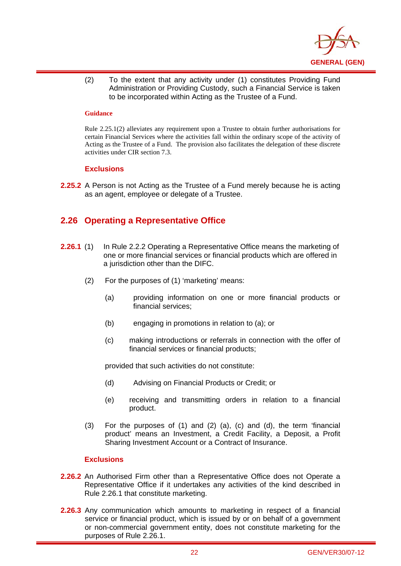

(2) To the extent that any activity under (1) constitutes Providing Fund Administration or Providing Custody, such a Financial Service is taken to be incorporated within Acting as the Trustee of a Fund.

#### **Guidance**

i

Rule 2.25.1(2) alleviates any requirement upon a Trustee to obtain further authorisations for certain Financial Services where the activities fall within the ordinary scope of the activity of Acting as the Trustee of a Fund. The provision also facilitates the delegation of these discrete activities under CIR section 7.3.

#### **Exclusions**

**2.25.2** A Person is not Acting as the Trustee of a Fund merely because he is acting as an agent, employee or delegate of a Trustee.

## **2.26 Operating a Representative Office**

- **2.26.1** (1) In Rule 2.2.2 Operating a Representative Office means the marketing of one or more financial services or financial products which are offered in a jurisdiction other than the DIFC.
	- (2) For the purposes of (1) 'marketing' means:
		- (a) providing information on one or more financial products or financial services;
		- (b) engaging in promotions in relation to (a); or
		- (c) making introductions or referrals in connection with the offer of financial services or financial products;

provided that such activities do not constitute:

- (d) Advising on Financial Products or Credit; or
- (e) receiving and transmitting orders in relation to a financial product.
- (3) For the purposes of (1) and (2) (a), (c) and (d), the term 'financial product' means an Investment, a Credit Facility, a Deposit, a Profit Sharing Investment Account or a Contract of Insurance.

- **2.26.2** An Authorised Firm other than a Representative Office does not Operate a Representative Office if it undertakes any activities of the kind described in Rule 2.26.1 that constitute marketing.
- **2.26.3** Any communication which amounts to marketing in respect of a financial service or financial product, which is issued by or on behalf of a government or non-commercial government entity, does not constitute marketing for the purposes of Rule 2.26.1.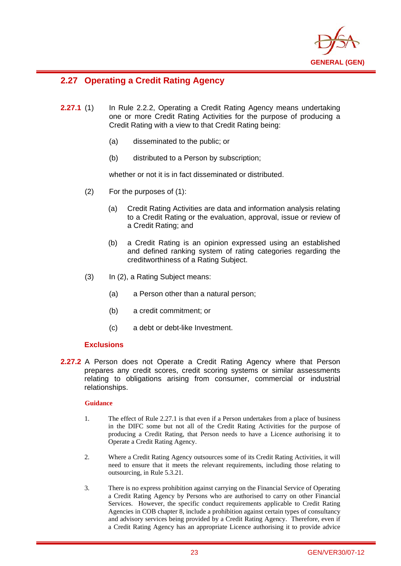

## **2.27 Operating a Credit Rating Agency**

i

- **2.27.1** (1) In Rule 2.2.2, Operating a Credit Rating Agency means undertaking one or more Credit Rating Activities for the purpose of producing a Credit Rating with a view to that Credit Rating being:
	- (a) disseminated to the public; or
	- (b) distributed to a Person by subscription;

whether or not it is in fact disseminated or distributed.

- (2) For the purposes of (1):
	- (a) Credit Rating Activities are data and information analysis relating to a Credit Rating or the evaluation, approval, issue or review of a Credit Rating; and
	- (b) a Credit Rating is an opinion expressed using an established and defined ranking system of rating categories regarding the creditworthiness of a Rating Subject.
- (3) In (2), a Rating Subject means:
	- (a) a Person other than a natural person;
	- (b) a credit commitment; or
	- (c) a debt or debt-like Investment.

#### **Exclusions**

**2.27.2** A Person does not Operate a Credit Rating Agency where that Person prepares any credit scores, credit scoring systems or similar assessments relating to obligations arising from consumer, commercial or industrial relationships.

#### **Guidance**

- 1. The effect of Rule 2.27.1 is that even if a Person undertakes from a place of business in the DIFC some but not all of the Credit Rating Activities for the purpose of producing a Credit Rating, that Person needs to have a Licence authorising it to Operate a Credit Rating Agency.
- 2. Where a Credit Rating Agency outsources some of its Credit Rating Activities, it will need to ensure that it meets the relevant requirements, including those relating to outsourcing, in Rule 5.3.21.
- 3. There is no express prohibition against carrying on the Financial Service of Operating a Credit Rating Agency by Persons who are authorised to carry on other Financial Services. However, the specific conduct requirements applicable to Credit Rating Agencies in COB chapter 8, include a prohibition against certain types of consultancy and advisory services being provided by a Credit Rating Agency. Therefore, even if a Credit Rating Agency has an appropriate Licence authorising it to provide advice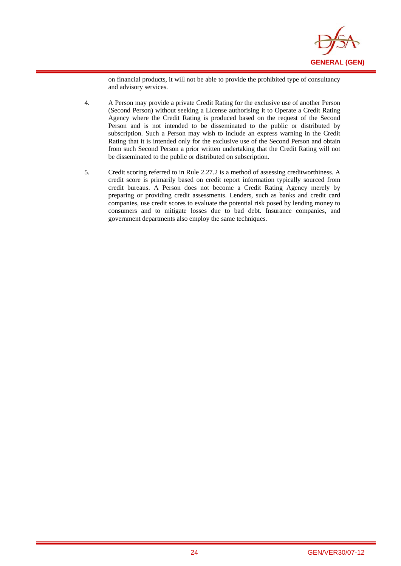

on financial products, it will not be able to provide the prohibited type of consultancy and advisory services.

4. A Person may provide a private Credit Rating for the exclusive use of another Person (Second Person) without seeking a License authorising it to Operate a Credit Rating Agency where the Credit Rating is produced based on the request of the Second Person and is not intended to be disseminated to the public or distributed by subscription. Such a Person may wish to include an express warning in the Credit Rating that it is intended only for the exclusive use of the Second Person and obtain from such Second Person a prior written undertaking that the Credit Rating will not be disseminated to the public or distributed on subscription.

i

5. Credit scoring referred to in Rule 2.27.2 is a method of assessing creditworthiness. A credit score is primarily based on credit report information typically sourced from credit bureaus. A Person does not become a Credit Rating Agency merely by preparing or providing credit assessments. Lenders, such as banks and credit card companies, use credit scores to evaluate the potential risk posed by lending money to consumers and to mitigate losses due to bad debt. Insurance companies, and government departments also employ the same techniques.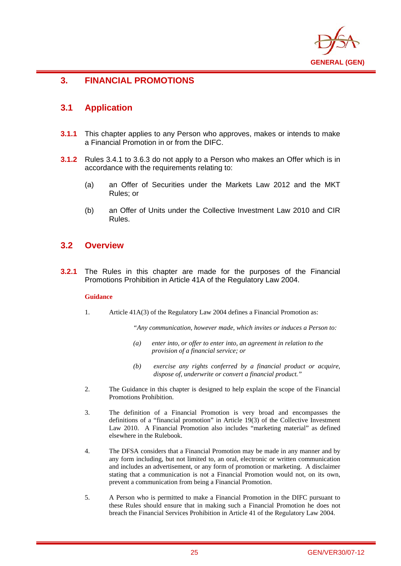

## **3. FINANCIAL PROMOTIONS**

## **3.1 Application**

i

- **3.1.1** This chapter applies to any Person who approves, makes or intends to make a Financial Promotion in or from the DIFC.
- **3.1.2** Rules 3.4.1 to 3.6.3 do not apply to a Person who makes an Offer which is in accordance with the requirements relating to:
	- (a) an Offer of Securities under the Markets Law 2012 and the MKT Rules; or
	- (b) an Offer of Units under the Collective Investment Law 2010 and CIR Rules.

## **3.2 Overview**

**3.2.1** The Rules in this chapter are made for the purposes of the Financial Promotions Prohibition in Article 41A of the Regulatory Law 2004.

#### **Guidance**

1. Article 41A(3) of the Regulatory Law 2004 defines a Financial Promotion as:

*"Any communication, however made, which invites or induces a Person to:* 

- *(a) enter into, or offer to enter into, an agreement in relation to the provision of a financial service; or*
- *(b) exercise any rights conferred by a financial product or acquire, dispose of, underwrite or convert a financial product."*
- 2. The Guidance in this chapter is designed to help explain the scope of the Financial Promotions Prohibition.
- 3. The definition of a Financial Promotion is very broad and encompasses the definitions of a "financial promotion" in Article 19(3) of the Collective Investment Law 2010. A Financial Promotion also includes "marketing material" as defined elsewhere in the Rulebook.
- 4. The DFSA considers that a Financial Promotion may be made in any manner and by any form including, but not limited to, an oral, electronic or written communication and includes an advertisement, or any form of promotion or marketing. A disclaimer stating that a communication is not a Financial Promotion would not, on its own, prevent a communication from being a Financial Promotion.
- 5. A Person who is permitted to make a Financial Promotion in the DIFC pursuant to these Rules should ensure that in making such a Financial Promotion he does not breach the Financial Services Prohibition in Article 41 of the Regulatory Law 2004.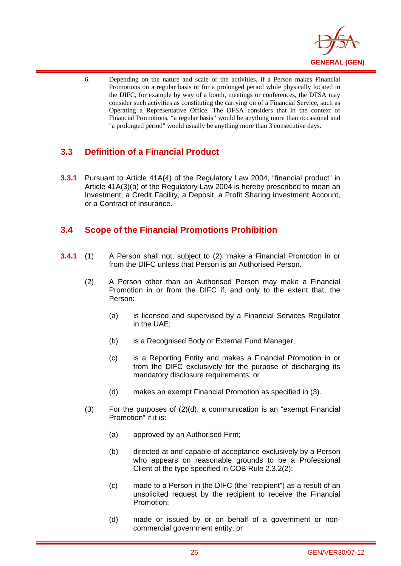

6. Depending on the nature and scale of the activities, if a Person makes Financial Promotions on a regular basis or for a prolonged period while physically located in the DIFC, for example by way of a booth, meetings or conferences, the DFSA may consider such activities as constituting the carrying on of a Financial Service, such as Operating a Representative Office. The DFSA considers that in the context of Financial Promotions, "a regular basis" would be anything more than occasional and "a prolonged period" would usually be anything more than 3 consecutive days.

## **3.3 Definition of a Financial Product**

i

**3.3.1** Pursuant to Article 41A(4) of the Regulatory Law 2004, "financial product" in Article 41A(3)(b) of the Regulatory Law 2004 is hereby prescribed to mean an Investment, a Credit Facility, a Deposit, a Profit Sharing Investment Account, or a Contract of Insurance.

## **3.4 Scope of the Financial Promotions Prohibition**

- **3.4.1** (1) A Person shall not, subject to (2), make a Financial Promotion in or from the DIFC unless that Person is an Authorised Person.
	- (2) A Person other than an Authorised Person may make a Financial Promotion in or from the DIFC if, and only to the extent that, the Person:
		- (a) is licensed and supervised by a Financial Services Regulator in the UAE;
		- (b) is a Recognised Body or External Fund Manager;
		- (c) is a Reporting Entity and makes a Financial Promotion in or from the DIFC exclusively for the purpose of discharging its mandatory disclosure requirements; or
		- (d) makes an exempt Financial Promotion as specified in (3).
	- $(3)$  For the purposes of  $(2)(d)$ , a communication is an "exempt Financial Promotion" if it is:
		- (a) approved by an Authorised Firm;
		- (b) directed at and capable of acceptance exclusively by a Person who appears on reasonable grounds to be a Professional Client of the type specified in COB Rule 2.3.2(2);
		- (c) made to a Person in the DIFC (the "recipient") as a result of an unsolicited request by the recipient to receive the Financial Promotion;
		- (d) made or issued by or on behalf of a government or noncommercial government entity; or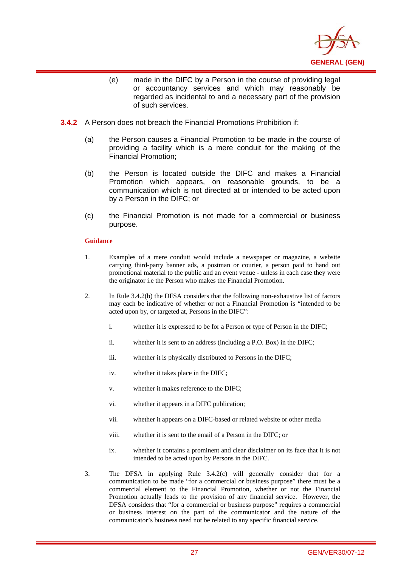

- (e) made in the DIFC by a Person in the course of providing legal or accountancy services and which may reasonably be regarded as incidental to and a necessary part of the provision of such services.
- **3.4.2** A Person does not breach the Financial Promotions Prohibition if:
	- (a) the Person causes a Financial Promotion to be made in the course of providing a facility which is a mere conduit for the making of the Financial Promotion;
	- (b) the Person is located outside the DIFC and makes a Financial Promotion which appears, on reasonable grounds, to be a communication which is not directed at or intended to be acted upon by a Person in the DIFC; or
	- (c) the Financial Promotion is not made for a commercial or business purpose.

#### **Guidance**

i

- 1. Examples of a mere conduit would include a newspaper or magazine, a website carrying third-party banner ads, a postman or courier, a person paid to hand out promotional material to the public and an event venue - unless in each case they were the originator i.e the Person who makes the Financial Promotion.
- 2. In Rule 3.4.2(b) the DFSA considers that the following non-exhaustive list of factors may each be indicative of whether or not a Financial Promotion is "intended to be acted upon by, or targeted at, Persons in the DIFC":
	- i. whether it is expressed to be for a Person or type of Person in the DIFC;
	- ii. whether it is sent to an address (including a P.O. Box) in the DIFC;
	- iii. whether it is physically distributed to Persons in the DIFC;
	- iv. whether it takes place in the DIFC;
	- v. whether it makes reference to the DIFC;
	- vi. whether it appears in a DIFC publication;
	- vii. whether it appears on a DIFC-based or related website or other media
	- viii. whether it is sent to the email of a Person in the DIFC; or
	- ix. whether it contains a prominent and clear disclaimer on its face that it is not intended to be acted upon by Persons in the DIFC.
- 3. The DFSA in applying Rule 3.4.2(c) will generally consider that for a communication to be made "for a commercial or business purpose" there must be a commercial element to the Financial Promotion, whether or not the Financial Promotion actually leads to the provision of any financial service. However, the DFSA considers that "for a commercial or business purpose" requires a commercial or business interest on the part of the communicator and the nature of the communicator's business need not be related to any specific financial service.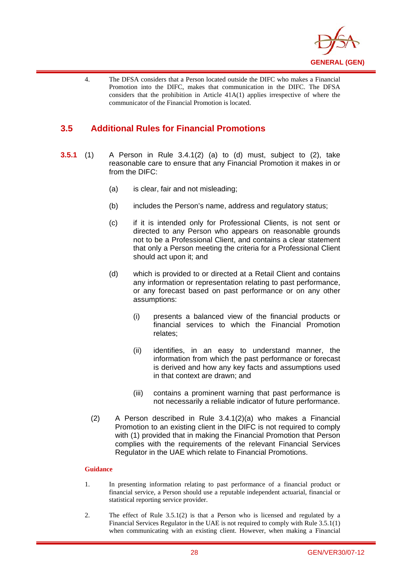

4. The DFSA considers that a Person located outside the DIFC who makes a Financial Promotion into the DIFC, makes that communication in the DIFC. The DFSA considers that the prohibition in Article 41A(1) applies irrespective of where the communicator of the Financial Promotion is located.

## **3.5 Additional Rules for Financial Promotions**

i

- **3.5.1** (1) A Person in Rule 3.4.1(2) (a) to (d) must, subject to (2), take reasonable care to ensure that any Financial Promotion it makes in or from the DIFC:
	- (a) is clear, fair and not misleading;
	- (b) includes the Person's name, address and regulatory status;
	- (c) if it is intended only for Professional Clients, is not sent or directed to any Person who appears on reasonable grounds not to be a Professional Client, and contains a clear statement that only a Person meeting the criteria for a Professional Client should act upon it; and
	- (d) which is provided to or directed at a Retail Client and contains any information or representation relating to past performance, or any forecast based on past performance or on any other assumptions:
		- (i) presents a balanced view of the financial products or financial services to which the Financial Promotion relates;
		- (ii) identifies, in an easy to understand manner, the information from which the past performance or forecast is derived and how any key facts and assumptions used in that context are drawn; and
		- (iii) contains a prominent warning that past performance is not necessarily a reliable indicator of future performance.
	- (2) A Person described in Rule 3.4.1(2)(a) who makes a Financial Promotion to an existing client in the DIFC is not required to comply with (1) provided that in making the Financial Promotion that Person complies with the requirements of the relevant Financial Services Regulator in the UAE which relate to Financial Promotions.

#### **Guidance**

- 1. In presenting information relating to past performance of a financial product or financial service, a Person should use a reputable independent actuarial, financial or statistical reporting service provider.
- 2. The effect of Rule 3.5.1(2) is that a Person who is licensed and regulated by a Financial Services Regulator in the UAE is not required to comply with Rule 3.5.1(1) when communicating with an existing client. However, when making a Financial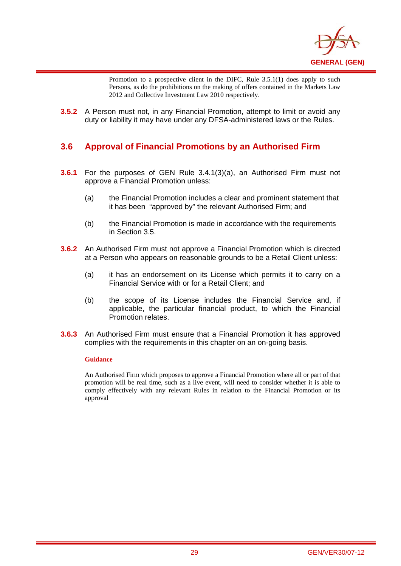

Promotion to a prospective client in the DIFC, Rule 3.5.1(1) does apply to such Persons, as do the prohibitions on the making of offers contained in the Markets Law 2012 and Collective Investment Law 2010 respectively.

**3.5.2** A Person must not, in any Financial Promotion, attempt to limit or avoid any duty or liability it may have under any DFSA-administered laws or the Rules.

## **3.6 Approval of Financial Promotions by an Authorised Firm**

- **3.6.1** For the purposes of GEN Rule 3.4.1(3)(a), an Authorised Firm must not approve a Financial Promotion unless:
	- (a) the Financial Promotion includes a clear and prominent statement that it has been "approved by" the relevant Authorised Firm; and
	- (b) the Financial Promotion is made in accordance with the requirements in Section 3.5.
- **3.6.2** An Authorised Firm must not approve a Financial Promotion which is directed at a Person who appears on reasonable grounds to be a Retail Client unless:
	- (a) it has an endorsement on its License which permits it to carry on a Financial Service with or for a Retail Client; and
	- (b) the scope of its License includes the Financial Service and, if applicable, the particular financial product, to which the Financial Promotion relates.
- **3.6.3** An Authorised Firm must ensure that a Financial Promotion it has approved complies with the requirements in this chapter on an on-going basis.

#### **Guidance**

i

An Authorised Firm which proposes to approve a Financial Promotion where all or part of that promotion will be real time, such as a live event, will need to consider whether it is able to comply effectively with any relevant Rules in relation to the Financial Promotion or its approval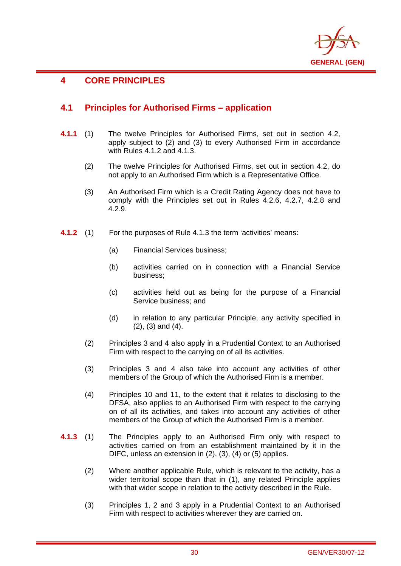

## **4 CORE PRINCIPLES**

i

## **4.1 Principles for Authorised Firms – application**

- **4.1.1** (1) The twelve Principles for Authorised Firms, set out in section 4.2, apply subject to (2) and (3) to every Authorised Firm in accordance with Rules 4.1.2 and 4.1.3.
	- (2) The twelve Principles for Authorised Firms, set out in section 4.2, do not apply to an Authorised Firm which is a Representative Office.
	- (3) An Authorised Firm which is a Credit Rating Agency does not have to comply with the Principles set out in Rules 4.2.6, 4.2.7, 4.2.8 and 4.2.9.
- **4.1.2** (1) For the purposes of Rule 4.1.3 the term 'activities' means:
	- (a) Financial Services business;
	- (b) activities carried on in connection with a Financial Service business;
	- (c) activities held out as being for the purpose of a Financial Service business; and
	- (d) in relation to any particular Principle, any activity specified in (2), (3) and (4).
	- (2) Principles 3 and 4 also apply in a Prudential Context to an Authorised Firm with respect to the carrying on of all its activities.
	- (3) Principles 3 and 4 also take into account any activities of other members of the Group of which the Authorised Firm is a member.
	- (4) Principles 10 and 11, to the extent that it relates to disclosing to the DFSA, also applies to an Authorised Firm with respect to the carrying on of all its activities, and takes into account any activities of other members of the Group of which the Authorised Firm is a member.
- **4.1.3** (1) The Principles apply to an Authorised Firm only with respect to activities carried on from an establishment maintained by it in the DIFC, unless an extension in (2), (3), (4) or (5) applies.
	- (2) Where another applicable Rule, which is relevant to the activity, has a wider territorial scope than that in (1), any related Principle applies with that wider scope in relation to the activity described in the Rule.
	- (3) Principles 1, 2 and 3 apply in a Prudential Context to an Authorised Firm with respect to activities wherever they are carried on.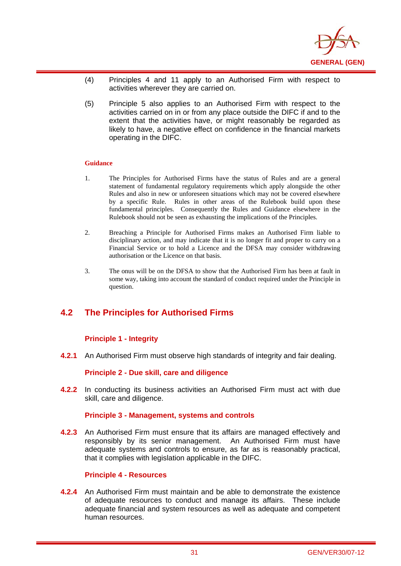

- (4) Principles 4 and 11 apply to an Authorised Firm with respect to activities wherever they are carried on.
- (5) Principle 5 also applies to an Authorised Firm with respect to the activities carried on in or from any place outside the DIFC if and to the extent that the activities have, or might reasonably be regarded as likely to have, a negative effect on confidence in the financial markets operating in the DIFC.

#### **Guidance**

i

- 1. The Principles for Authorised Firms have the status of Rules and are a general statement of fundamental regulatory requirements which apply alongside the other Rules and also in new or unforeseen situations which may not be covered elsewhere by a specific Rule. Rules in other areas of the Rulebook build upon these fundamental principles. Consequently the Rules and Guidance elsewhere in the Rulebook should not be seen as exhausting the implications of the Principles.
- 2. Breaching a Principle for Authorised Firms makes an Authorised Firm liable to disciplinary action, and may indicate that it is no longer fit and proper to carry on a Financial Service or to hold a Licence and the DFSA may consider withdrawing authorisation or the Licence on that basis.
- 3. The onus will be on the DFSA to show that the Authorised Firm has been at fault in some way, taking into account the standard of conduct required under the Principle in question.

## **4.2 The Principles for Authorised Firms**

#### **Principle 1 - Integrity**

**4.2.1** An Authorised Firm must observe high standards of integrity and fair dealing.

#### **Principle 2 - Due skill, care and diligence**

**4.2.2** In conducting its business activities an Authorised Firm must act with due skill, care and diligence.

#### **Principle 3 - Management, systems and controls**

**4.2.3** An Authorised Firm must ensure that its affairs are managed effectively and responsibly by its senior management. An Authorised Firm must have adequate systems and controls to ensure, as far as is reasonably practical, that it complies with legislation applicable in the DIFC.

#### **Principle 4 - Resources**

**4.2.4** An Authorised Firm must maintain and be able to demonstrate the existence of adequate resources to conduct and manage its affairs. These include adequate financial and system resources as well as adequate and competent human resources.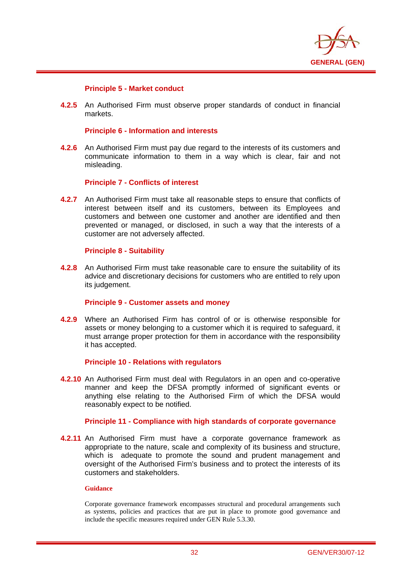

## **Principle 5 - Market conduct**

i

**4.2.5** An Authorised Firm must observe proper standards of conduct in financial markets.

## **Principle 6 - Information and interests**

**4.2.6** An Authorised Firm must pay due regard to the interests of its customers and communicate information to them in a way which is clear, fair and not misleading.

## **Principle 7 - Conflicts of interest**

**4.2.7** An Authorised Firm must take all reasonable steps to ensure that conflicts of interest between itself and its customers, between its Employees and customers and between one customer and another are identified and then prevented or managed, or disclosed, in such a way that the interests of a customer are not adversely affected.

#### **Principle 8 - Suitability**

**4.2.8** An Authorised Firm must take reasonable care to ensure the suitability of its advice and discretionary decisions for customers who are entitled to rely upon its judgement.

## **Principle 9 - Customer assets and money**

**4.2.9** Where an Authorised Firm has control of or is otherwise responsible for assets or money belonging to a customer which it is required to safeguard, it must arrange proper protection for them in accordance with the responsibility it has accepted.

#### **Principle 10 - Relations with regulators**

**4.2.10** An Authorised Firm must deal with Regulators in an open and co-operative manner and keep the DFSA promptly informed of significant events or anything else relating to the Authorised Firm of which the DFSA would reasonably expect to be notified.

#### **Principle 11 - Compliance with high standards of corporate governance**

**4.2.11** An Authorised Firm must have a corporate governance framework as appropriate to the nature, scale and complexity of its business and structure, which is adequate to promote the sound and prudent management and oversight of the Authorised Firm's business and to protect the interests of its customers and stakeholders.

#### **Guidance**

Corporate governance framework encompasses structural and procedural arrangements such as systems, policies and practices that are put in place to promote good governance and include the specific measures required under GEN Rule 5.3.30.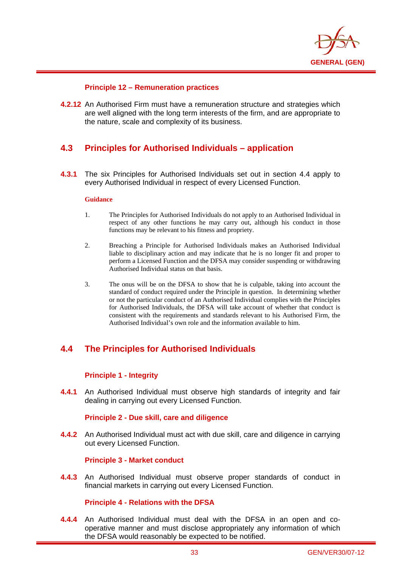

## **Principle 12 – Remuneration practices**

**4.2.12** An Authorised Firm must have a remuneration structure and strategies which are well aligned with the long term interests of the firm, and are appropriate to the nature, scale and complexity of its business.

# **4.3 Principles for Authorised Individuals – application**

**4.3.1** The six Principles for Authorised Individuals set out in section 4.4 apply to every Authorised Individual in respect of every Licensed Function.

#### **Guidance**

i

- 1. The Principles for Authorised Individuals do not apply to an Authorised Individual in respect of any other functions he may carry out, although his conduct in those functions may be relevant to his fitness and propriety.
- 2. Breaching a Principle for Authorised Individuals makes an Authorised Individual liable to disciplinary action and may indicate that he is no longer fit and proper to perform a Licensed Function and the DFSA may consider suspending or withdrawing Authorised Individual status on that basis.
- 3. The onus will be on the DFSA to show that he is culpable, taking into account the standard of conduct required under the Principle in question. In determining whether or not the particular conduct of an Authorised Individual complies with the Principles for Authorised Individuals, the DFSA will take account of whether that conduct is consistent with the requirements and standards relevant to his Authorised Firm, the Authorised Individual's own role and the information available to him.

# **4.4 The Principles for Authorised Individuals**

## **Principle 1 - Integrity**

**4.4.1** An Authorised Individual must observe high standards of integrity and fair dealing in carrying out every Licensed Function.

## **Principle 2 - Due skill, care and diligence**

**4.4.2** An Authorised Individual must act with due skill, care and diligence in carrying out every Licensed Function.

## **Principle 3 - Market conduct**

**4.4.3** An Authorised Individual must observe proper standards of conduct in financial markets in carrying out every Licensed Function.

## **Principle 4 - Relations with the DFSA**

**4.4.4** An Authorised Individual must deal with the DFSA in an open and cooperative manner and must disclose appropriately any information of which the DFSA would reasonably be expected to be notified.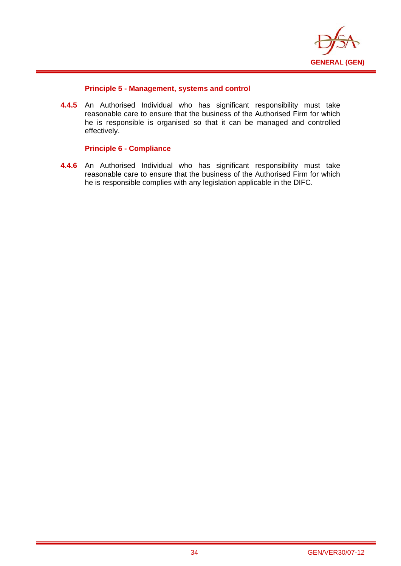

## **Principle 5 - Management, systems and control**

**4.4.5** An Authorised Individual who has significant responsibility must take reasonable care to ensure that the business of the Authorised Firm for which he is responsible is organised so that it can be managed and controlled effectively.

## **Principle 6 - Compliance**

i

**4.4.6** An Authorised Individual who has significant responsibility must take reasonable care to ensure that the business of the Authorised Firm for which he is responsible complies with any legislation applicable in the DIFC.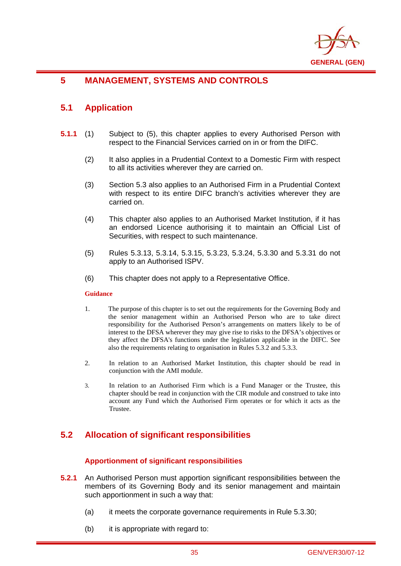

# **5 MANAGEMENT, SYSTEMS AND CONTROLS**

# **5.1 Application**

i

- **5.1.1** (1) Subject to (5), this chapter applies to every Authorised Person with respect to the Financial Services carried on in or from the DIFC.
	- (2) It also applies in a Prudential Context to a Domestic Firm with respect to all its activities wherever they are carried on.
	- (3) Section 5.3 also applies to an Authorised Firm in a Prudential Context with respect to its entire DIFC branch's activities wherever they are carried on.
	- (4) This chapter also applies to an Authorised Market Institution, if it has an endorsed Licence authorising it to maintain an Official List of Securities, with respect to such maintenance.
	- (5) Rules 5.3.13, 5.3.14, 5.3.15, 5.3.23, 5.3.24, 5.3.30 and 5.3.31 do not apply to an Authorised ISPV.
	- (6) This chapter does not apply to a Representative Office.

## **Guidance**

- 1. The purpose of this chapter is to set out the requirements for the Governing Body and the senior management within an Authorised Person who are to take direct responsibility for the Authorised Person's arrangements on matters likely to be of interest to the DFSA wherever they may give rise to risks to the DFSA's objectives or they affect the DFSA's functions under the legislation applicable in the DIFC. See also the requirements relating to organisation in Rules 5.3.2 and 5.3.3.
- 2. In relation to an Authorised Market Institution, this chapter should be read in conjunction with the AMI module.
- 3. In relation to an Authorised Firm which is a Fund Manager or the Trustee, this chapter should be read in conjunction with the CIR module and construed to take into account any Fund which the Authorised Firm operates or for which it acts as the Trustee.

# **5.2 Allocation of significant responsibilities**

## **Apportionment of significant responsibilities**

- **5.2.1** An Authorised Person must apportion significant responsibilities between the members of its Governing Body and its senior management and maintain such apportionment in such a way that:
	- (a) it meets the corporate governance requirements in Rule 5.3.30;
	- (b) it is appropriate with regard to: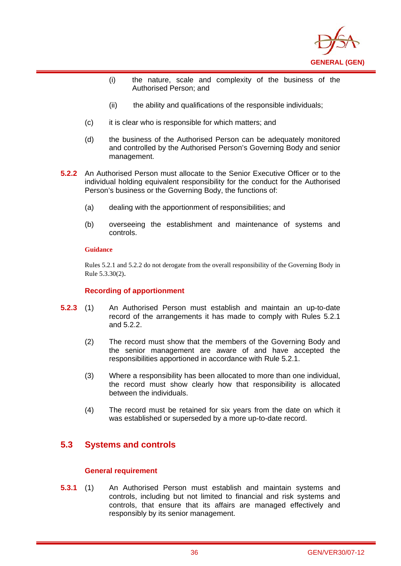

- (i) the nature, scale and complexity of the business of the Authorised Person; and
- (ii) the ability and qualifications of the responsible individuals;
- (c) it is clear who is responsible for which matters; and
- (d) the business of the Authorised Person can be adequately monitored and controlled by the Authorised Person's Governing Body and senior management.
- **5.2.2** An Authorised Person must allocate to the Senior Executive Officer or to the individual holding equivalent responsibility for the conduct for the Authorised Person's business or the Governing Body, the functions of:
	- (a) dealing with the apportionment of responsibilities; and
	- (b) overseeing the establishment and maintenance of systems and controls.

i

Rules 5.2.1 and 5.2.2 do not derogate from the overall responsibility of the Governing Body in Rule 5.3.30(2).

## **Recording of apportionment**

- **5.2.3** (1) An Authorised Person must establish and maintain an up-to-date record of the arrangements it has made to comply with Rules 5.2.1 and 5.2.2.
	- (2) The record must show that the members of the Governing Body and the senior management are aware of and have accepted the responsibilities apportioned in accordance with Rule 5.2.1.
	- (3) Where a responsibility has been allocated to more than one individual, the record must show clearly how that responsibility is allocated between the individuals.
	- (4) The record must be retained for six years from the date on which it was established or superseded by a more up-to-date record.

# **5.3 Systems and controls**

## **General requirement**

**5.3.1** (1) An Authorised Person must establish and maintain systems and controls, including but not limited to financial and risk systems and controls, that ensure that its affairs are managed effectively and responsibly by its senior management.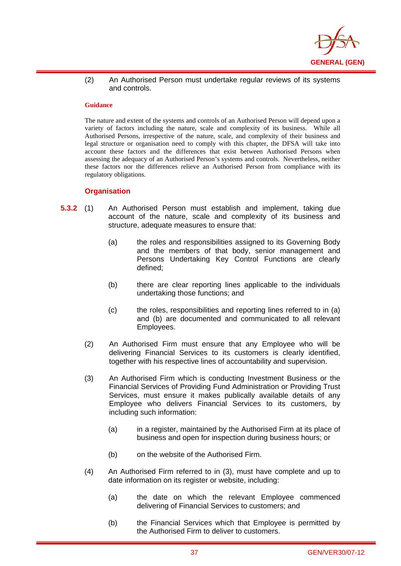

(2) An Authorised Person must undertake regular reviews of its systems and controls.

#### **Guidance**

i

The nature and extent of the systems and controls of an Authorised Person will depend upon a variety of factors including the nature, scale and complexity of its business. While all Authorised Persons, irrespective of the nature, scale, and complexity of their business and legal structure or organisation need to comply with this chapter, the DFSA will take into account these factors and the differences that exist between Authorised Persons when assessing the adequacy of an Authorised Person's systems and controls. Nevertheless, neither these factors nor the differences relieve an Authorised Person from compliance with its regulatory obligations.

### **Organisation**

- **5.3.2** (1) An Authorised Person must establish and implement, taking due account of the nature, scale and complexity of its business and structure, adequate measures to ensure that:
	- (a) the roles and responsibilities assigned to its Governing Body and the members of that body, senior management and Persons Undertaking Key Control Functions are clearly defined;
	- (b) there are clear reporting lines applicable to the individuals undertaking those functions; and
	- (c) the roles, responsibilities and reporting lines referred to in (a) and (b) are documented and communicated to all relevant Employees.
	- (2) An Authorised Firm must ensure that any Employee who will be delivering Financial Services to its customers is clearly identified, together with his respective lines of accountability and supervision.
	- (3) An Authorised Firm which is conducting Investment Business or the Financial Services of Providing Fund Administration or Providing Trust Services, must ensure it makes publically available details of any Employee who delivers Financial Services to its customers, by including such information:
		- (a) in a register, maintained by the Authorised Firm at its place of business and open for inspection during business hours; or
		- (b) on the website of the Authorised Firm.
	- (4) An Authorised Firm referred to in (3), must have complete and up to date information on its register or website, including:
		- (a) the date on which the relevant Employee commenced delivering of Financial Services to customers; and
		- (b) the Financial Services which that Employee is permitted by the Authorised Firm to deliver to customers.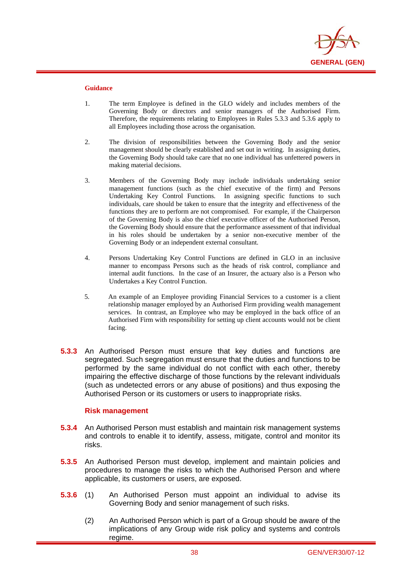

i

- 1. The term Employee is defined in the GLO widely and includes members of the Governing Body or directors and senior managers of the Authorised Firm. Therefore, the requirements relating to Employees in Rules 5.3.3 and 5.3.6 apply to all Employees including those across the organisation.
- 2. The division of responsibilities between the Governing Body and the senior management should be clearly established and set out in writing. In assigning duties, the Governing Body should take care that no one individual has unfettered powers in making material decisions.
- 3. Members of the Governing Body may include individuals undertaking senior management functions (such as the chief executive of the firm) and Persons Undertaking Key Control Functions. In assigning specific functions to such individuals, care should be taken to ensure that the integrity and effectiveness of the functions they are to perform are not compromised. For example, if the Chairperson of the Governing Body is also the chief executive officer of the Authorised Person, the Governing Body should ensure that the performance assessment of that individual in his roles should be undertaken by a senior non-executive member of the Governing Body or an independent external consultant.
- 4. Persons Undertaking Key Control Functions are defined in GLO in an inclusive manner to encompass Persons such as the heads of risk control, compliance and internal audit functions. In the case of an Insurer, the actuary also is a Person who Undertakes a Key Control Function.
- 5. An example of an Employee providing Financial Services to a customer is a client relationship manager employed by an Authorised Firm providing wealth management services. In contrast, an Employee who may be employed in the back office of an Authorised Firm with responsibility for setting up client accounts would not be client facing.
- **5.3.3** An Authorised Person must ensure that key duties and functions are segregated. Such segregation must ensure that the duties and functions to be performed by the same individual do not conflict with each other, thereby impairing the effective discharge of those functions by the relevant individuals (such as undetected errors or any abuse of positions) and thus exposing the Authorised Person or its customers or users to inappropriate risks.

## **Risk management**

- **5.3.4** An Authorised Person must establish and maintain risk management systems and controls to enable it to identify, assess, mitigate, control and monitor its risks.
- **5.3.5** An Authorised Person must develop, implement and maintain policies and procedures to manage the risks to which the Authorised Person and where applicable, its customers or users, are exposed.
- **5.3.6** (1) An Authorised Person must appoint an individual to advise its Governing Body and senior management of such risks.
	- (2) An Authorised Person which is part of a Group should be aware of the implications of any Group wide risk policy and systems and controls regime.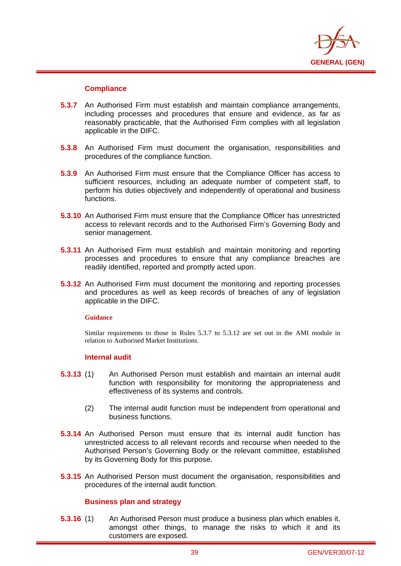

## **Compliance**

i

- **5.3.7** An Authorised Firm must establish and maintain compliance arrangements, including processes and procedures that ensure and evidence, as far as reasonably practicable, that the Authorised Firm complies with all legislation applicable in the DIFC.
- **5.3.8** An Authorised Firm must document the organisation, responsibilities and procedures of the compliance function.
- **5.3.9** An Authorised Firm must ensure that the Compliance Officer has access to sufficient resources, including an adequate number of competent staff, to perform his duties objectively and independently of operational and business functions.
- **5.3.10** An Authorised Firm must ensure that the Compliance Officer has unrestricted access to relevant records and to the Authorised Firm's Governing Body and senior management.
- **5.3.11** An Authorised Firm must establish and maintain monitoring and reporting processes and procedures to ensure that any compliance breaches are readily identified, reported and promptly acted upon.
- **5.3.12** An Authorised Firm must document the monitoring and reporting processes and procedures as well as keep records of breaches of any of legislation applicable in the DIFC.

## **Guidance**

Similar requirements to those in Rules 5.3.7 to 5.3.12 are set out in the AMI module in relation to Authorised Market Institutions.

## **Internal audit**

- **5.3.13** (1) An Authorised Person must establish and maintain an internal audit function with responsibility for monitoring the appropriateness and effectiveness of its systems and controls.
	- (2) The internal audit function must be independent from operational and business functions.
- **5.3.14** An Authorised Person must ensure that its internal audit function has unrestricted access to all relevant records and recourse when needed to the Authorised Person's Governing Body or the relevant committee, established by its Governing Body for this purpose.
- **5.3.15** An Authorised Person must document the organisation, responsibilities and procedures of the internal audit function.

## **Business plan and strategy**

**5.3.16** (1) An Authorised Person must produce a business plan which enables it, amongst other things, to manage the risks to which it and its customers are exposed.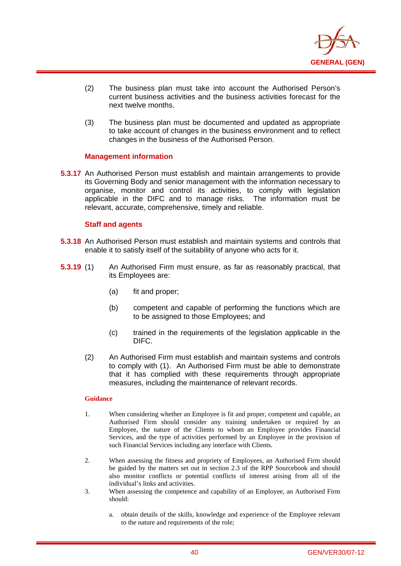

- (2) The business plan must take into account the Authorised Person's current business activities and the business activities forecast for the next twelve months.
- (3) The business plan must be documented and updated as appropriate to take account of changes in the business environment and to reflect changes in the business of the Authorised Person.

## **Management information**

**5.3.17** An Authorised Person must establish and maintain arrangements to provide its Governing Body and senior management with the information necessary to organise, monitor and control its activities, to comply with legislation applicable in the DIFC and to manage risks. The information must be relevant, accurate, comprehensive, timely and reliable.

## **Staff and agents**

i

- **5.3.18** An Authorised Person must establish and maintain systems and controls that enable it to satisfy itself of the suitability of anyone who acts for it.
- **5.3.19** (1) An Authorised Firm must ensure, as far as reasonably practical, that its Employees are:
	- (a) fit and proper;
	- (b) competent and capable of performing the functions which are to be assigned to those Employees; and
	- (c) trained in the requirements of the legislation applicable in the DIFC.
	- (2) An Authorised Firm must establish and maintain systems and controls to comply with (1). An Authorised Firm must be able to demonstrate that it has complied with these requirements through appropriate measures, including the maintenance of relevant records.

#### **Guidance**

- 1. When considering whether an Employee is fit and proper, competent and capable, an Authorised Firm should consider any training undertaken or required by an Employee, the nature of the Clients to whom an Employee provides Financial Services, and the type of activities performed by an Employee in the provision of such Financial Services including any interface with Clients.
- 2. When assessing the fitness and propriety of Employees, an Authorised Firm should be guided by the matters set out in section 2.3 of the RPP Sourcebook and should also monitor conflicts or potential conflicts of interest arising from all of the individual's links and activities.
- 3. When assessing the competence and capability of an Employee, an Authorised Firm should:
	- a. obtain details of the skills, knowledge and experience of the Employee relevant to the nature and requirements of the role;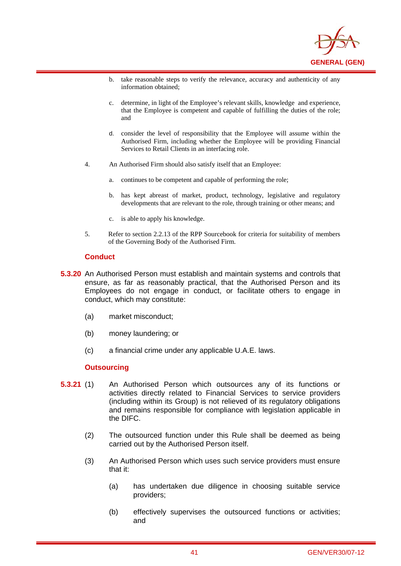

- b. take reasonable steps to verify the relevance, accuracy and authenticity of any information obtained;
- c. determine, in light of the Employee's relevant skills, knowledge and experience, that the Employee is competent and capable of fulfilling the duties of the role; and
- d. consider the level of responsibility that the Employee will assume within the Authorised Firm, including whether the Employee will be providing Financial Services to Retail Clients in an interfacing role.
- 4. An Authorised Firm should also satisfy itself that an Employee:
	- a. continues to be competent and capable of performing the role;
	- b. has kept abreast of market, product, technology, legislative and regulatory developments that are relevant to the role, through training or other means; and
	- c. is able to apply his knowledge.
- 5. Refer to section 2.2.13 of the RPP Sourcebook for criteria for suitability of members of the Governing Body of the Authorised Firm.

#### **Conduct**

i

- **5.3.20** An Authorised Person must establish and maintain systems and controls that ensure, as far as reasonably practical, that the Authorised Person and its Employees do not engage in conduct, or facilitate others to engage in conduct, which may constitute:
	- (a) market misconduct;
	- (b) money laundering; or
	- (c) a financial crime under any applicable U.A.E. laws.

## **Outsourcing**

- **5.3.21** (1) An Authorised Person which outsources any of its functions or activities directly related to Financial Services to service providers (including within its Group) is not relieved of its regulatory obligations and remains responsible for compliance with legislation applicable in the DIFC.
	- (2) The outsourced function under this Rule shall be deemed as being carried out by the Authorised Person itself.
	- (3) An Authorised Person which uses such service providers must ensure that it:
		- (a) has undertaken due diligence in choosing suitable service providers;
		- (b) effectively supervises the outsourced functions or activities; and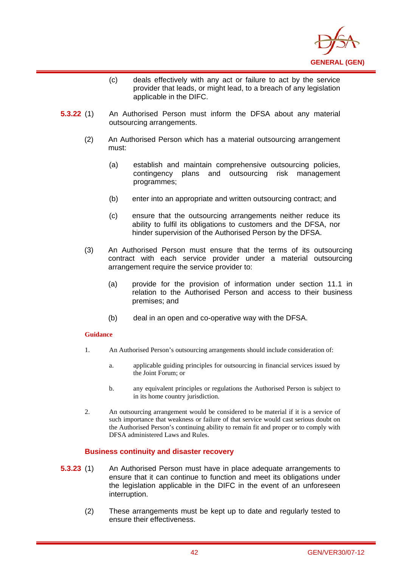

- (c) deals effectively with any act or failure to act by the service provider that leads, or might lead, to a breach of any legislation applicable in the DIFC.
- **5.3.22** (1) An Authorised Person must inform the DFSA about any material outsourcing arrangements.
	- (2) An Authorised Person which has a material outsourcing arrangement must:
		- (a) establish and maintain comprehensive outsourcing policies, contingency plans and outsourcing risk management programmes;
		- (b) enter into an appropriate and written outsourcing contract; and
		- (c) ensure that the outsourcing arrangements neither reduce its ability to fulfil its obligations to customers and the DFSA, nor hinder supervision of the Authorised Person by the DFSA.
	- (3) An Authorised Person must ensure that the terms of its outsourcing contract with each service provider under a material outsourcing arrangement require the service provider to:
		- (a) provide for the provision of information under section 11.1 in relation to the Authorised Person and access to their business premises; and
		- (b) deal in an open and co-operative way with the DFSA.

i

- 1. An Authorised Person's outsourcing arrangements should include consideration of:
	- a. applicable guiding principles for outsourcing in financial services issued by the Joint Forum; or
	- b. any equivalent principles or regulations the Authorised Person is subject to in its home country jurisdiction.
- 2. An outsourcing arrangement would be considered to be material if it is a service of such importance that weakness or failure of that service would cast serious doubt on the Authorised Person's continuing ability to remain fit and proper or to comply with DFSA administered Laws and Rules.

## **Business continuity and disaster recovery**

- **5.3.23** (1) An Authorised Person must have in place adequate arrangements to ensure that it can continue to function and meet its obligations under the legislation applicable in the DIFC in the event of an unforeseen interruption.
	- (2) These arrangements must be kept up to date and regularly tested to ensure their effectiveness.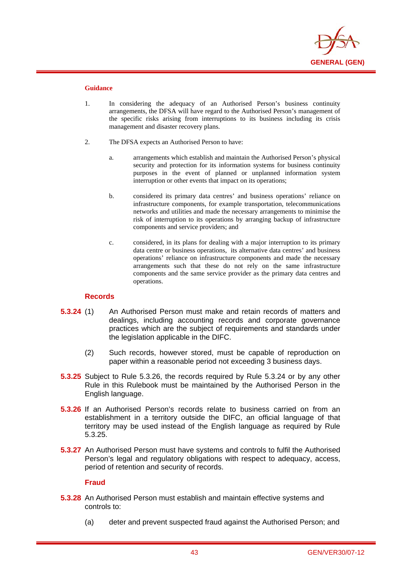

i

- 1. In considering the adequacy of an Authorised Person's business continuity arrangements, the DFSA will have regard to the Authorised Person's management of the specific risks arising from interruptions to its business including its crisis management and disaster recovery plans.
- 2. The DFSA expects an Authorised Person to have:
	- a. arrangements which establish and maintain the Authorised Person's physical security and protection for its information systems for business continuity purposes in the event of planned or unplanned information system interruption or other events that impact on its operations;
	- b. considered its primary data centres' and business operations' reliance on infrastructure components, for example transportation, telecommunications networks and utilities and made the necessary arrangements to minimise the risk of interruption to its operations by arranging backup of infrastructure components and service providers; and
	- c. considered, in its plans for dealing with a major interruption to its primary data centre or business operations, its alternative data centres' and business operations' reliance on infrastructure components and made the necessary arrangements such that these do not rely on the same infrastructure components and the same service provider as the primary data centres and operations.

## **Records**

- **5.3.24** (1) An Authorised Person must make and retain records of matters and dealings, including accounting records and corporate governance practices which are the subject of requirements and standards under the legislation applicable in the DIFC.
	- (2) Such records, however stored, must be capable of reproduction on paper within a reasonable period not exceeding 3 business days.
- **5.3.25** Subject to Rule 5.3.26, the records required by Rule 5.3.24 or by any other Rule in this Rulebook must be maintained by the Authorised Person in the English language.
- **5.3.26** If an Authorised Person's records relate to business carried on from an establishment in a territory outside the DIFC, an official language of that territory may be used instead of the English language as required by Rule 5.3.25.
- **5.3.27** An Authorised Person must have systems and controls to fulfil the Authorised Person's legal and regulatory obligations with respect to adequacy, access, period of retention and security of records.

## **Fraud**

- **5.3.28** An Authorised Person must establish and maintain effective systems and controls to:
	- (a) deter and prevent suspected fraud against the Authorised Person; and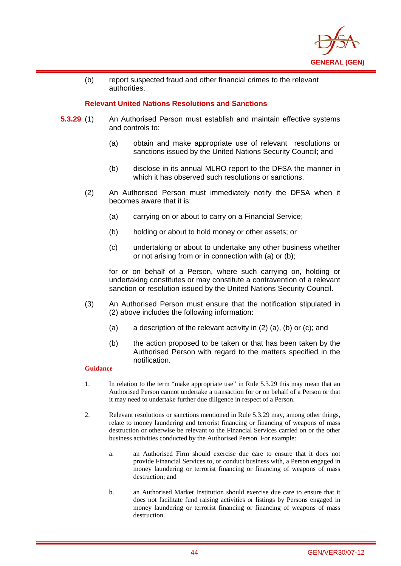

(b) report suspected fraud and other financial crimes to the relevant authorities.

## **Relevant United Nations Resolutions and Sanctions**

- **5.3.29** (1) An Authorised Person must establish and maintain effective systems and controls to:
	- (a) obtain and make appropriate use of relevant resolutions or sanctions issued by the United Nations Security Council; and
	- (b) disclose in its annual MLRO report to the DFSA the manner in which it has observed such resolutions or sanctions.
	- (2) An Authorised Person must immediately notify the DFSA when it becomes aware that it is:
		- (a) carrying on or about to carry on a Financial Service;
		- (b) holding or about to hold money or other assets; or
		- (c) undertaking or about to undertake any other business whether or not arising from or in connection with (a) or (b);

for or on behalf of a Person, where such carrying on, holding or undertaking constitutes or may constitute a contravention of a relevant sanction or resolution issued by the United Nations Security Council.

- (3) An Authorised Person must ensure that the notification stipulated in (2) above includes the following information:
	- (a) a description of the relevant activity in (2) (a), (b) or (c); and
	- (b) the action proposed to be taken or that has been taken by the Authorised Person with regard to the matters specified in the notification.

### **Guidance**

i

- 1. In relation to the term "make appropriate use" in Rule 5.3.29 this may mean that an Authorised Person cannot undertake a transaction for or on behalf of a Person or that it may need to undertake further due diligence in respect of a Person.
- 2. Relevant resolutions or sanctions mentioned in Rule 5.3.29 may, among other things, relate to money laundering and terrorist financing or financing of weapons of mass destruction or otherwise be relevant to the Financial Services carried on or the other business activities conducted by the Authorised Person. For example:
	- a. an Authorised Firm should exercise due care to ensure that it does not provide Financial Services to, or conduct business with, a Person engaged in money laundering or terrorist financing or financing of weapons of mass destruction; and
	- b. an Authorised Market Institution should exercise due care to ensure that it does not facilitate fund raising activities or listings by Persons engaged in money laundering or terrorist financing or financing of weapons of mass destruction.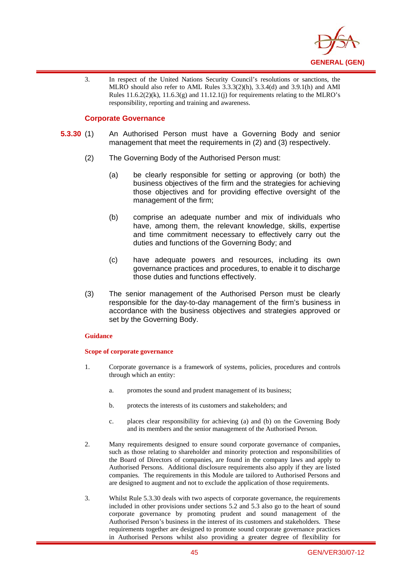

3. In respect of the United Nations Security Council's resolutions or sanctions, the MLRO should also refer to AML Rules 3.3.3(2)(h), 3.3.4(d) and 3.9.1(h) and AMI Rules  $11.6.2(2)(k)$ ,  $11.6.3(g)$  and  $11.12.1(j)$  for requirements relating to the MLRO's responsibility, reporting and training and awareness.

### **Corporate Governance**

i

- **5.3.30** (1) An Authorised Person must have a Governing Body and senior management that meet the requirements in (2) and (3) respectively.
	- (2) The Governing Body of the Authorised Person must:
		- (a) be clearly responsible for setting or approving (or both) the business objectives of the firm and the strategies for achieving those objectives and for providing effective oversight of the management of the firm;
		- (b) comprise an adequate number and mix of individuals who have, among them, the relevant knowledge, skills, expertise and time commitment necessary to effectively carry out the duties and functions of the Governing Body; and
		- (c) have adequate powers and resources, including its own governance practices and procedures, to enable it to discharge those duties and functions effectively.
	- (3) The senior management of the Authorised Person must be clearly responsible for the day-to-day management of the firm's business in accordance with the business objectives and strategies approved or set by the Governing Body.

#### **Guidance**

#### **Scope of corporate governance**

- 1. Corporate governance is a framework of systems, policies, procedures and controls through which an entity:
	- a. promotes the sound and prudent management of its business;
	- b. protects the interests of its customers and stakeholders; and
	- c. places clear responsibility for achieving (a) and (b) on the Governing Body and its members and the senior management of the Authorised Person.
- 2. Many requirements designed to ensure sound corporate governance of companies, such as those relating to shareholder and minority protection and responsibilities of the Board of Directors of companies, are found in the company laws and apply to Authorised Persons. Additional disclosure requirements also apply if they are listed companies. The requirements in this Module are tailored to Authorised Persons and are designed to augment and not to exclude the application of those requirements.
- 3. Whilst Rule 5.3.30 deals with two aspects of corporate governance, the requirements included in other provisions under sections 5.2 and 5.3 also go to the heart of sound corporate governance by promoting prudent and sound management of the Authorised Person's business in the interest of its customers and stakeholders. These requirements together are designed to promote sound corporate governance practices in Authorised Persons whilst also providing a greater degree of flexibility for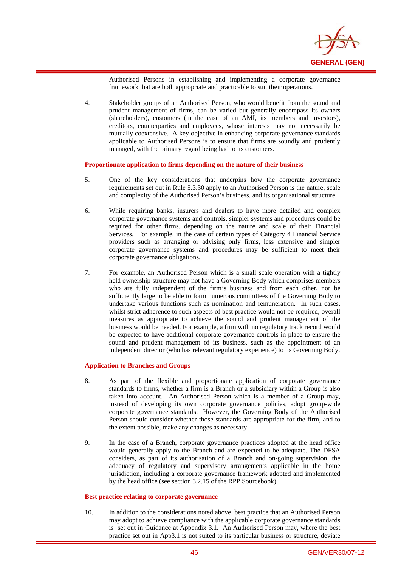

Authorised Persons in establishing and implementing a corporate governance framework that are both appropriate and practicable to suit their operations.

4. Stakeholder groups of an Authorised Person, who would benefit from the sound and prudent management of firms, can be varied but generally encompass its owners (shareholders), customers (in the case of an AMI, its members and investors), creditors, counterparties and employees, whose interests may not necessarily be mutually coextensive. A key objective in enhancing corporate governance standards applicable to Authorised Persons is to ensure that firms are soundly and prudently managed, with the primary regard being had to its customers.

#### **Proportionate application to firms depending on the nature of their business**

- 5. One of the key considerations that underpins how the corporate governance requirements set out in Rule 5.3.30 apply to an Authorised Person is the nature, scale and complexity of the Authorised Person's business, and its organisational structure.
- 6. While requiring banks, insurers and dealers to have more detailed and complex corporate governance systems and controls, simpler systems and procedures could be required for other firms, depending on the nature and scale of their Financial Services. For example, in the case of certain types of Category 4 Financial Service providers such as arranging or advising only firms, less extensive and simpler corporate governance systems and procedures may be sufficient to meet their corporate governance obligations.
- 7. For example, an Authorised Person which is a small scale operation with a tightly held ownership structure may not have a Governing Body which comprises members who are fully independent of the firm's business and from each other, nor be sufficiently large to be able to form numerous committees of the Governing Body to undertake various functions such as nomination and remuneration. In such cases, whilst strict adherence to such aspects of best practice would not be required, overall measures as appropriate to achieve the sound and prudent management of the business would be needed. For example, a firm with no regulatory track record would be expected to have additional corporate governance controls in place to ensure the sound and prudent management of its business, such as the appointment of an independent director (who has relevant regulatory experience) to its Governing Body.

#### **Application to Branches and Groups**

i

- 8. As part of the flexible and proportionate application of corporate governance standards to firms, whether a firm is a Branch or a subsidiary within a Group is also taken into account. An Authorised Person which is a member of a Group may, instead of developing its own corporate governance policies, adopt group-wide corporate governance standards. However, the Governing Body of the Authorised Person should consider whether those standards are appropriate for the firm, and to the extent possible, make any changes as necessary.
- 9. In the case of a Branch, corporate governance practices adopted at the head office would generally apply to the Branch and are expected to be adequate. The DFSA considers, as part of its authorisation of a Branch and on-going supervision, the adequacy of regulatory and supervisory arrangements applicable in the home jurisdiction, including a corporate governance framework adopted and implemented by the head office (see section 3.2.15 of the RPP Sourcebook).

#### **Best practice relating to corporate governance**

10. In addition to the considerations noted above, best practice that an Authorised Person may adopt to achieve compliance with the applicable corporate governance standards is set out in Guidance at Appendix 3.1. An Authorised Person may, where the best practice set out in App3.1 is not suited to its particular business or structure, deviate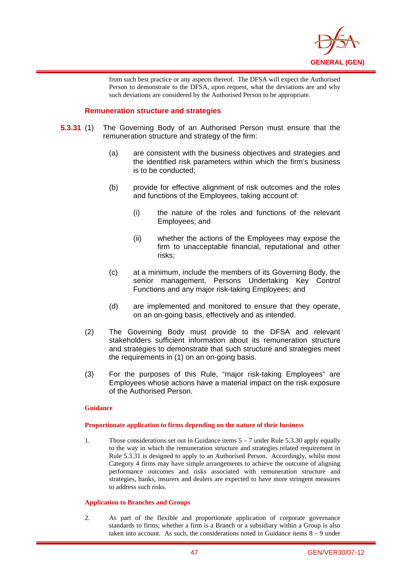

from such best practice or any aspects thereof. The DFSA will expect the Authorised Person to demonstrate to the DFSA, upon request, what the deviations are and why such deviations are considered by the Authorised Person to be appropriate.

## **Remuneration structure and strategies**

i

- **5.3.31** (1) The Governing Body of an Authorised Person must ensure that the remuneration structure and strategy of the firm:
	- (a) are consistent with the business objectives and strategies and the identified risk parameters within which the firm's business is to be conducted;
	- (b) provide for effective alignment of risk outcomes and the roles and functions of the Employees, taking account of:
		- (i) the nature of the roles and functions of the relevant Employees; and
		- (ii) whether the actions of the Employees may expose the firm to unacceptable financial, reputational and other risks;
	- (c) at a minimum, include the members of its Governing Body, the senior management, Persons Undertaking Key Control Functions and any major risk-taking Employees; and
	- (d) are implemented and monitored to ensure that they operate, on an on-going basis, effectively and as intended.
	- (2) The Governing Body must provide to the DFSA and relevant stakeholders sufficient information about its remuneration structure and strategies to demonstrate that such structure and strategies meet the requirements in (1) on an on-going basis.
	- (3) For the purposes of this Rule, "major risk-taking Employees" are Employees whose actions have a material impact on the risk exposure of the Authorised Person.

#### **Guidance**

#### **Proportionate application to firms depending on the nature of their business**

1. Those considerations set out in Guidance items 5 – 7 under Rule 5.3.30 apply equally to the way in which the remuneration structure and strategies related requirement in Rule 5.3.31 is designed to apply to an Authorised Person. Accordingly, whilst most Category 4 firms may have simple arrangements to achieve the outcome of aligning performance outcomes and risks associated with remuneration structure and strategies, banks, insurers and dealers are expected to have more stringent measures to address such risks.

#### **Application to Branches and Groups**

2. As part of the flexible and proportionate application of corporate governance standards to firms, whether a firm is a Branch or a subsidiary within a Group is also taken into account. As such, the considerations noted in Guidance items  $8 - 9$  under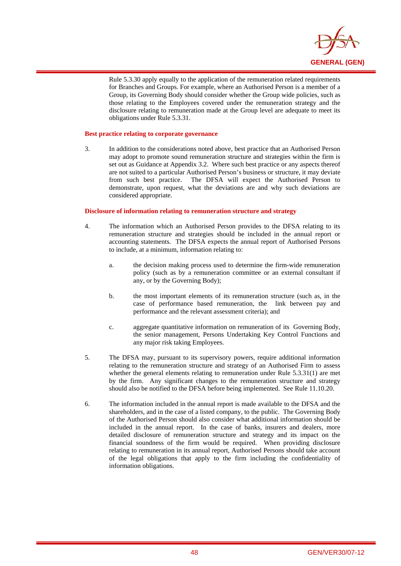

Rule 5.3.30 apply equally to the application of the remuneration related requirements for Branches and Groups. For example, where an Authorised Person is a member of a Group, its Governing Body should consider whether the Group wide policies, such as those relating to the Employees covered under the remuneration strategy and the disclosure relating to remuneration made at the Group level are adequate to meet its obligations under Rule 5.3.31.

#### **Best practice relating to corporate governance**

i

3. In addition to the considerations noted above, best practice that an Authorised Person may adopt to promote sound remuneration structure and strategies within the firm is set out as Guidance at Appendix 3.2. Where such best practice or any aspects thereof are not suited to a particular Authorised Person's business or structure, it may deviate from such best practice. The DFSA will expect the Authorised Person to demonstrate, upon request, what the deviations are and why such deviations are considered appropriate.

#### **Disclosure of information relating to remuneration structure and strategy**

- 4. The information which an Authorised Person provides to the DFSA relating to its remuneration structure and strategies should be included in the annual report or accounting statements. The DFSA expects the annual report of Authorised Persons to include, at a minimum, information relating to:
	- a. the decision making process used to determine the firm-wide remuneration policy (such as by a remuneration committee or an external consultant if any, or by the Governing Body);
	- b. the most important elements of its remuneration structure (such as, in the case of performance based remuneration, the link between pay and performance and the relevant assessment criteria); and
	- c. aggregate quantitative information on remuneration of its Governing Body, the senior management, Persons Undertaking Key Control Functions and any major risk taking Employees.
- 5. The DFSA may, pursuant to its supervisory powers, require additional information relating to the remuneration structure and strategy of an Authorised Firm to assess whether the general elements relating to remuneration under Rule 5.3.31(1) are met by the firm. Any significant changes to the remuneration structure and strategy should also be notified to the DFSA before being implemented. See Rule 11.10.20.
- 6. The information included in the annual report is made available to the DFSA and the shareholders, and in the case of a listed company, to the public. The Governing Body of the Authorised Person should also consider what additional information should be included in the annual report. In the case of banks, insurers and dealers, more detailed disclosure of remuneration structure and strategy and its impact on the financial soundness of the firm would be required. When providing disclosure relating to remuneration in its annual report, Authorised Persons should take account of the legal obligations that apply to the firm including the confidentiality of information obligations.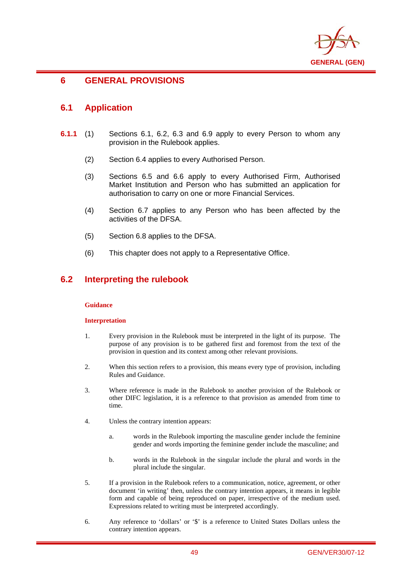

# **6 GENERAL PROVISIONS**

## **6.1 Application**

i

- **6.1.1** (1) Sections 6.1, 6.2, 6.3 and 6.9 apply to every Person to whom any provision in the Rulebook applies.
	- (2) Section 6.4 applies to every Authorised Person.
	- (3) Sections 6.5 and 6.6 apply to every Authorised Firm, Authorised Market Institution and Person who has submitted an application for authorisation to carry on one or more Financial Services.
	- (4) Section 6.7 applies to any Person who has been affected by the activities of the DFSA.
	- (5) Section 6.8 applies to the DFSA.
	- (6) This chapter does not apply to a Representative Office.

## **6.2 Interpreting the rulebook**

#### **Guidance**

#### **Interpretation**

- 1. Every provision in the Rulebook must be interpreted in the light of its purpose. The purpose of any provision is to be gathered first and foremost from the text of the provision in question and its context among other relevant provisions.
- 2. When this section refers to a provision, this means every type of provision, including Rules and Guidance.
- 3. Where reference is made in the Rulebook to another provision of the Rulebook or other DIFC legislation, it is a reference to that provision as amended from time to time.
- 4. Unless the contrary intention appears:
	- a. words in the Rulebook importing the masculine gender include the feminine gender and words importing the feminine gender include the masculine; and
	- b. words in the Rulebook in the singular include the plural and words in the plural include the singular.
- 5. If a provision in the Rulebook refers to a communication, notice, agreement, or other document 'in writing' then, unless the contrary intention appears, it means in legible form and capable of being reproduced on paper, irrespective of the medium used. Expressions related to writing must be interpreted accordingly.
- 6. Any reference to 'dollars' or '\$' is a reference to United States Dollars unless the contrary intention appears.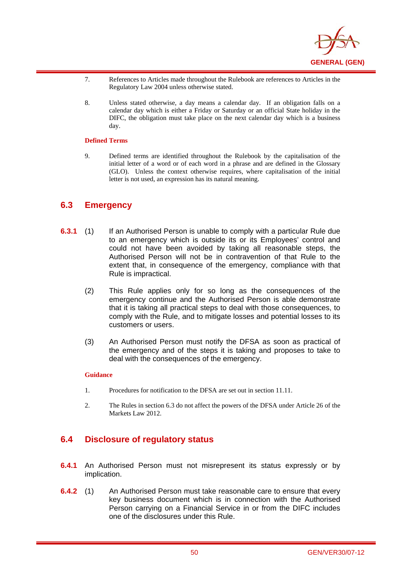

- 7. References to Articles made throughout the Rulebook are references to Articles in the Regulatory Law 2004 unless otherwise stated.
- 8. Unless stated otherwise, a day means a calendar day. If an obligation falls on a calendar day which is either a Friday or Saturday or an official State holiday in the DIFC, the obligation must take place on the next calendar day which is a business day.

#### **Defined Terms**

i

9. Defined terms are identified throughout the Rulebook by the capitalisation of the initial letter of a word or of each word in a phrase and are defined in the Glossary (GLO). Unless the context otherwise requires, where capitalisation of the initial letter is not used, an expression has its natural meaning.

# **6.3 Emergency**

- **6.3.1** (1) If an Authorised Person is unable to comply with a particular Rule due to an emergency which is outside its or its Employees' control and could not have been avoided by taking all reasonable steps, the Authorised Person will not be in contravention of that Rule to the extent that, in consequence of the emergency, compliance with that Rule is impractical.
	- (2) This Rule applies only for so long as the consequences of the emergency continue and the Authorised Person is able demonstrate that it is taking all practical steps to deal with those consequences, to comply with the Rule, and to mitigate losses and potential losses to its customers or users.
	- (3) An Authorised Person must notify the DFSA as soon as practical of the emergency and of the steps it is taking and proposes to take to deal with the consequences of the emergency.

#### **Guidance**

- 1. Procedures for notification to the DFSA are set out in section 11.11.
- 2. The Rules in section 6.3 do not affect the powers of the DFSA under Article 26 of the Markets Law 2012.

# **6.4 Disclosure of regulatory status**

- **6.4.1** An Authorised Person must not misrepresent its status expressly or by implication.
- **6.4.2** (1) An Authorised Person must take reasonable care to ensure that every key business document which is in connection with the Authorised Person carrying on a Financial Service in or from the DIFC includes one of the disclosures under this Rule.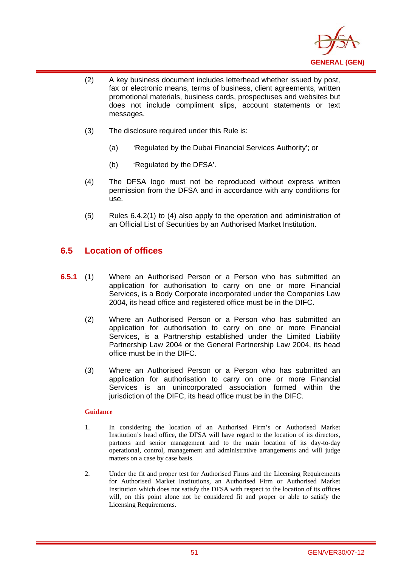

- (2) A key business document includes letterhead whether issued by post, fax or electronic means, terms of business, client agreements, written promotional materials, business cards, prospectuses and websites but does not include compliment slips, account statements or text messages.
- (3) The disclosure required under this Rule is:
	- (a) 'Regulated by the Dubai Financial Services Authority'; or
	- (b) 'Regulated by the DFSA'.
- (4) The DFSA logo must not be reproduced without express written permission from the DFSA and in accordance with any conditions for use.
- (5) Rules 6.4.2(1) to (4) also apply to the operation and administration of an Official List of Securities by an Authorised Market Institution.

# **6.5 Location of offices**

i

- **6.5.1** (1) Where an Authorised Person or a Person who has submitted an application for authorisation to carry on one or more Financial Services, is a Body Corporate incorporated under the Companies Law 2004, its head office and registered office must be in the DIFC.
	- (2) Where an Authorised Person or a Person who has submitted an application for authorisation to carry on one or more Financial Services, is a Partnership established under the Limited Liability Partnership Law 2004 or the General Partnership Law 2004, its head office must be in the DIFC.
	- (3) Where an Authorised Person or a Person who has submitted an application for authorisation to carry on one or more Financial Services is an unincorporated association formed within the jurisdiction of the DIFC, its head office must be in the DIFC.

## **Guidance**

- 1. In considering the location of an Authorised Firm's or Authorised Market Institution's head office, the DFSA will have regard to the location of its directors, partners and senior management and to the main location of its day-to-day operational, control, management and administrative arrangements and will judge matters on a case by case basis.
- 2. Under the fit and proper test for Authorised Firms and the Licensing Requirements for Authorised Market Institutions, an Authorised Firm or Authorised Market Institution which does not satisfy the DFSA with respect to the location of its offices will, on this point alone not be considered fit and proper or able to satisfy the Licensing Requirements.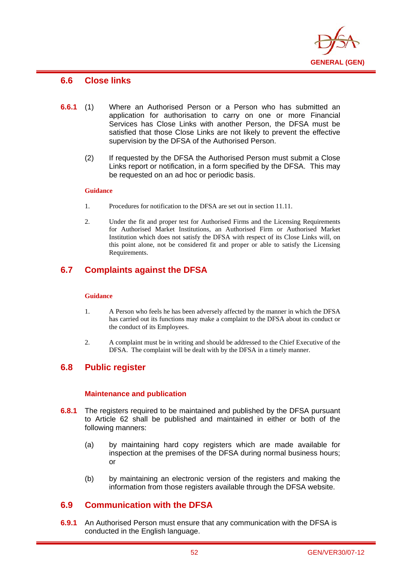

## **6.6 Close links**

i

- **6.6.1** (1) Where an Authorised Person or a Person who has submitted an application for authorisation to carry on one or more Financial Services has Close Links with another Person, the DFSA must be satisfied that those Close Links are not likely to prevent the effective supervision by the DFSA of the Authorised Person.
	- (2) If requested by the DFSA the Authorised Person must submit a Close Links report or notification, in a form specified by the DFSA. This may be requested on an ad hoc or periodic basis.

#### **Guidance**

- 1. Procedures for notification to the DFSA are set out in section 11.11.
- 2. Under the fit and proper test for Authorised Firms and the Licensing Requirements for Authorised Market Institutions, an Authorised Firm or Authorised Market Institution which does not satisfy the DFSA with respect of its Close Links will, on this point alone, not be considered fit and proper or able to satisfy the Licensing Requirements.

# **6.7 Complaints against the DFSA**

#### **Guidance**

- 1. A Person who feels he has been adversely affected by the manner in which the DFSA has carried out its functions may make a complaint to the DFSA about its conduct or the conduct of its Employees.
- 2. A complaint must be in writing and should be addressed to the Chief Executive of the DFSA. The complaint will be dealt with by the DFSA in a timely manner.

## **6.8 Public register**

## **Maintenance and publication**

- **6.8.1** The registers required to be maintained and published by the DFSA pursuant to Article 62 shall be published and maintained in either or both of the following manners:
	- (a) by maintaining hard copy registers which are made available for inspection at the premises of the DFSA during normal business hours; or
	- (b) by maintaining an electronic version of the registers and making the information from those registers available through the DFSA website.

## **6.9 Communication with the DFSA**

**6.9.1** An Authorised Person must ensure that any communication with the DFSA is conducted in the English language.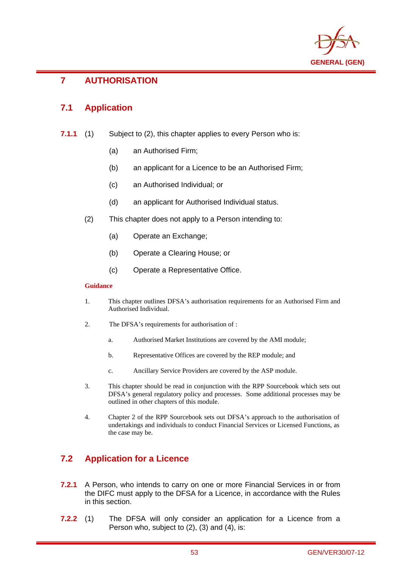

## i **7 AUTHORISATION**

# **7.1 Application**

- **7.1.1** (1) Subject to (2), this chapter applies to every Person who is:
	- (a) an Authorised Firm;
	- (b) an applicant for a Licence to be an Authorised Firm;
	- (c) an Authorised Individual; or
	- (d) an applicant for Authorised Individual status.
	- (2) This chapter does not apply to a Person intending to:
		- (a) Operate an Exchange;
		- (b) Operate a Clearing House; or
		- (c) Operate a Representative Office.

### **Guidance**

- 1. This chapter outlines DFSA's authorisation requirements for an Authorised Firm and Authorised Individual.
- 2. The DFSA's requirements for authorisation of :
	- a. Authorised Market Institutions are covered by the AMI module;
	- b. Representative Offices are covered by the REP module; and
	- c. Ancillary Service Providers are covered by the ASP module.
- 3. This chapter should be read in conjunction with the RPP Sourcebook which sets out DFSA's general regulatory policy and processes. Some additional processes may be outlined in other chapters of this module.
- 4. Chapter 2 of the RPP Sourcebook sets out DFSA's approach to the authorisation of undertakings and individuals to conduct Financial Services or Licensed Functions, as the case may be.

# **7.2 Application for a Licence**

- **7.2.1** A Person, who intends to carry on one or more Financial Services in or from the DIFC must apply to the DFSA for a Licence, in accordance with the Rules in this section.
- **7.2.2** (1) The DFSA will only consider an application for a Licence from a Person who, subject to (2), (3) and (4), is: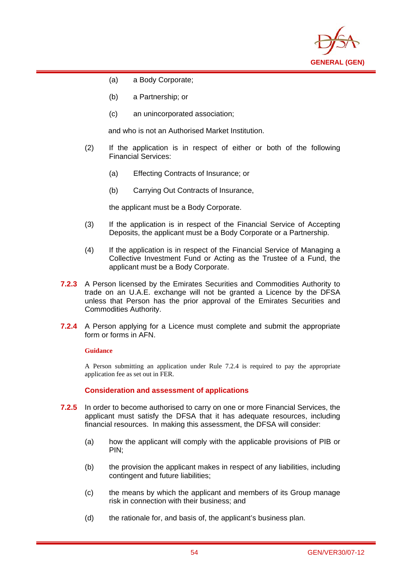

(a) a Body Corporate;

i

- (b) a Partnership; or
- (c) an unincorporated association;

and who is not an Authorised Market Institution.

- (2) If the application is in respect of either or both of the following Financial Services:
	- (a) Effecting Contracts of Insurance; or
	- (b) Carrying Out Contracts of Insurance,

the applicant must be a Body Corporate.

- (3) If the application is in respect of the Financial Service of Accepting Deposits, the applicant must be a Body Corporate or a Partnership.
- (4) If the application is in respect of the Financial Service of Managing a Collective Investment Fund or Acting as the Trustee of a Fund, the applicant must be a Body Corporate.
- **7.2.3** A Person licensed by the Emirates Securities and Commodities Authority to trade on an U.A.E. exchange will not be granted a Licence by the DFSA unless that Person has the prior approval of the Emirates Securities and Commodities Authority.
- **7.2.4** A Person applying for a Licence must complete and submit the appropriate form or forms in AFN.

#### **Guidance**

A Person submitting an application under Rule 7.2.4 is required to pay the appropriate application fee as set out in FER.

**Consideration and assessment of applications** 

- **7.2.5** In order to become authorised to carry on one or more Financial Services, the applicant must satisfy the DFSA that it has adequate resources, including financial resources. In making this assessment, the DFSA will consider:
	- (a) how the applicant will comply with the applicable provisions of PIB or PIN;
	- (b) the provision the applicant makes in respect of any liabilities, including contingent and future liabilities;
	- (c) the means by which the applicant and members of its Group manage risk in connection with their business; and
	- (d) the rationale for, and basis of, the applicant's business plan.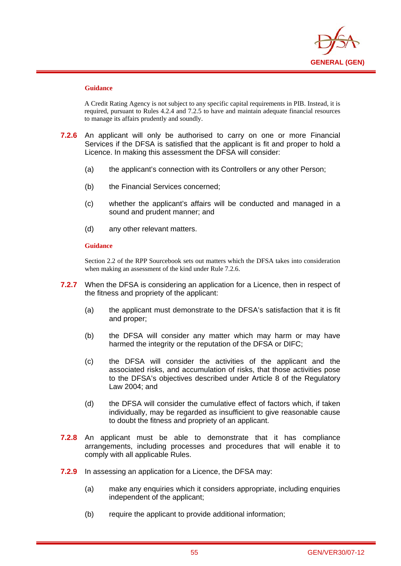

i

A Credit Rating Agency is not subject to any specific capital requirements in PIB. Instead, it is required, pursuant to Rules 4.2.4 and 7.2.5 to have and maintain adequate financial resources to manage its affairs prudently and soundly.

- **7.2.6** An applicant will only be authorised to carry on one or more Financial Services if the DFSA is satisfied that the applicant is fit and proper to hold a Licence. In making this assessment the DFSA will consider:
	- (a) the applicant's connection with its Controllers or any other Person;
	- (b) the Financial Services concerned;
	- (c) whether the applicant's affairs will be conducted and managed in a sound and prudent manner; and
	- (d) any other relevant matters.

#### **Guidance**

Section 2.2 of the RPP Sourcebook sets out matters which the DFSA takes into consideration when making an assessment of the kind under Rule 7.2.6.

- **7.2.7** When the DFSA is considering an application for a Licence, then in respect of the fitness and propriety of the applicant:
	- (a) the applicant must demonstrate to the DFSA's satisfaction that it is fit and proper;
	- (b) the DFSA will consider any matter which may harm or may have harmed the integrity or the reputation of the DFSA or DIFC;
	- (c) the DFSA will consider the activities of the applicant and the associated risks, and accumulation of risks, that those activities pose to the DFSA's objectives described under Article 8 of the Regulatory Law 2004; and
	- (d) the DFSA will consider the cumulative effect of factors which, if taken individually, may be regarded as insufficient to give reasonable cause to doubt the fitness and propriety of an applicant.
- **7.2.8** An applicant must be able to demonstrate that it has compliance arrangements, including processes and procedures that will enable it to comply with all applicable Rules.
- **7.2.9** In assessing an application for a Licence, the DFSA may:
	- (a) make any enquiries which it considers appropriate, including enquiries independent of the applicant;
	- (b) require the applicant to provide additional information;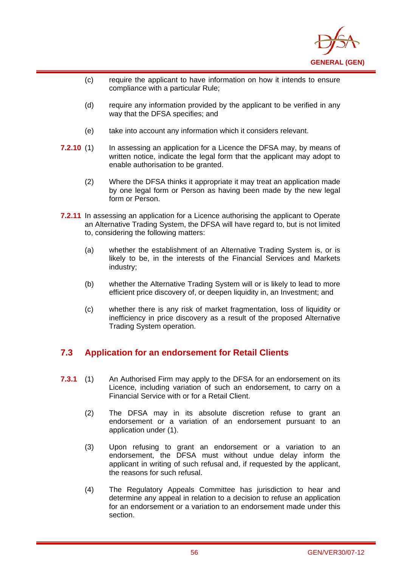

- (c) require the applicant to have information on how it intends to ensure compliance with a particular Rule;
- (d) require any information provided by the applicant to be verified in any way that the DFSA specifies; and
- (e) take into account any information which it considers relevant.

i

- **7.2.10** (1) In assessing an application for a Licence the DFSA may, by means of written notice, indicate the legal form that the applicant may adopt to enable authorisation to be granted.
	- (2) Where the DFSA thinks it appropriate it may treat an application made by one legal form or Person as having been made by the new legal form or Person.
- **7.2.11** In assessing an application for a Licence authorising the applicant to Operate an Alternative Trading System, the DFSA will have regard to, but is not limited to, considering the following matters:
	- (a) whether the establishment of an Alternative Trading System is, or is likely to be, in the interests of the Financial Services and Markets industry;
	- (b) whether the Alternative Trading System will or is likely to lead to more efficient price discovery of, or deepen liquidity in, an Investment; and
	- (c) whether there is any risk of market fragmentation, loss of liquidity or inefficiency in price discovery as a result of the proposed Alternative Trading System operation.

# **7.3 Application for an endorsement for Retail Clients**

- **7.3.1** (1) An Authorised Firm may apply to the DFSA for an endorsement on its Licence, including variation of such an endorsement, to carry on a Financial Service with or for a Retail Client.
	- (2) The DFSA may in its absolute discretion refuse to grant an endorsement or a variation of an endorsement pursuant to an application under (1).
	- (3) Upon refusing to grant an endorsement or a variation to an endorsement, the DFSA must without undue delay inform the applicant in writing of such refusal and, if requested by the applicant, the reasons for such refusal.
	- (4) The Regulatory Appeals Committee has jurisdiction to hear and determine any appeal in relation to a decision to refuse an application for an endorsement or a variation to an endorsement made under this section.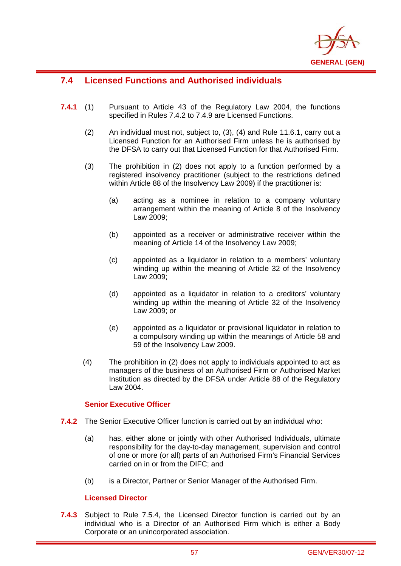

# **7.4 Licensed Functions and Authorised individuals**

i

- **7.4.1** (1) Pursuant to Article 43 of the Regulatory Law 2004, the functions specified in Rules 7.4.2 to 7.4.9 are Licensed Functions.
	- (2) An individual must not, subject to, (3), (4) and Rule 11.6.1, carry out a Licensed Function for an Authorised Firm unless he is authorised by the DFSA to carry out that Licensed Function for that Authorised Firm.
	- (3) The prohibition in (2) does not apply to a function performed by a registered insolvency practitioner (subject to the restrictions defined within Article 88 of the Insolvency Law 2009) if the practitioner is:
		- (a) acting as a nominee in relation to a company voluntary arrangement within the meaning of Article 8 of the Insolvency Law 2009;
		- (b) appointed as a receiver or administrative receiver within the meaning of Article 14 of the Insolvency Law 2009;
		- (c) appointed as a liquidator in relation to a members' voluntary winding up within the meaning of Article 32 of the Insolvency Law 2009;
		- (d) appointed as a liquidator in relation to a creditors' voluntary winding up within the meaning of Article 32 of the Insolvency Law 2009; or
		- (e) appointed as a liquidator or provisional liquidator in relation to a compulsory winding up within the meanings of Article 58 and 59 of the Insolvency Law 2009.
	- (4) The prohibition in (2) does not apply to individuals appointed to act as managers of the business of an Authorised Firm or Authorised Market Institution as directed by the DFSA under Article 88 of the Regulatory Law 2004.

## **Senior Executive Officer**

- **7.4.2** The Senior Executive Officer function is carried out by an individual who:
	- (a) has, either alone or jointly with other Authorised Individuals, ultimate responsibility for the day-to-day management, supervision and control of one or more (or all) parts of an Authorised Firm's Financial Services carried on in or from the DIFC; and
	- (b) is a Director, Partner or Senior Manager of the Authorised Firm.

## **Licensed Director**

**7.4.3** Subject to Rule 7.5.4, the Licensed Director function is carried out by an individual who is a Director of an Authorised Firm which is either a Body Corporate or an unincorporated association.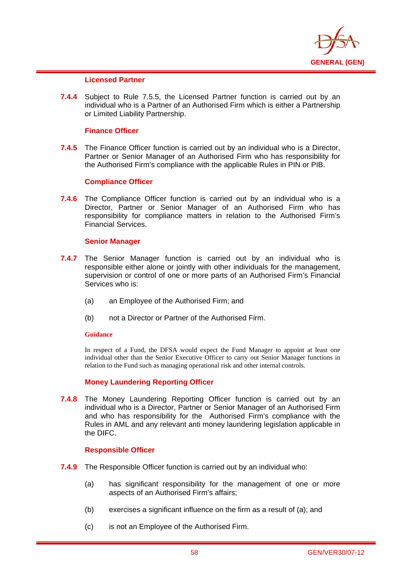

## **Licensed Partner**

i

**7.4.4** Subject to Rule 7.5.5, the Licensed Partner function is carried out by an individual who is a Partner of an Authorised Firm which is either a Partnership or Limited Liability Partnership.

#### **Finance Officer**

**7.4.5** The Finance Officer function is carried out by an individual who is a Director, Partner or Senior Manager of an Authorised Firm who has responsibility for the Authorised Firm's compliance with the applicable Rules in PIN or PIB.

#### **Compliance Officer**

**7.4.6** The Compliance Officer function is carried out by an individual who is a Director, Partner or Senior Manager of an Authorised Firm who has responsibility for compliance matters in relation to the Authorised Firm's Financial Services.

#### **Senior Manager**

- **7.4.7** The Senior Manager function is carried out by an individual who is responsible either alone or jointly with other individuals for the management, supervision or control of one or more parts of an Authorised Firm's Financial Services who is:
	- (a) an Employee of the Authorised Firm; and
	- (b) not a Director or Partner of the Authorised Firm.

#### **Guidance**

In respect of a Fund, the DFSA would expect the Fund Manager to appoint at least one individual other than the Senior Executive Officer to carry out Senior Manager functions in relation to the Fund such as managing operational risk and other internal controls.

## **Money Laundering Reporting Officer**

**7.4.8** The Money Laundering Reporting Officer function is carried out by an individual who is a Director, Partner or Senior Manager of an Authorised Firm and who has responsibility for the Authorised Firm's compliance with the Rules in AML and any relevant anti money laundering legislation applicable in the DIFC.

#### **Responsible Officer**

- **7.4.9** The Responsible Officer function is carried out by an individual who:
	- (a) has significant responsibility for the management of one or more aspects of an Authorised Firm's affairs;
	- (b) exercises a significant influence on the firm as a result of (a); and
	- (c) is not an Employee of the Authorised Firm.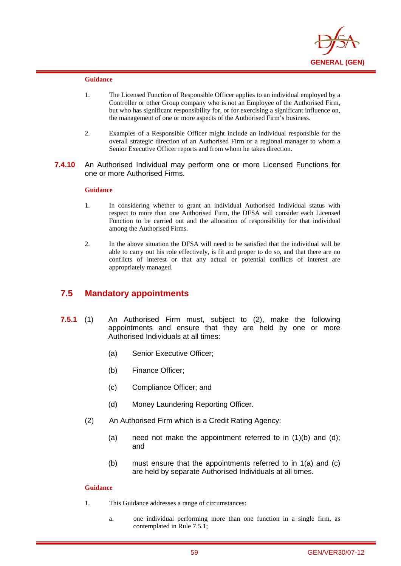

i

- 1. The Licensed Function of Responsible Officer applies to an individual employed by a Controller or other Group company who is not an Employee of the Authorised Firm, but who has significant responsibility for, or for exercising a significant influence on, the management of one or more aspects of the Authorised Firm's business.
- 2. Examples of a Responsible Officer might include an individual responsible for the overall strategic direction of an Authorised Firm or a regional manager to whom a Senior Executive Officer reports and from whom he takes direction.
- **7.4.10** An Authorised Individual may perform one or more Licensed Functions for one or more Authorised Firms.

#### **Guidance**

- 1. In considering whether to grant an individual Authorised Individual status with respect to more than one Authorised Firm, the DFSA will consider each Licensed Function to be carried out and the allocation of responsibility for that individual among the Authorised Firms.
- 2. In the above situation the DFSA will need to be satisfied that the individual will be able to carry out his role effectively, is fit and proper to do so, and that there are no conflicts of interest or that any actual or potential conflicts of interest are appropriately managed.

## **7.5 Mandatory appointments**

- **7.5.1** (1) An Authorised Firm must, subject to (2), make the following appointments and ensure that they are held by one or more Authorised Individuals at all times:
	- (a) Senior Executive Officer;
	- (b) Finance Officer;
	- (c) Compliance Officer; and
	- (d) Money Laundering Reporting Officer.
	- (2) An Authorised Firm which is a Credit Rating Agency:
		- (a) need not make the appointment referred to in  $(1)(b)$  and  $(d)$ ; and
		- (b) must ensure that the appointments referred to in 1(a) and (c) are held by separate Authorised Individuals at all times.

### **Guidance**

- 1. This Guidance addresses a range of circumstances:
	- a. one individual performing more than one function in a single firm, as contemplated in Rule 7.5.1;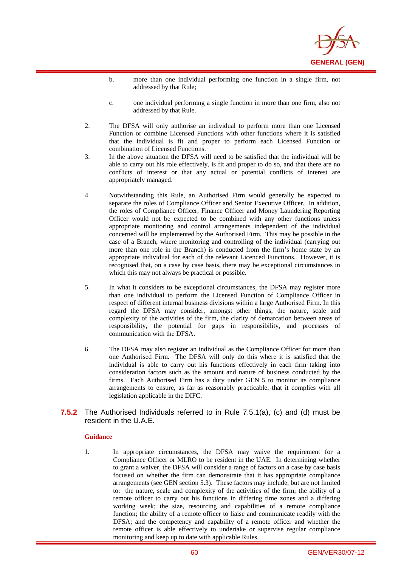

- b. more than one individual performing one function in a single firm, not addressed by that Rule;
- c. one individual performing a single function in more than one firm, also not addressed by that Rule.
- 2. The DFSA will only authorise an individual to perform more than one Licensed Function or combine Licensed Functions with other functions where it is satisfied that the individual is fit and proper to perform each Licensed Function or combination of Licensed Functions.
- 3. In the above situation the DFSA will need to be satisfied that the individual will be able to carry out his role effectively, is fit and proper to do so, and that there are no conflicts of interest or that any actual or potential conflicts of interest are appropriately managed.
- 4. Notwithstanding this Rule, an Authorised Firm would generally be expected to separate the roles of Compliance Officer and Senior Executive Officer. In addition, the roles of Compliance Officer, Finance Officer and Money Laundering Reporting Officer would not be expected to be combined with any other functions unless appropriate monitoring and control arrangements independent of the individual concerned will be implemented by the Authorised Firm. This may be possible in the case of a Branch, where monitoring and controlling of the individual (carrying out more than one role in the Branch) is conducted from the firm's home state by an appropriate individual for each of the relevant Licenced Functions. However, it is recognised that, on a case by case basis, there may be exceptional circumstances in which this may not always be practical or possible.
- 5. In what it considers to be exceptional circumstances, the DFSA may register more than one individual to perform the Licensed Function of Compliance Officer in respect of different internal business divisions within a large Authorised Firm. In this regard the DFSA may consider, amongst other things, the nature, scale and complexity of the activities of the firm, the clarity of demarcation between areas of responsibility, the potential for gaps in responsibility, and processes of communication with the DFSA.
- 6. The DFSA may also register an individual as the Compliance Officer for more than one Authorised Firm. The DFSA will only do this where it is satisfied that the individual is able to carry out his functions effectively in each firm taking into consideration factors such as the amount and nature of business conducted by the firms. Each Authorised Firm has a duty under GEN 5 to monitor its compliance arrangements to ensure, as far as reasonably practicable, that it complies with all legislation applicable in the DIFC.
- **7.5.2** The Authorised Individuals referred to in Rule 7.5.1(a), (c) and (d) must be resident in the U.A.E.

i

1. In appropriate circumstances, the DFSA may waive the requirement for a Compliance Officer or MLRO to be resident in the UAE. In determining whether to grant a waiver, the DFSA will consider a range of factors on a case by case basis focused on whether the firm can demonstrate that it has appropriate compliance arrangements (see GEN section 5.3). These factors may include, but are not limited to: the nature, scale and complexity of the activities of the firm; the ability of a remote officer to carry out his functions in differing time zones and a differing working week; the size, resourcing and capabilities of a remote compliance function; the ability of a remote officer to liaise and communicate readily with the DFSA; and the competency and capability of a remote officer and whether the remote officer is able effectively to undertake or supervise regular compliance monitoring and keep up to date with applicable Rules.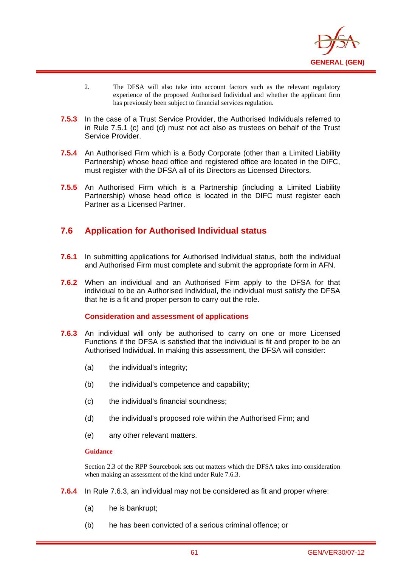

- 2. The DFSA will also take into account factors such as the relevant regulatory experience of the proposed Authorised Individual and whether the applicant firm has previously been subject to financial services regulation.
- **7.5.3** In the case of a Trust Service Provider, the Authorised Individuals referred to in Rule 7.5.1 (c) and (d) must not act also as trustees on behalf of the Trust Service Provider.
- **7.5.4** An Authorised Firm which is a Body Corporate (other than a Limited Liability Partnership) whose head office and registered office are located in the DIFC, must register with the DFSA all of its Directors as Licensed Directors.
- **7.5.5** An Authorised Firm which is a Partnership (including a Limited Liability Partnership) whose head office is located in the DIFC must register each Partner as a Licensed Partner.

# **7.6 Application for Authorised Individual status**

- **7.6.1** In submitting applications for Authorised Individual status, both the individual and Authorised Firm must complete and submit the appropriate form in AFN.
- **7.6.2** When an individual and an Authorised Firm apply to the DFSA for that individual to be an Authorised Individual, the individual must satisfy the DFSA that he is a fit and proper person to carry out the role.

## **Consideration and assessment of applications**

- **7.6.3** An individual will only be authorised to carry on one or more Licensed Functions if the DFSA is satisfied that the individual is fit and proper to be an Authorised Individual. In making this assessment, the DFSA will consider:
	- (a) the individual's integrity;
	- (b) the individual's competence and capability;
	- (c) the individual's financial soundness;
	- (d) the individual's proposed role within the Authorised Firm; and
	- (e) any other relevant matters.

#### **Guidance**

i

Section 2.3 of the RPP Sourcebook sets out matters which the DFSA takes into consideration when making an assessment of the kind under Rule 7.6.3.

- **7.6.4** In Rule 7.6.3, an individual may not be considered as fit and proper where:
	- (a) he is bankrupt;
	- (b) he has been convicted of a serious criminal offence; or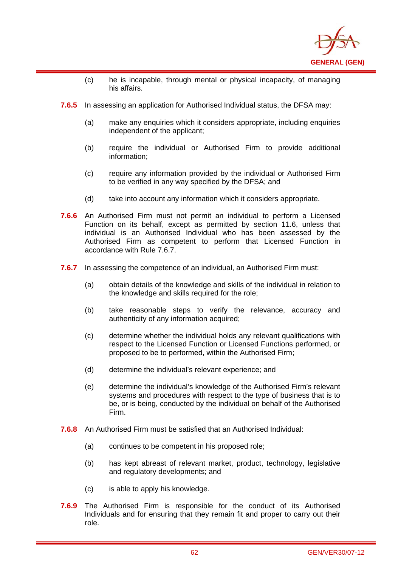

- (c) he is incapable, through mental or physical incapacity, of managing his affairs.
- **7.6.5** In assessing an application for Authorised Individual status, the DFSA may:

i

- (a) make any enquiries which it considers appropriate, including enquiries independent of the applicant;
- (b) require the individual or Authorised Firm to provide additional information;
- (c) require any information provided by the individual or Authorised Firm to be verified in any way specified by the DFSA; and
- (d) take into account any information which it considers appropriate.
- **7.6.6** An Authorised Firm must not permit an individual to perform a Licensed Function on its behalf, except as permitted by section 11.6, unless that individual is an Authorised Individual who has been assessed by the Authorised Firm as competent to perform that Licensed Function in accordance with Rule 7.6.7.
- **7.6.7** In assessing the competence of an individual, an Authorised Firm must:
	- (a) obtain details of the knowledge and skills of the individual in relation to the knowledge and skills required for the role;
	- (b) take reasonable steps to verify the relevance, accuracy and authenticity of any information acquired;
	- (c) determine whether the individual holds any relevant qualifications with respect to the Licensed Function or Licensed Functions performed, or proposed to be to performed, within the Authorised Firm;
	- (d) determine the individual's relevant experience; and
	- (e) determine the individual's knowledge of the Authorised Firm's relevant systems and procedures with respect to the type of business that is to be, or is being, conducted by the individual on behalf of the Authorised Firm.
- **7.6.8** An Authorised Firm must be satisfied that an Authorised Individual:
	- (a) continues to be competent in his proposed role;
	- (b) has kept abreast of relevant market, product, technology, legislative and regulatory developments; and
	- (c) is able to apply his knowledge.
- **7.6.9** The Authorised Firm is responsible for the conduct of its Authorised Individuals and for ensuring that they remain fit and proper to carry out their role.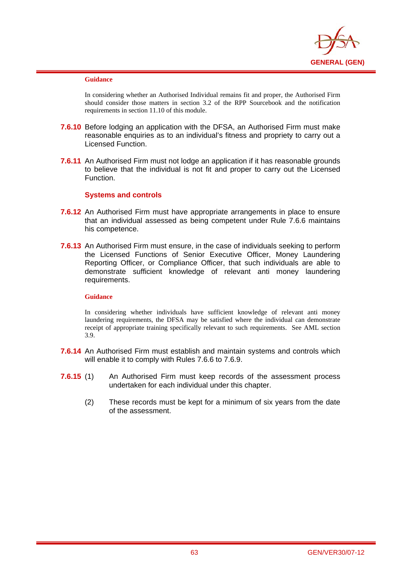

i

In considering whether an Authorised Individual remains fit and proper, the Authorised Firm should consider those matters in section 3.2 of the RPP Sourcebook and the notification requirements in section 11.10 of this module.

- **7.6.10** Before lodging an application with the DFSA, an Authorised Firm must make reasonable enquiries as to an individual's fitness and propriety to carry out a Licensed Function.
- **7.6.11** An Authorised Firm must not lodge an application if it has reasonable grounds to believe that the individual is not fit and proper to carry out the Licensed Function.

## **Systems and controls**

- **7.6.12** An Authorised Firm must have appropriate arrangements in place to ensure that an individual assessed as being competent under Rule 7.6.6 maintains his competence.
- **7.6.13** An Authorised Firm must ensure, in the case of individuals seeking to perform the Licensed Functions of Senior Executive Officer, Money Laundering Reporting Officer, or Compliance Officer, that such individuals are able to demonstrate sufficient knowledge of relevant anti money laundering requirements.

#### **Guidance**

In considering whether individuals have sufficient knowledge of relevant anti money laundering requirements, the DFSA may be satisfied where the individual can demonstrate receipt of appropriate training specifically relevant to such requirements. See AML section 3.9.

- **7.6.14** An Authorised Firm must establish and maintain systems and controls which will enable it to comply with Rules 7.6.6 to 7.6.9.
- **7.6.15** (1) An Authorised Firm must keep records of the assessment process undertaken for each individual under this chapter.
	- (2) These records must be kept for a minimum of six years from the date of the assessment.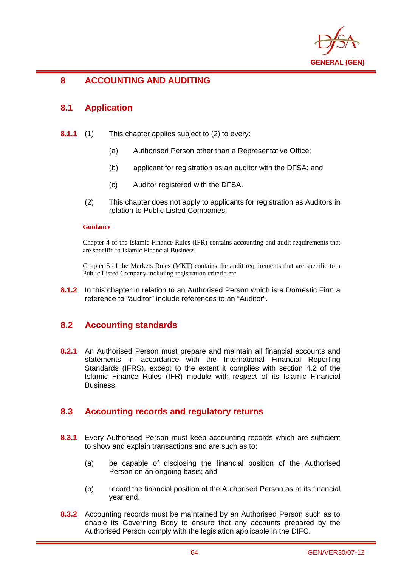

## i **8 ACCOUNTING AND AUDITING**

# **8.1 Application**

- **8.1.1** (1) This chapter applies subject to (2) to every:
	- (a) Authorised Person other than a Representative Office;
	- (b) applicant for registration as an auditor with the DFSA; and
	- (c) Auditor registered with the DFSA.
	- (2) This chapter does not apply to applicants for registration as Auditors in relation to Public Listed Companies.

## **Guidance**

Chapter 4 of the Islamic Finance Rules (IFR) contains accounting and audit requirements that are specific to Islamic Financial Business.

Chapter 5 of the Markets Rules (MKT) contains the audit requirements that are specific to a Public Listed Company including registration criteria etc.

**8.1.2** In this chapter in relation to an Authorised Person which is a Domestic Firm a reference to "auditor" include references to an "Auditor".

# **8.2 Accounting standards**

**8.2.1** An Authorised Person must prepare and maintain all financial accounts and statements in accordance with the International Financial Reporting Standards (IFRS), except to the extent it complies with section 4.2 of the Islamic Finance Rules (IFR) module with respect of its Islamic Financial Business.

# **8.3 Accounting records and regulatory returns**

- **8.3.1** Every Authorised Person must keep accounting records which are sufficient to show and explain transactions and are such as to:
	- (a) be capable of disclosing the financial position of the Authorised Person on an ongoing basis; and
	- (b) record the financial position of the Authorised Person as at its financial year end.
- **8.3.2** Accounting records must be maintained by an Authorised Person such as to enable its Governing Body to ensure that any accounts prepared by the Authorised Person comply with the legislation applicable in the DIFC.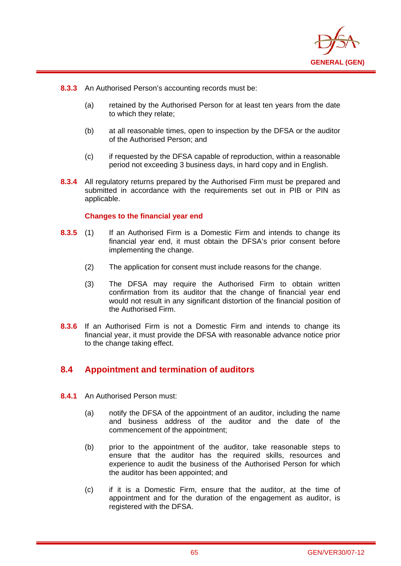

**8.3.3** An Authorised Person's accounting records must be:

i

- (a) retained by the Authorised Person for at least ten years from the date to which they relate;
- (b) at all reasonable times, open to inspection by the DFSA or the auditor of the Authorised Person; and
- (c) if requested by the DFSA capable of reproduction, within a reasonable period not exceeding 3 business days, in hard copy and in English.
- **8.3.4** All regulatory returns prepared by the Authorised Firm must be prepared and submitted in accordance with the requirements set out in PIB or PIN as applicable.

## **Changes to the financial year end**

- **8.3.5** (1) If an Authorised Firm is a Domestic Firm and intends to change its financial year end, it must obtain the DFSA's prior consent before implementing the change.
	- (2) The application for consent must include reasons for the change.
	- (3) The DFSA may require the Authorised Firm to obtain written confirmation from its auditor that the change of financial year end would not result in any significant distortion of the financial position of the Authorised Firm.
- **8.3.6** If an Authorised Firm is not a Domestic Firm and intends to change its financial year, it must provide the DFSA with reasonable advance notice prior to the change taking effect.

# **8.4 Appointment and termination of auditors**

- **8.4.1** An Authorised Person must:
	- (a) notify the DFSA of the appointment of an auditor, including the name and business address of the auditor and the date of the commencement of the appointment;
	- (b) prior to the appointment of the auditor, take reasonable steps to ensure that the auditor has the required skills, resources and experience to audit the business of the Authorised Person for which the auditor has been appointed; and
	- (c) if it is a Domestic Firm, ensure that the auditor, at the time of appointment and for the duration of the engagement as auditor, is registered with the DFSA.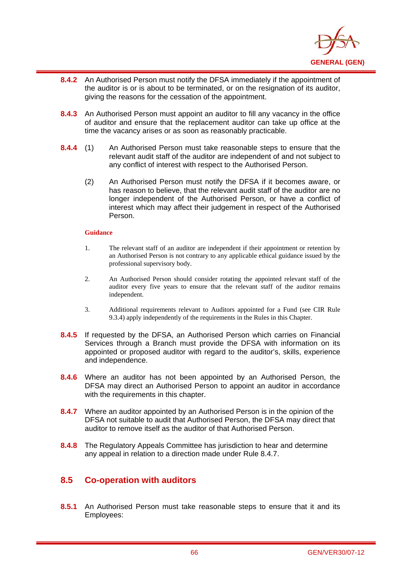

- i **8.4.2** An Authorised Person must notify the DFSA immediately if the appointment of the auditor is or is about to be terminated, or on the resignation of its auditor, giving the reasons for the cessation of the appointment.
- **8.4.3** An Authorised Person must appoint an auditor to fill any vacancy in the office of auditor and ensure that the replacement auditor can take up office at the time the vacancy arises or as soon as reasonably practicable.
- **8.4.4** (1) An Authorised Person must take reasonable steps to ensure that the relevant audit staff of the auditor are independent of and not subject to any conflict of interest with respect to the Authorised Person.
	- (2) An Authorised Person must notify the DFSA if it becomes aware, or has reason to believe, that the relevant audit staff of the auditor are no longer independent of the Authorised Person, or have a conflict of interest which may affect their judgement in respect of the Authorised Person.

- 1. The relevant staff of an auditor are independent if their appointment or retention by an Authorised Person is not contrary to any applicable ethical guidance issued by the professional supervisory body.
- 2. An Authorised Person should consider rotating the appointed relevant staff of the auditor every five years to ensure that the relevant staff of the auditor remains independent.
- 3. Additional requirements relevant to Auditors appointed for a Fund (see CIR Rule 9.3.4) apply independently of the requirements in the Rules in this Chapter.
- **8.4.5** If requested by the DFSA, an Authorised Person which carries on Financial Services through a Branch must provide the DFSA with information on its appointed or proposed auditor with regard to the auditor's, skills, experience and independence.
- **8.4.6** Where an auditor has not been appointed by an Authorised Person, the DFSA may direct an Authorised Person to appoint an auditor in accordance with the requirements in this chapter.
- **8.4.7** Where an auditor appointed by an Authorised Person is in the opinion of the DFSA not suitable to audit that Authorised Person, the DFSA may direct that auditor to remove itself as the auditor of that Authorised Person.
- **8.4.8** The Regulatory Appeals Committee has jurisdiction to hear and determine any appeal in relation to a direction made under Rule 8.4.7.

# **8.5 Co-operation with auditors**

**8.5.1** An Authorised Person must take reasonable steps to ensure that it and its Employees: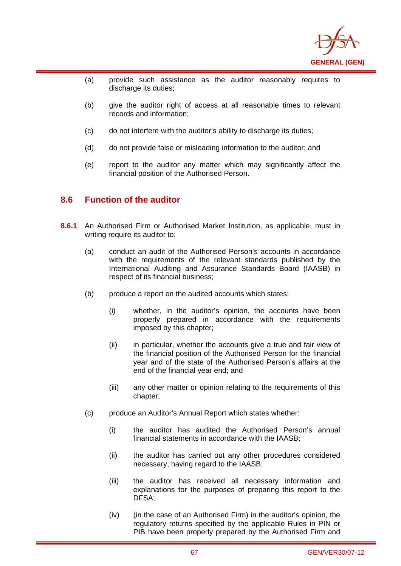

- (a) provide such assistance as the auditor reasonably requires to discharge its duties:
- (b) give the auditor right of access at all reasonable times to relevant records and information;
- (c) do not interfere with the auditor's ability to discharge its duties;
- (d) do not provide false or misleading information to the auditor; and
- (e) report to the auditor any matter which may significantly affect the financial position of the Authorised Person.

## **8.6 Function of the auditor**

i

- **8.6.1** An Authorised Firm or Authorised Market Institution, as applicable, must in writing require its auditor to:
	- (a) conduct an audit of the Authorised Person's accounts in accordance with the requirements of the relevant standards published by the International Auditing and Assurance Standards Board (IAASB) in respect of its financial business;
	- (b) produce a report on the audited accounts which states:
		- (i) whether, in the auditor's opinion, the accounts have been properly prepared in accordance with the requirements imposed by this chapter;
		- (ii) in particular, whether the accounts give a true and fair view of the financial position of the Authorised Person for the financial year and of the state of the Authorised Person's affairs at the end of the financial year end; and
		- (iii) any other matter or opinion relating to the requirements of this chapter;
	- (c) produce an Auditor's Annual Report which states whether:
		- (i) the auditor has audited the Authorised Person's annual financial statements in accordance with the IAASB;
		- (ii) the auditor has carried out any other procedures considered necessary, having regard to the IAASB;
		- (iii) the auditor has received all necessary information and explanations for the purposes of preparing this report to the DFSA;
		- (iv) (in the case of an Authorised Firm) in the auditor's opinion, the regulatory returns specified by the applicable Rules in PIN or PIB have been properly prepared by the Authorised Firm and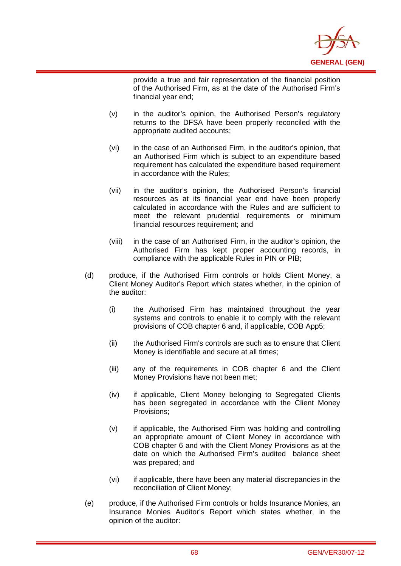

provide a true and fair representation of the financial position of the Authorised Firm, as at the date of the Authorised Firm's financial year end;

(v) in the auditor's opinion, the Authorised Person's regulatory returns to the DFSA have been properly reconciled with the appropriate audited accounts;

- (vi) in the case of an Authorised Firm, in the auditor's opinion, that an Authorised Firm which is subject to an expenditure based requirement has calculated the expenditure based requirement in accordance with the Rules;
- (vii) in the auditor's opinion, the Authorised Person's financial resources as at its financial year end have been properly calculated in accordance with the Rules and are sufficient to meet the relevant prudential requirements or minimum financial resources requirement; and
- (viii) in the case of an Authorised Firm, in the auditor's opinion, the Authorised Firm has kept proper accounting records, in compliance with the applicable Rules in PIN or PIB;
- (d) produce, if the Authorised Firm controls or holds Client Money, a Client Money Auditor's Report which states whether, in the opinion of the auditor:
	- (i) the Authorised Firm has maintained throughout the year systems and controls to enable it to comply with the relevant provisions of COB chapter 6 and, if applicable, COB App5;
	- (ii) the Authorised Firm's controls are such as to ensure that Client Money is identifiable and secure at all times;
	- (iii) any of the requirements in COB chapter 6 and the Client Money Provisions have not been met;
	- (iv) if applicable, Client Money belonging to Segregated Clients has been segregated in accordance with the Client Money Provisions;
	- (v) if applicable, the Authorised Firm was holding and controlling an appropriate amount of Client Money in accordance with COB chapter 6 and with the Client Money Provisions as at the date on which the Authorised Firm's audited balance sheet was prepared; and
	- (vi) if applicable, there have been any material discrepancies in the reconciliation of Client Money;
- (e) produce, if the Authorised Firm controls or holds Insurance Monies, an Insurance Monies Auditor's Report which states whether, in the opinion of the auditor: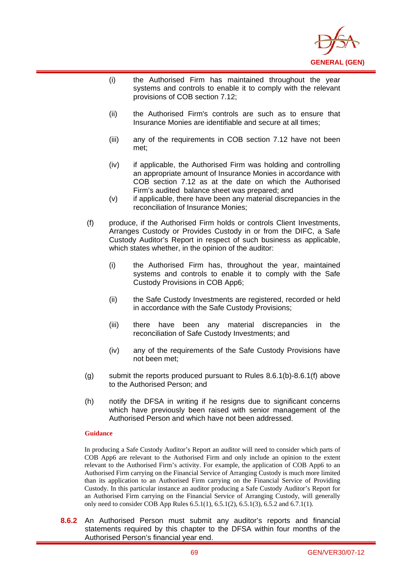

- (i) the Authorised Firm has maintained throughout the year systems and controls to enable it to comply with the relevant provisions of COB section 7.12;
- (ii) the Authorised Firm's controls are such as to ensure that Insurance Monies are identifiable and secure at all times;
- (iii) any of the requirements in COB section 7.12 have not been met;
- (iv) if applicable, the Authorised Firm was holding and controlling an appropriate amount of Insurance Monies in accordance with COB section 7.12 as at the date on which the Authorised Firm's audited balance sheet was prepared; and
- (v) if applicable, there have been any material discrepancies in the reconciliation of Insurance Monies;
- (f) produce, if the Authorised Firm holds or controls Client Investments, Arranges Custody or Provides Custody in or from the DIFC, a Safe Custody Auditor's Report in respect of such business as applicable, which states whether, in the opinion of the auditor:
	- (i) the Authorised Firm has, throughout the year, maintained systems and controls to enable it to comply with the Safe Custody Provisions in COB App6;
	- (ii) the Safe Custody Investments are registered, recorded or held in accordance with the Safe Custody Provisions;
	- (iii) there have been any material discrepancies in the reconciliation of Safe Custody Investments; and
	- (iv) any of the requirements of the Safe Custody Provisions have not been met;
- (g) submit the reports produced pursuant to Rules 8.6.1(b)-8.6.1(f) above to the Authorised Person; and
- (h) notify the DFSA in writing if he resigns due to significant concerns which have previously been raised with senior management of the Authorised Person and which have not been addressed.

i

In producing a Safe Custody Auditor's Report an auditor will need to consider which parts of COB App6 are relevant to the Authorised Firm and only include an opinion to the extent relevant to the Authorised Firm's activity. For example, the application of COB App6 to an Authorised Firm carrying on the Financial Service of Arranging Custody is much more limited than its application to an Authorised Firm carrying on the Financial Service of Providing Custody. In this particular instance an auditor producing a Safe Custody Auditor's Report for an Authorised Firm carrying on the Financial Service of Arranging Custody, will generally only need to consider COB App Rules 6.5.1(1), 6.5.1(2), 6.5.1(3), 6.5.2 and 6.7.1(1).

**8.6.2** An Authorised Person must submit any auditor's reports and financial statements required by this chapter to the DFSA within four months of the Authorised Person's financial year end.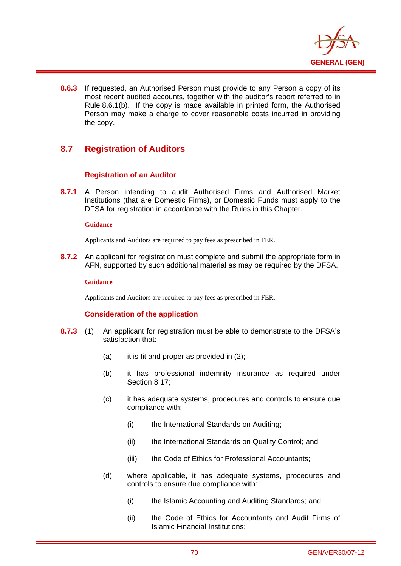

**8.6.3** If requested, an Authorised Person must provide to any Person a copy of its most recent audited accounts, together with the auditor's report referred to in Rule 8.6.1(b). If the copy is made available in printed form, the Authorised Person may make a charge to cover reasonable costs incurred in providing the copy.

# **8.7 Registration of Auditors**

## **Registration of an Auditor**

**8.7.1** A Person intending to audit Authorised Firms and Authorised Market Institutions (that are Domestic Firms), or Domestic Funds must apply to the DFSA for registration in accordance with the Rules in this Chapter.

### **Guidance**

i

Applicants and Auditors are required to pay fees as prescribed in FER.

**8.7.2** An applicant for registration must complete and submit the appropriate form in AFN, supported by such additional material as may be required by the DFSA.

### **Guidance**

Applicants and Auditors are required to pay fees as prescribed in FER.

## **Consideration of the application**

- **8.7.3** (1) An applicant for registration must be able to demonstrate to the DFSA's satisfaction that:
	- (a) it is fit and proper as provided in  $(2)$ ;
	- (b) it has professional indemnity insurance as required under Section 8.17;
	- (c) it has adequate systems, procedures and controls to ensure due compliance with:
		- (i) the International Standards on Auditing;
		- (ii) the International Standards on Quality Control; and
		- (iii) the Code of Ethics for Professional Accountants;
	- (d) where applicable, it has adequate systems, procedures and controls to ensure due compliance with:
		- (i) the Islamic Accounting and Auditing Standards; and
		- (ii) the Code of Ethics for Accountants and Audit Firms of Islamic Financial Institutions;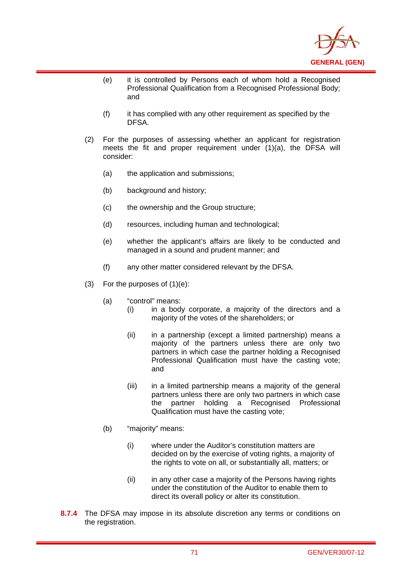

- (e) it is controlled by Persons each of whom hold a Recognised Professional Qualification from a Recognised Professional Body; and
- (f) it has complied with any other requirement as specified by the DFSA.
- (2) For the purposes of assessing whether an applicant for registration meets the fit and proper requirement under (1)(a), the DFSA will consider:
	- (a) the application and submissions;
	- (b) background and history;

- (c) the ownership and the Group structure;
- (d) resources, including human and technological;
- (e) whether the applicant's affairs are likely to be conducted and managed in a sound and prudent manner; and
- (f) any other matter considered relevant by the DFSA.
- (3) For the purposes of (1)(e):
	- (a) "control" means:
		- (i) in a body corporate, a majority of the directors and a majority of the votes of the shareholders; or
		- (ii) in a partnership (except a limited partnership) means a majority of the partners unless there are only two partners in which case the partner holding a Recognised Professional Qualification must have the casting vote; and
		- (iii) in a limited partnership means a majority of the general partners unless there are only two partners in which case the partner holding a Recognised Professional Qualification must have the casting vote;
	- (b) "majority" means:
		- (i) where under the Auditor's constitution matters are decided on by the exercise of voting rights, a majority of the rights to vote on all, or substantially all, matters; or
		- (ii) in any other case a majority of the Persons having rights under the constitution of the Auditor to enable them to direct its overall policy or alter its constitution.
- **8.7.4** The DFSA may impose in its absolute discretion any terms or conditions on the registration.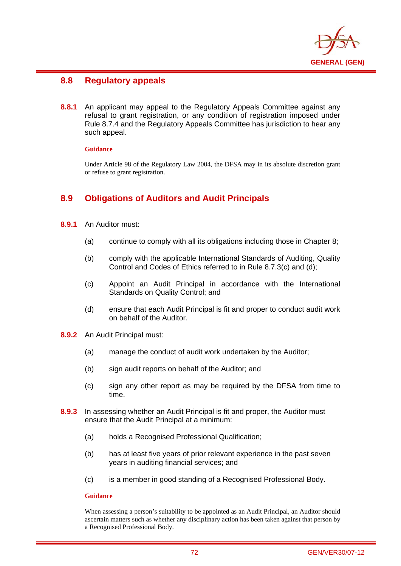

# **8.8 Regulatory appeals**

**8.8.1** An applicant may appeal to the Regulatory Appeals Committee against any refusal to grant registration, or any condition of registration imposed under Rule 8.7.4 and the Regulatory Appeals Committee has jurisdiction to hear any such appeal.

### **Guidance**

i

Under Article 98 of the Regulatory Law 2004, the DFSA may in its absolute discretion grant or refuse to grant registration.

# **8.9 Obligations of Auditors and Audit Principals**

- **8.9.1** An Auditor must:
	- (a) continue to comply with all its obligations including those in Chapter 8;
	- (b) comply with the applicable International Standards of Auditing, Quality Control and Codes of Ethics referred to in Rule 8.7.3(c) and (d);
	- (c) Appoint an Audit Principal in accordance with the International Standards on Quality Control; and
	- (d) ensure that each Audit Principal is fit and proper to conduct audit work on behalf of the Auditor.
- **8.9.2** An Audit Principal must:
	- (a) manage the conduct of audit work undertaken by the Auditor;
	- (b) sign audit reports on behalf of the Auditor; and
	- (c) sign any other report as may be required by the DFSA from time to time.
- **8.9.3** In assessing whether an Audit Principal is fit and proper, the Auditor must ensure that the Audit Principal at a minimum:
	- (a) holds a Recognised Professional Qualification;
	- (b) has at least five years of prior relevant experience in the past seven years in auditing financial services; and
	- (c) is a member in good standing of a Recognised Professional Body.

### **Guidance**

When assessing a person's suitability to be appointed as an Audit Principal, an Auditor should ascertain matters such as whether any disciplinary action has been taken against that person by a Recognised Professional Body.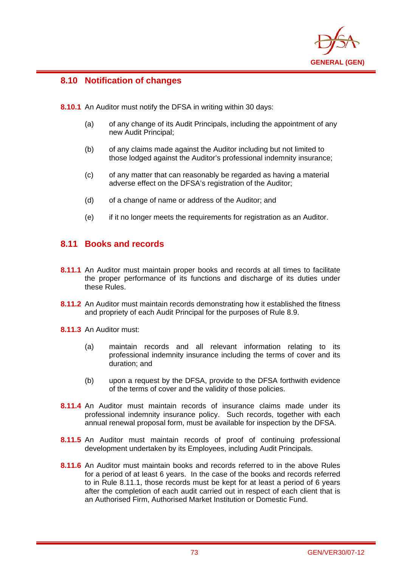

# **8.10 Notification of changes**

i

**8.10.1** An Auditor must notify the DFSA in writing within 30 days:

- (a) of any change of its Audit Principals, including the appointment of any new Audit Principal;
- (b) of any claims made against the Auditor including but not limited to those lodged against the Auditor's professional indemnity insurance;
- (c) of any matter that can reasonably be regarded as having a material adverse effect on the DFSA's registration of the Auditor;
- (d) of a change of name or address of the Auditor; and
- (e) if it no longer meets the requirements for registration as an Auditor.

## **8.11 Books and records**

- **8.11.1** An Auditor must maintain proper books and records at all times to facilitate the proper performance of its functions and discharge of its duties under these Rules.
- **8.11.2** An Auditor must maintain records demonstrating how it established the fitness and propriety of each Audit Principal for the purposes of Rule 8.9.
- **8.11.3** An Auditor must:
	- (a) maintain records and all relevant information relating to its professional indemnity insurance including the terms of cover and its duration; and
	- (b) upon a request by the DFSA, provide to the DFSA forthwith evidence of the terms of cover and the validity of those policies.
- **8.11.4** An Auditor must maintain records of insurance claims made under its professional indemnity insurance policy. Such records, together with each annual renewal proposal form, must be available for inspection by the DFSA.
- **8.11.5** An Auditor must maintain records of proof of continuing professional development undertaken by its Employees, including Audit Principals.
- **8.11.6** An Auditor must maintain books and records referred to in the above Rules for a period of at least 6 years. In the case of the books and records referred to in Rule 8.11.1, those records must be kept for at least a period of 6 years after the completion of each audit carried out in respect of each client that is an Authorised Firm, Authorised Market Institution or Domestic Fund.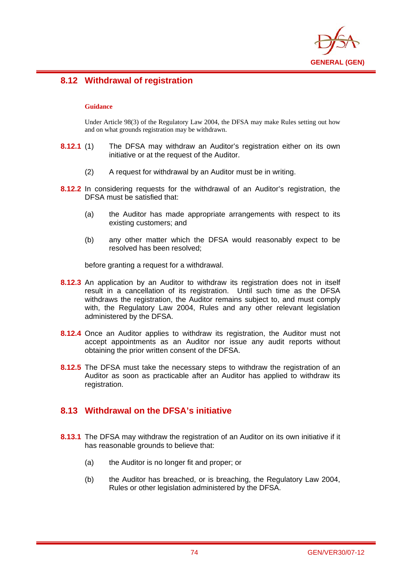

# **8.12 Withdrawal of registration**

### **Guidance**

i

Under Article 98(3) of the Regulatory Law 2004, the DFSA may make Rules setting out how and on what grounds registration may be withdrawn.

- **8.12.1** (1) The DFSA may withdraw an Auditor's registration either on its own initiative or at the request of the Auditor.
	- (2) A request for withdrawal by an Auditor must be in writing.
- **8.12.2** In considering requests for the withdrawal of an Auditor's registration, the DFSA must be satisfied that:
	- (a) the Auditor has made appropriate arrangements with respect to its existing customers; and
	- (b) any other matter which the DFSA would reasonably expect to be resolved has been resolved;

before granting a request for a withdrawal.

- **8.12.3** An application by an Auditor to withdraw its registration does not in itself result in a cancellation of its registration. Until such time as the DFSA withdraws the registration, the Auditor remains subject to, and must comply with, the Regulatory Law 2004, Rules and any other relevant legislation administered by the DFSA.
- **8.12.4** Once an Auditor applies to withdraw its registration, the Auditor must not accept appointments as an Auditor nor issue any audit reports without obtaining the prior written consent of the DFSA.
- **8.12.5** The DFSA must take the necessary steps to withdraw the registration of an Auditor as soon as practicable after an Auditor has applied to withdraw its registration.

# **8.13 Withdrawal on the DFSA's initiative**

- **8.13.1** The DFSA may withdraw the registration of an Auditor on its own initiative if it has reasonable grounds to believe that:
	- (a) the Auditor is no longer fit and proper; or
	- (b) the Auditor has breached, or is breaching, the Regulatory Law 2004, Rules or other legislation administered by the DFSA.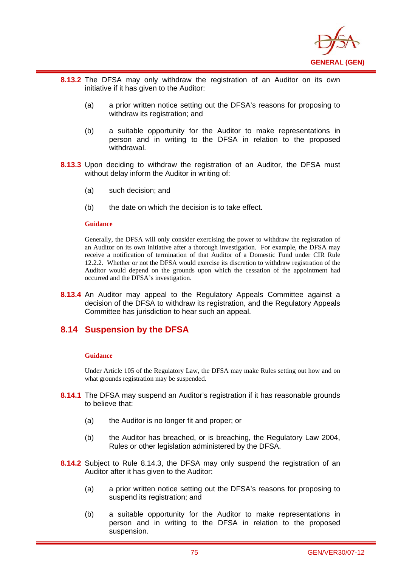

- **8.13.2** The DFSA may only withdraw the registration of an Auditor on its own initiative if it has given to the Auditor:
	- (a) a prior written notice setting out the DFSA's reasons for proposing to withdraw its registration; and
	- (b) a suitable opportunity for the Auditor to make representations in person and in writing to the DFSA in relation to the proposed withdrawal.
- **8.13.3** Upon deciding to withdraw the registration of an Auditor, the DFSA must without delay inform the Auditor in writing of:
	- (a) such decision; and
	- (b) the date on which the decision is to take effect.

i

Generally, the DFSA will only consider exercising the power to withdraw the registration of an Auditor on its own initiative after a thorough investigation. For example, the DFSA may receive a notification of termination of that Auditor of a Domestic Fund under CIR Rule 12.2.2. Whether or not the DFSA would exercise its discretion to withdraw registration of the Auditor would depend on the grounds upon which the cessation of the appointment had occurred and the DFSA's investigation.

**8.13.4** An Auditor may appeal to the Regulatory Appeals Committee against a decision of the DFSA to withdraw its registration, and the Regulatory Appeals Committee has jurisdiction to hear such an appeal.

## **8.14 Suspension by the DFSA**

#### **Guidance**

Under Article 105 of the Regulatory Law, the DFSA may make Rules setting out how and on what grounds registration may be suspended.

- **8.14.1** The DFSA may suspend an Auditor's registration if it has reasonable grounds to believe that:
	- (a) the Auditor is no longer fit and proper; or
	- (b) the Auditor has breached, or is breaching, the Regulatory Law 2004, Rules or other legislation administered by the DFSA.
- **8.14.2** Subject to Rule 8.14.3, the DFSA may only suspend the registration of an Auditor after it has given to the Auditor:
	- (a) a prior written notice setting out the DFSA's reasons for proposing to suspend its registration; and
	- (b) a suitable opportunity for the Auditor to make representations in person and in writing to the DFSA in relation to the proposed suspension.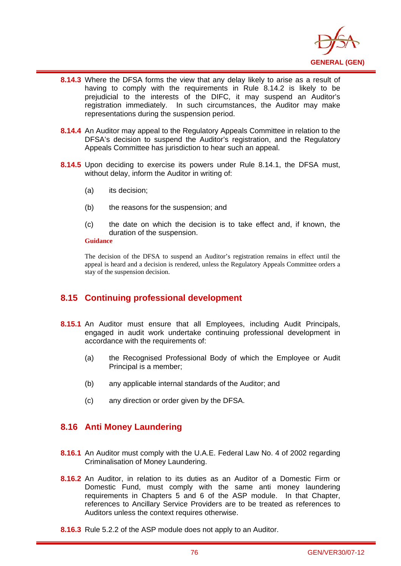

- i **8.14.3** Where the DFSA forms the view that any delay likely to arise as a result of having to comply with the requirements in Rule 8.14.2 is likely to be prejudicial to the interests of the DIFC, it may suspend an Auditor's registration immediately. In such circumstances, the Auditor may make representations during the suspension period.
- **8.14.4** An Auditor may appeal to the Regulatory Appeals Committee in relation to the DFSA's decision to suspend the Auditor's registration, and the Regulatory Appeals Committee has jurisdiction to hear such an appeal.
- **8.14.5** Upon deciding to exercise its powers under Rule 8.14.1, the DFSA must, without delay, inform the Auditor in writing of:
	- (a) its decision;
	- (b) the reasons for the suspension; and
	- (c) the date on which the decision is to take effect and, if known, the duration of the suspension.

The decision of the DFSA to suspend an Auditor's registration remains in effect until the appeal is heard and a decision is rendered, unless the Regulatory Appeals Committee orders a stay of the suspension decision.

# **8.15 Continuing professional development**

- **8.15.1** An Auditor must ensure that all Employees, including Audit Principals, engaged in audit work undertake continuing professional development in accordance with the requirements of:
	- (a) the Recognised Professional Body of which the Employee or Audit Principal is a member;
	- (b) any applicable internal standards of the Auditor; and
	- (c) any direction or order given by the DFSA.

## **8.16 Anti Money Laundering**

- **8.16.1** An Auditor must comply with the U.A.E. Federal Law No. 4 of 2002 regarding Criminalisation of Money Laundering.
- **8.16.2** An Auditor, in relation to its duties as an Auditor of a Domestic Firm or Domestic Fund, must comply with the same anti money laundering requirements in Chapters 5 and 6 of the ASP module. In that Chapter, references to Ancillary Service Providers are to be treated as references to Auditors unless the context requires otherwise.
- **8.16.3** Rule 5.2.2 of the ASP module does not apply to an Auditor.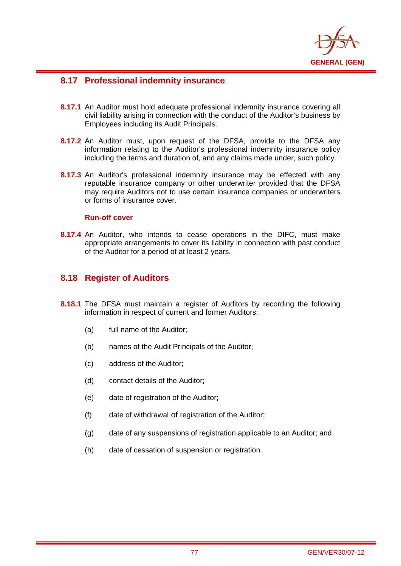

# **8.17 Professional indemnity insurance**

- **8.17.1** An Auditor must hold adequate professional indemnity insurance covering all civil liability arising in connection with the conduct of the Auditor's business by Employees including its Audit Principals.
- **8.17.2** An Auditor must, upon request of the DFSA, provide to the DFSA any information relating to the Auditor's professional indemnity insurance policy including the terms and duration of, and any claims made under, such policy.
- **8.17.3** An Auditor's professional indemnity insurance may be effected with any reputable insurance company or other underwriter provided that the DFSA may require Auditors not to use certain insurance companies or underwriters or forms of insurance cover.

### **Run-off cover**

i

**8.17.4** An Auditor, who intends to cease operations in the DIFC, must make appropriate arrangements to cover its liability in connection with past conduct of the Auditor for a period of at least 2 years.

## **8.18 Register of Auditors**

- **8.18.1** The DFSA must maintain a register of Auditors by recording the following information in respect of current and former Auditors:
	- (a) full name of the Auditor;
	- (b) names of the Audit Principals of the Auditor;
	- (c) address of the Auditor;
	- (d) contact details of the Auditor;
	- (e) date of registration of the Auditor;
	- (f) date of withdrawal of registration of the Auditor;
	- (g) date of any suspensions of registration applicable to an Auditor; and
	- (h) date of cessation of suspension or registration.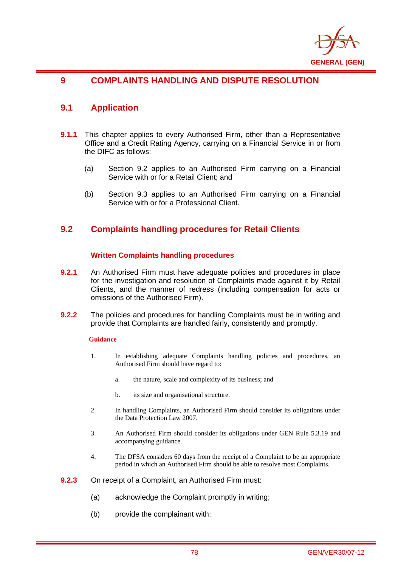

# **9 COMPLAINTS HANDLING AND DISPUTE RESOLUTION**

# **9.1 Application**

i

- **9.1.1** This chapter applies to every Authorised Firm, other than a Representative Office and a Credit Rating Agency, carrying on a Financial Service in or from the DIFC as follows:
	- (a) Section 9.2 applies to an Authorised Firm carrying on a Financial Service with or for a Retail Client; and
	- (b) Section 9.3 applies to an Authorised Firm carrying on a Financial Service with or for a Professional Client.

## **9.2 Complaints handling procedures for Retail Clients**

### **Written Complaints handling procedures**

- **9.2.1** An Authorised Firm must have adequate policies and procedures in place for the investigation and resolution of Complaints made against it by Retail Clients, and the manner of redress (including compensation for acts or omissions of the Authorised Firm).
- **9.2.2** The policies and procedures for handling Complaints must be in writing and provide that Complaints are handled fairly, consistently and promptly.

### **Guidance**

- 1. In establishing adequate Complaints handling policies and procedures, an Authorised Firm should have regard to:
	- a. the nature, scale and complexity of its business; and
	- b. its size and organisational structure.
- 2. In handling Complaints, an Authorised Firm should consider its obligations under the Data Protection Law 2007.
- 3. An Authorised Firm should consider its obligations under GEN Rule 5.3.19 and accompanying guidance.
- 4. The DFSA considers 60 days from the receipt of a Complaint to be an appropriate period in which an Authorised Firm should be able to resolve most Complaints.
- **9.2.3** On receipt of a Complaint, an Authorised Firm must:
	- (a) acknowledge the Complaint promptly in writing;
	- (b) provide the complainant with: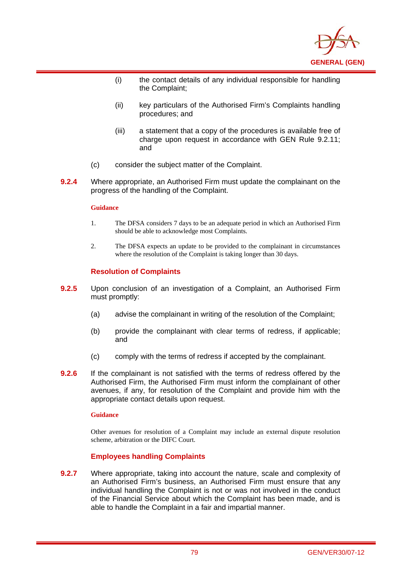

- (i) the contact details of any individual responsible for handling the Complaint;
- (ii) key particulars of the Authorised Firm's Complaints handling procedures; and
- (iii) a statement that a copy of the procedures is available free of charge upon request in accordance with GEN Rule 9.2.11; and
- (c) consider the subject matter of the Complaint.
- **9.2.4** Where appropriate, an Authorised Firm must update the complainant on the progress of the handling of the Complaint.

i

- 1. The DFSA considers 7 days to be an adequate period in which an Authorised Firm should be able to acknowledge most Complaints.
- 2. The DFSA expects an update to be provided to the complainant in circumstances where the resolution of the Complaint is taking longer than 30 days.

### **Resolution of Complaints**

- **9.2.5** Upon conclusion of an investigation of a Complaint, an Authorised Firm must promptly:
	- (a) advise the complainant in writing of the resolution of the Complaint;
	- (b) provide the complainant with clear terms of redress, if applicable; and
	- (c) comply with the terms of redress if accepted by the complainant.
- **9.2.6** If the complainant is not satisfied with the terms of redress offered by the Authorised Firm, the Authorised Firm must inform the complainant of other avenues, if any, for resolution of the Complaint and provide him with the appropriate contact details upon request.

#### **Guidance**

Other avenues for resolution of a Complaint may include an external dispute resolution scheme, arbitration or the DIFC Court.

## **Employees handling Complaints**

**9.2.7** Where appropriate, taking into account the nature, scale and complexity of an Authorised Firm's business, an Authorised Firm must ensure that any individual handling the Complaint is not or was not involved in the conduct of the Financial Service about which the Complaint has been made, and is able to handle the Complaint in a fair and impartial manner.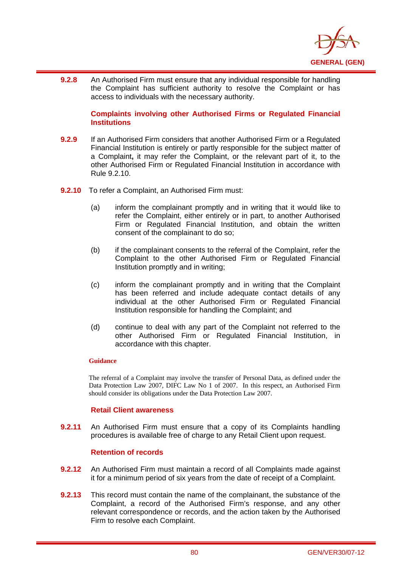

i **9.2.8** An Authorised Firm must ensure that any individual responsible for handling the Complaint has sufficient authority to resolve the Complaint or has access to individuals with the necessary authority.

### **Complaints involving other Authorised Firms or Regulated Financial Institutions**

- **9.2.9** If an Authorised Firm considers that another Authorised Firm or a Regulated Financial Institution is entirely or partly responsible for the subject matter of a Complaint**,** it may refer the Complaint, or the relevant part of it, to the other Authorised Firm or Regulated Financial Institution in accordance with Rule 9.2.10.
- **9.2.10** To refer a Complaint, an Authorised Firm must:
	- (a) inform the complainant promptly and in writing that it would like to refer the Complaint, either entirely or in part, to another Authorised Firm or Regulated Financial Institution, and obtain the written consent of the complainant to do so;
	- (b) if the complainant consents to the referral of the Complaint, refer the Complaint to the other Authorised Firm or Regulated Financial Institution promptly and in writing;
	- (c) inform the complainant promptly and in writing that the Complaint has been referred and include adequate contact details of any individual at the other Authorised Firm or Regulated Financial Institution responsible for handling the Complaint; and
	- (d) continue to deal with any part of the Complaint not referred to the other Authorised Firm or Regulated Financial Institution, in accordance with this chapter.

### **Guidance**

The referral of a Complaint may involve the transfer of Personal Data, as defined under the Data Protection Law 2007, DIFC Law No 1 of 2007. In this respect, an Authorised Firm should consider its obligations under the Data Protection Law 2007.

### **Retail Client awareness**

**9.2.11** An Authorised Firm must ensure that a copy of its Complaints handling procedures is available free of charge to any Retail Client upon request.

## **Retention of records**

- **9.2.12** An Authorised Firm must maintain a record of all Complaints made against it for a minimum period of six years from the date of receipt of a Complaint.
- **9.2.13** This record must contain the name of the complainant, the substance of the Complaint, a record of the Authorised Firm's response, and any other relevant correspondence or records, and the action taken by the Authorised Firm to resolve each Complaint.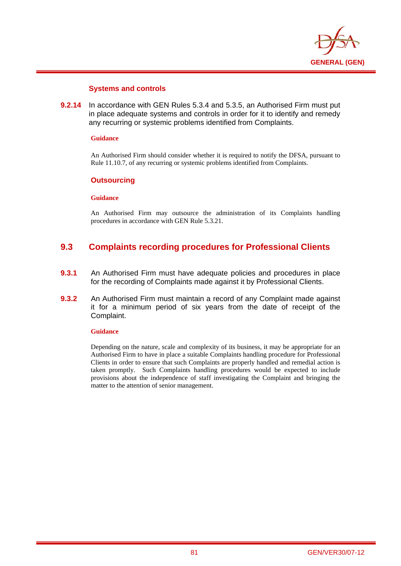

### **Systems and controls**

**9.2.14** In accordance with GEN Rules 5.3.4 and 5.3.5, an Authorised Firm must put in place adequate systems and controls in order for it to identify and remedy any recurring or systemic problems identified from Complaints.

#### **Guidance**

i

An Authorised Firm should consider whether it is required to notify the DFSA, pursuant to Rule 11.10.7, of any recurring or systemic problems identified from Complaints.

### **Outsourcing**

### **Guidance**

An Authorised Firm may outsource the administration of its Complaints handling procedures in accordance with GEN Rule 5.3.21.

# **9.3 Complaints recording procedures for Professional Clients**

- **9.3.1** An Authorised Firm must have adequate policies and procedures in place for the recording of Complaints made against it by Professional Clients.
- **9.3.2** An Authorised Firm must maintain a record of any Complaint made against it for a minimum period of six years from the date of receipt of the Complaint.

#### **Guidance**

Depending on the nature, scale and complexity of its business, it may be appropriate for an Authorised Firm to have in place a suitable Complaints handling procedure for Professional Clients in order to ensure that such Complaints are properly handled and remedial action is taken promptly. Such Complaints handling procedures would be expected to include provisions about the independence of staff investigating the Complaint and bringing the matter to the attention of senior management.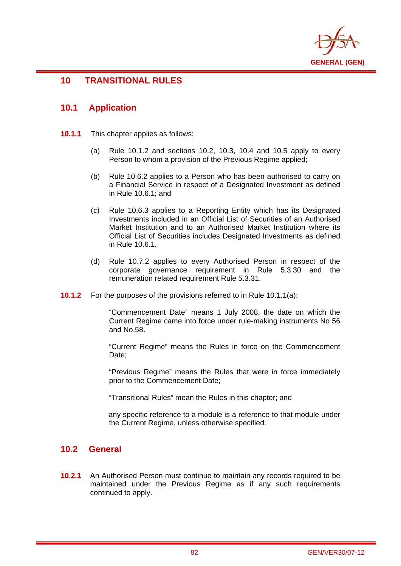

# **10 TRANSITIONAL RULES**

## **10.1 Application**

i

- **10.1.1** This chapter applies as follows:
	- (a) Rule 10.1.2 and sections 10.2, 10.3, 10.4 and 10.5 apply to every Person to whom a provision of the Previous Regime applied:
	- (b) Rule 10.6.2 applies to a Person who has been authorised to carry on a Financial Service in respect of a Designated Investment as defined in Rule 10.6.1; and
	- (c) Rule 10.6.3 applies to a Reporting Entity which has its Designated Investments included in an Official List of Securities of an Authorised Market Institution and to an Authorised Market Institution where its Official List of Securities includes Designated Investments as defined in Rule 10.6.1.
	- (d) Rule 10.7.2 applies to every Authorised Person in respect of the corporate governance requirement in Rule 5.3.30 and the remuneration related requirement Rule 5.3.31.
- **10.1.2** For the purposes of the provisions referred to in Rule 10.1.1(a):

"Commencement Date" means 1 July 2008, the date on which the Current Regime came into force under rule-making instruments No 56 and No.58.

"Current Regime" means the Rules in force on the Commencement Date:

"Previous Regime" means the Rules that were in force immediately prior to the Commencement Date;

"Transitional Rules" mean the Rules in this chapter; and

any specific reference to a module is a reference to that module under the Current Regime, unless otherwise specified.

## **10.2 General**

**10.2.1** An Authorised Person must continue to maintain any records required to be maintained under the Previous Regime as if any such requirements continued to apply.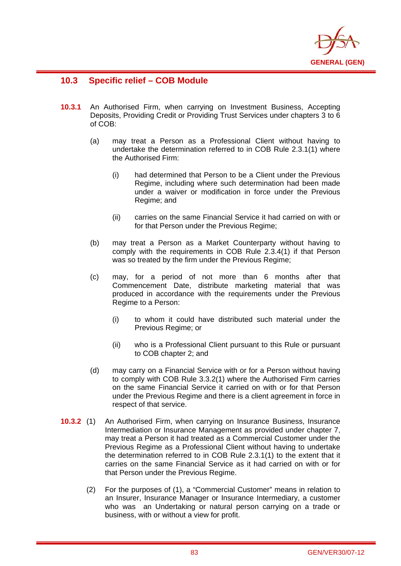

# **10.3 Specific relief – COB Module**

- **10.3.1** An Authorised Firm, when carrying on Investment Business, Accepting Deposits, Providing Credit or Providing Trust Services under chapters 3 to 6 of COB:
	- (a) may treat a Person as a Professional Client without having to undertake the determination referred to in COB Rule 2.3.1(1) where the Authorised Firm:
		- (i) had determined that Person to be a Client under the Previous Regime, including where such determination had been made under a waiver or modification in force under the Previous Regime; and
		- (ii) carries on the same Financial Service it had carried on with or for that Person under the Previous Regime;
	- (b) may treat a Person as a Market Counterparty without having to comply with the requirements in COB Rule 2.3.4(1) if that Person was so treated by the firm under the Previous Regime;
	- (c) may, for a period of not more than 6 months after that Commencement Date, distribute marketing material that was produced in accordance with the requirements under the Previous Regime to a Person:
		- (i) to whom it could have distributed such material under the Previous Regime; or
		- (ii) who is a Professional Client pursuant to this Rule or pursuant to COB chapter 2; and
	- (d) may carry on a Financial Service with or for a Person without having to comply with COB Rule 3.3.2(1) where the Authorised Firm carries on the same Financial Service it carried on with or for that Person under the Previous Regime and there is a client agreement in force in respect of that service.
- **10.3.2** (1) An Authorised Firm, when carrying on Insurance Business, Insurance Intermediation or Insurance Management as provided under chapter 7, may treat a Person it had treated as a Commercial Customer under the Previous Regime as a Professional Client without having to undertake the determination referred to in COB Rule 2.3.1(1) to the extent that it carries on the same Financial Service as it had carried on with or for that Person under the Previous Regime.
	- (2) For the purposes of (1), a "Commercial Customer" means in relation to an Insurer, Insurance Manager or Insurance Intermediary, a customer who was an Undertaking or natural person carrying on a trade or business, with or without a view for profit.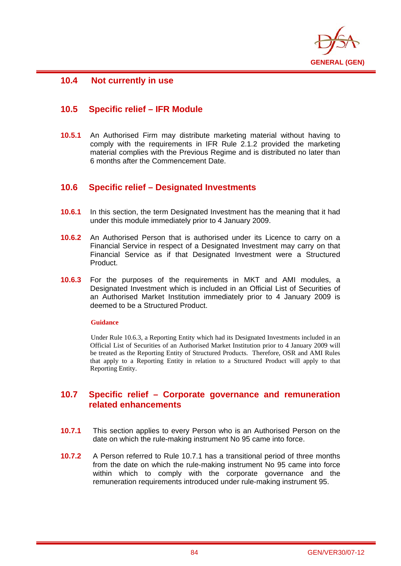

# **10.4 Not currently in use**

i

# **10.5 Specific relief – IFR Module**

**10.5.1** An Authorised Firm may distribute marketing material without having to comply with the requirements in IFR Rule 2.1.2 provided the marketing material complies with the Previous Regime and is distributed no later than 6 months after the Commencement Date.

## **10.6 Specific relief – Designated Investments**

- **10.6.1** In this section, the term Designated Investment has the meaning that it had under this module immediately prior to 4 January 2009.
- **10.6.2** An Authorised Person that is authorised under its Licence to carry on a Financial Service in respect of a Designated Investment may carry on that Financial Service as if that Designated Investment were a Structured Product.
- **10.6.3** For the purposes of the requirements in MKT and AMI modules, a Designated Investment which is included in an Official List of Securities of an Authorised Market Institution immediately prior to 4 January 2009 is deemed to be a Structured Product.

### **Guidance**

Under Rule 10.6.3, a Reporting Entity which had its Designated Investments included in an Official List of Securities of an Authorised Market Institution prior to 4 January 2009 will be treated as the Reporting Entity of Structured Products. Therefore, OSR and AMI Rules that apply to a Reporting Entity in relation to a Structured Product will apply to that Reporting Entity.

## **10.7 Specific relief – Corporate governance and remuneration related enhancements**

- **10.7.1** This section applies to every Person who is an Authorised Person on the date on which the rule-making instrument No 95 came into force.
- **10.7.2** A Person referred to Rule 10.7.1 has a transitional period of three months from the date on which the rule-making instrument No 95 came into force within which to comply with the corporate governance and the remuneration requirements introduced under rule-making instrument 95.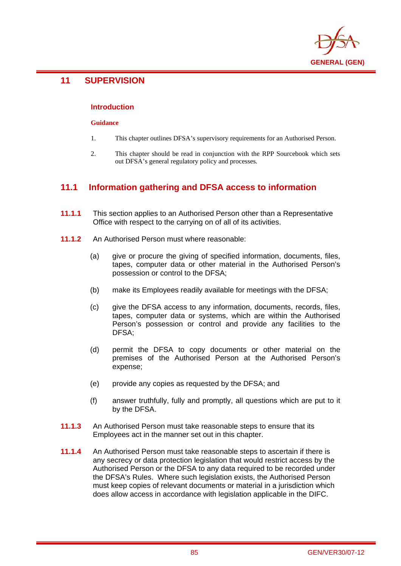

# **11 SUPERVISION**

i

### **Introduction**

### **Guidance**

- 1. This chapter outlines DFSA's supervisory requirements for an Authorised Person.
- 2. This chapter should be read in conjunction with the RPP Sourcebook which sets out DFSA's general regulatory policy and processes.

# **11.1 Information gathering and DFSA access to information**

- **11.1.1** This section applies to an Authorised Person other than a Representative Office with respect to the carrying on of all of its activities.
- **11.1.2** An Authorised Person must where reasonable:
	- (a) give or procure the giving of specified information, documents, files, tapes, computer data or other material in the Authorised Person's possession or control to the DFSA;
	- (b) make its Employees readily available for meetings with the DFSA;
	- (c) give the DFSA access to any information, documents, records, files, tapes, computer data or systems, which are within the Authorised Person's possession or control and provide any facilities to the DFSA;
	- (d) permit the DFSA to copy documents or other material on the premises of the Authorised Person at the Authorised Person's expense;
	- (e) provide any copies as requested by the DFSA; and
	- (f) answer truthfully, fully and promptly, all questions which are put to it by the DFSA.
- **11.1.3** An Authorised Person must take reasonable steps to ensure that its Employees act in the manner set out in this chapter.
- **11.1.4** An Authorised Person must take reasonable steps to ascertain if there is any secrecy or data protection legislation that would restrict access by the Authorised Person or the DFSA to any data required to be recorded under the DFSA's Rules. Where such legislation exists, the Authorised Person must keep copies of relevant documents or material in a jurisdiction which does allow access in accordance with legislation applicable in the DIFC.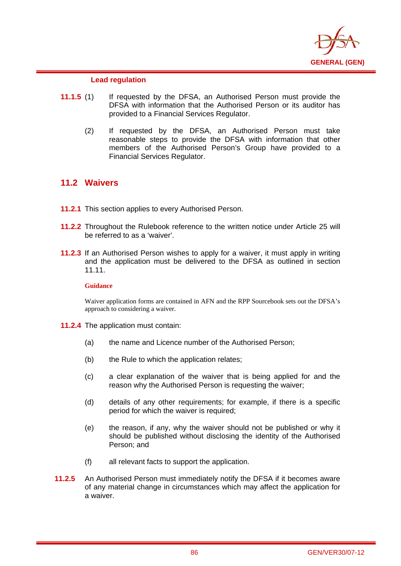

### **Lead regulation**

- **11.1.5** (1) If requested by the DFSA, an Authorised Person must provide the DFSA with information that the Authorised Person or its auditor has provided to a Financial Services Regulator.
	- (2) If requested by the DFSA, an Authorised Person must take reasonable steps to provide the DFSA with information that other members of the Authorised Person's Group have provided to a Financial Services Regulator.

## **11.2 Waivers**

i

- **11.2.1** This section applies to every Authorised Person.
- **11.2.2** Throughout the Rulebook reference to the written notice under Article 25 will be referred to as a 'waiver'.
- **11.2.3** If an Authorised Person wishes to apply for a waiver, it must apply in writing and the application must be delivered to the DFSA as outlined in section 11.11.

### **Guidance**

Waiver application forms are contained in AFN and the RPP Sourcebook sets out the DFSA's approach to considering a waiver.

- **11.2.4** The application must contain:
	- (a) the name and Licence number of the Authorised Person;
	- (b) the Rule to which the application relates;
	- (c) a clear explanation of the waiver that is being applied for and the reason why the Authorised Person is requesting the waiver;
	- (d) details of any other requirements; for example, if there is a specific period for which the waiver is required;
	- (e) the reason, if any, why the waiver should not be published or why it should be published without disclosing the identity of the Authorised Person; and
	- (f) all relevant facts to support the application.
- **11.2.5** An Authorised Person must immediately notify the DFSA if it becomes aware of any material change in circumstances which may affect the application for a waiver.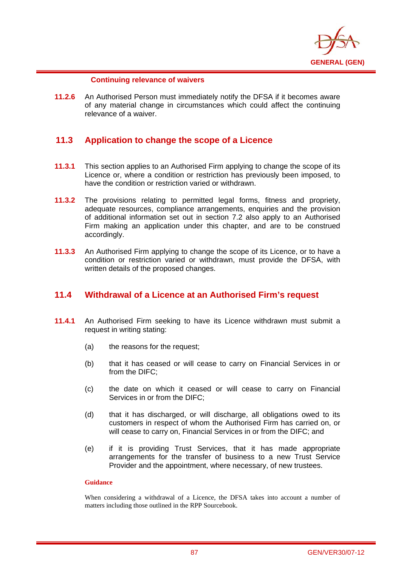

### **Continuing relevance of waivers**

i

**11.2.6** An Authorised Person must immediately notify the DFSA if it becomes aware of any material change in circumstances which could affect the continuing relevance of a waiver.

## **11.3 Application to change the scope of a Licence**

- **11.3.1** This section applies to an Authorised Firm applying to change the scope of its Licence or, where a condition or restriction has previously been imposed, to have the condition or restriction varied or withdrawn.
- **11.3.2** The provisions relating to permitted legal forms, fitness and propriety, adequate resources, compliance arrangements, enquiries and the provision of additional information set out in section 7.2 also apply to an Authorised Firm making an application under this chapter, and are to be construed accordingly.
- **11.3.3** An Authorised Firm applying to change the scope of its Licence, or to have a condition or restriction varied or withdrawn, must provide the DFSA, with written details of the proposed changes.

# **11.4 Withdrawal of a Licence at an Authorised Firm's request**

- **11.4.1** An Authorised Firm seeking to have its Licence withdrawn must submit a request in writing stating:
	- (a) the reasons for the request;
	- (b) that it has ceased or will cease to carry on Financial Services in or from the DIFC;
	- (c) the date on which it ceased or will cease to carry on Financial Services in or from the DIFC;
	- (d) that it has discharged, or will discharge, all obligations owed to its customers in respect of whom the Authorised Firm has carried on, or will cease to carry on. Financial Services in or from the DIFC; and
	- (e) if it is providing Trust Services, that it has made appropriate arrangements for the transfer of business to a new Trust Service Provider and the appointment, where necessary, of new trustees.

### **Guidance**

When considering a withdrawal of a Licence, the DFSA takes into account a number of matters including those outlined in the RPP Sourcebook.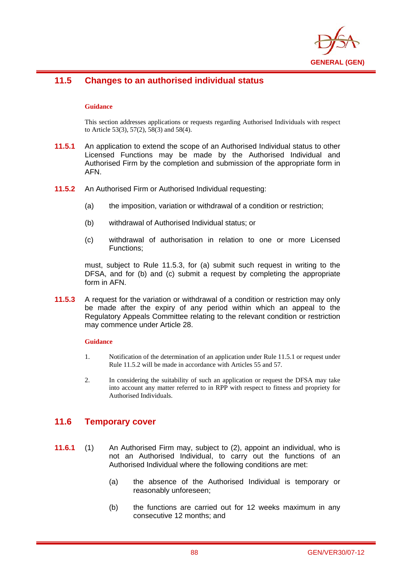

## i **11.5 Changes to an authorised individual status**

### **Guidance**

This section addresses applications or requests regarding Authorised Individuals with respect to Article 53(3), 57(2), 58(3) and 58(4).

- **11.5.1** An application to extend the scope of an Authorised Individual status to other Licensed Functions may be made by the Authorised Individual and Authorised Firm by the completion and submission of the appropriate form in AFN.
- **11.5.2** An Authorised Firm or Authorised Individual requesting:
	- (a) the imposition, variation or withdrawal of a condition or restriction;
	- (b) withdrawal of Authorised Individual status; or
	- (c) withdrawal of authorisation in relation to one or more Licensed Functions;

must, subject to Rule 11.5.3, for (a) submit such request in writing to the DFSA, and for (b) and (c) submit a request by completing the appropriate form in AFN.

**11.5.3** A request for the variation or withdrawal of a condition or restriction may only be made after the expiry of any period within which an appeal to the Regulatory Appeals Committee relating to the relevant condition or restriction may commence under Article 28.

#### **Guidance**

- 1. Notification of the determination of an application under Rule 11.5.1 or request under Rule 11.5.2 will be made in accordance with Articles 55 and 57.
- 2. In considering the suitability of such an application or request the DFSA may take into account any matter referred to in RPP with respect to fitness and propriety for Authorised Individuals.

## **11.6 Temporary cover**

- **11.6.1** (1) An Authorised Firm may, subject to (2), appoint an individual, who is not an Authorised Individual, to carry out the functions of an Authorised Individual where the following conditions are met:
	- (a) the absence of the Authorised Individual is temporary or reasonably unforeseen;
	- (b) the functions are carried out for 12 weeks maximum in any consecutive 12 months; and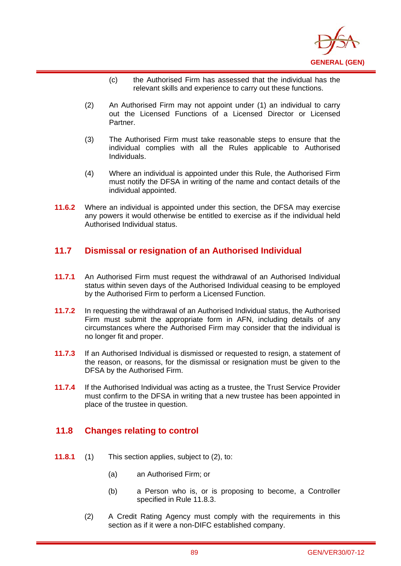

- (c) the Authorised Firm has assessed that the individual has the relevant skills and experience to carry out these functions.
- (2) An Authorised Firm may not appoint under (1) an individual to carry out the Licensed Functions of a Licensed Director or Licensed Partner.
- (3) The Authorised Firm must take reasonable steps to ensure that the individual complies with all the Rules applicable to Authorised Individuals.
- (4) Where an individual is appointed under this Rule, the Authorised Firm must notify the DFSA in writing of the name and contact details of the individual appointed.
- **11.6.2** Where an individual is appointed under this section, the DFSA may exercise any powers it would otherwise be entitled to exercise as if the individual held Authorised Individual status.

# **11.7 Dismissal or resignation of an Authorised Individual**

- **11.7.1** An Authorised Firm must request the withdrawal of an Authorised Individual status within seven days of the Authorised Individual ceasing to be employed by the Authorised Firm to perform a Licensed Function.
- **11.7.2** In requesting the withdrawal of an Authorised Individual status, the Authorised Firm must submit the appropriate form in AFN, including details of any circumstances where the Authorised Firm may consider that the individual is no longer fit and proper.
- **11.7.3** If an Authorised Individual is dismissed or requested to resign, a statement of the reason, or reasons, for the dismissal or resignation must be given to the DFSA by the Authorised Firm.
- **11.7.4** If the Authorised Individual was acting as a trustee, the Trust Service Provider must confirm to the DFSA in writing that a new trustee has been appointed in place of the trustee in question.

# **11.8 Changes relating to control**

- **11.8.1** (1) This section applies, subject to (2), to:
	- (a) an Authorised Firm; or
	- (b) a Person who is, or is proposing to become, a Controller specified in Rule 11.8.3.
	- (2) A Credit Rating Agency must comply with the requirements in this section as if it were a non-DIFC established company.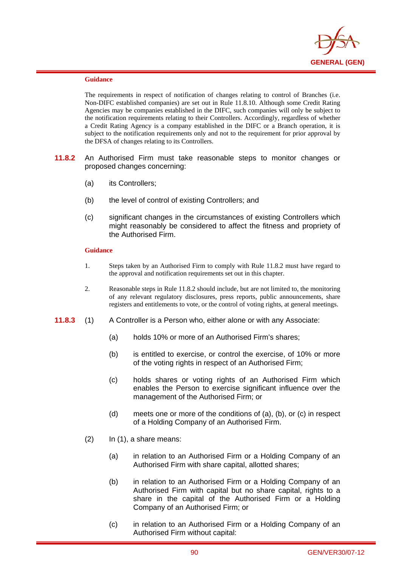

i

The requirements in respect of notification of changes relating to control of Branches (i.e. Non-DIFC established companies) are set out in Rule 11.8.10. Although some Credit Rating Agencies may be companies established in the DIFC, such companies will only be subject to the notification requirements relating to their Controllers. Accordingly, regardless of whether a Credit Rating Agency is a company established in the DIFC or a Branch operation, it is subject to the notification requirements only and not to the requirement for prior approval by the DFSA of changes relating to its Controllers.

- **11.8.2** An Authorised Firm must take reasonable steps to monitor changes or proposed changes concerning:
	- (a) its Controllers;
	- (b) the level of control of existing Controllers; and
	- (c) significant changes in the circumstances of existing Controllers which might reasonably be considered to affect the fitness and propriety of the Authorised Firm.

#### **Guidance**

- 1. Steps taken by an Authorised Firm to comply with Rule 11.8.2 must have regard to the approval and notification requirements set out in this chapter.
- 2. Reasonable steps in Rule 11.8.2 should include, but are not limited to, the monitoring of any relevant regulatory disclosures, press reports, public announcements, share registers and entitlements to vote, or the control of voting rights, at general meetings.
- **11.8.3** (1) A Controller is a Person who, either alone or with any Associate:
	- (a) holds 10% or more of an Authorised Firm's shares;
	- (b) is entitled to exercise, or control the exercise, of 10% or more of the voting rights in respect of an Authorised Firm;
	- (c) holds shares or voting rights of an Authorised Firm which enables the Person to exercise significant influence over the management of the Authorised Firm; or
	- (d) meets one or more of the conditions of (a), (b), or (c) in respect of a Holding Company of an Authorised Firm.
	- $(2)$  In  $(1)$ , a share means:
		- (a) in relation to an Authorised Firm or a Holding Company of an Authorised Firm with share capital, allotted shares;
		- (b) in relation to an Authorised Firm or a Holding Company of an Authorised Firm with capital but no share capital, rights to a share in the capital of the Authorised Firm or a Holding Company of an Authorised Firm; or
		- (c) in relation to an Authorised Firm or a Holding Company of an Authorised Firm without capital: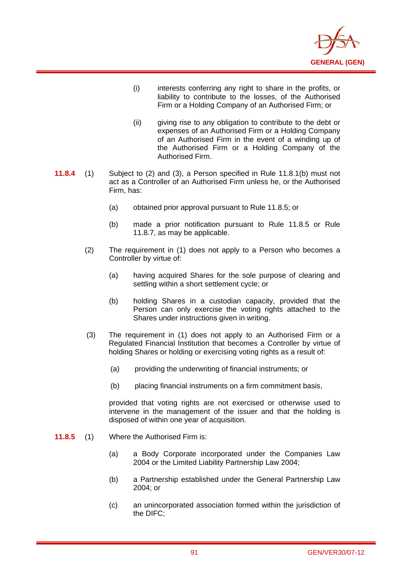

- (i) interests conferring any right to share in the profits, or liability to contribute to the losses, of the Authorised Firm or a Holding Company of an Authorised Firm; or
- (ii) giving rise to any obligation to contribute to the debt or expenses of an Authorised Firm or a Holding Company of an Authorised Firm in the event of a winding up of the Authorised Firm or a Holding Company of the Authorised Firm.
- **11.8.4** (1) Subject to (2) and (3), a Person specified in Rule 11.8.1(b) must not act as a Controller of an Authorised Firm unless he, or the Authorised Firm, has:
	- (a) obtained prior approval pursuant to Rule 11.8.5; or
	- (b) made a prior notification pursuant to Rule 11.8.5 or Rule 11.8.7, as may be applicable.
	- (2) The requirement in (1) does not apply to a Person who becomes a Controller by virtue of:
		- (a) having acquired Shares for the sole purpose of clearing and settling within a short settlement cycle; or
		- (b) holding Shares in a custodian capacity, provided that the Person can only exercise the voting rights attached to the Shares under instructions given in writing.
	- (3) The requirement in (1) does not apply to an Authorised Firm or a Regulated Financial Institution that becomes a Controller by virtue of holding Shares or holding or exercising voting rights as a result of:
		- (a) providing the underwriting of financial instruments; or
		- (b) placing financial instruments on a firm commitment basis,

provided that voting rights are not exercised or otherwise used to intervene in the management of the issuer and that the holding is disposed of within one year of acquisition.

**11.8.5** (1) Where the Authorised Firm is:

- (a) a Body Corporate incorporated under the Companies Law 2004 or the Limited Liability Partnership Law 2004;
- (b) a Partnership established under the General Partnership Law 2004; or
- (c) an unincorporated association formed within the jurisdiction of the DIFC;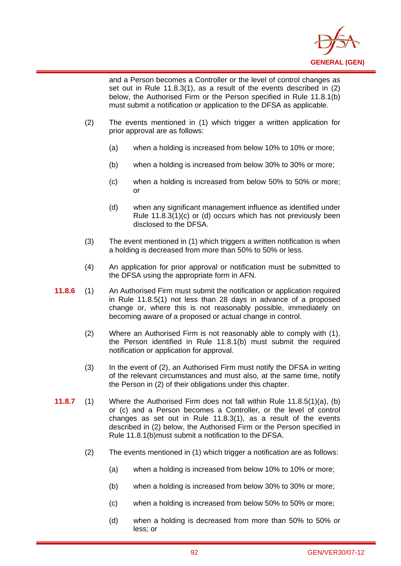

and a Person becomes a Controller or the level of control changes as set out in Rule 11.8.3(1), as a result of the events described in (2) below, the Authorised Firm or the Person specified in Rule 11.8.1(b) must submit a notification or application to the DFSA as applicable.

(2) The events mentioned in (1) which trigger a written application for prior approval are as follows:

- (a) when a holding is increased from below 10% to 10% or more;
- (b) when a holding is increased from below 30% to 30% or more;
- (c) when a holding is increased from below 50% to 50% or more; or
- (d) when any significant management influence as identified under Rule 11.8.3(1)(c) or (d) occurs which has not previously been disclosed to the DFSA.
- (3) The event mentioned in (1) which triggers a written notification is when a holding is decreased from more than 50% to 50% or less.
- (4) An application for prior approval or notification must be submitted to the DFSA using the appropriate form in AFN.
- **11.8.6** (1) An Authorised Firm must submit the notification or application required in Rule 11.8.5(1) not less than 28 days in advance of a proposed change or, where this is not reasonably possible, immediately on becoming aware of a proposed or actual change in control.
	- (2) Where an Authorised Firm is not reasonably able to comply with (1), the Person identified in Rule 11.8.1(b) must submit the required notification or application for approval.
	- (3) In the event of (2), an Authorised Firm must notify the DFSA in writing of the relevant circumstances and must also, at the same time, notify the Person in (2) of their obligations under this chapter.
- **11.8.7** (1) Where the Authorised Firm does not fall within Rule 11.8.5(1)(a), (b) or (c) and a Person becomes a Controller, or the level of control changes as set out in Rule 11.8.3(1), as a result of the events described in (2) below, the Authorised Firm or the Person specified in Rule 11.8.1(b)must submit a notification to the DFSA.
	- (2) The events mentioned in (1) which trigger a notification are as follows:
		- (a) when a holding is increased from below 10% to 10% or more;
		- (b) when a holding is increased from below 30% to 30% or more;
		- (c) when a holding is increased from below 50% to 50% or more;
		- (d) when a holding is decreased from more than 50% to 50% or less; or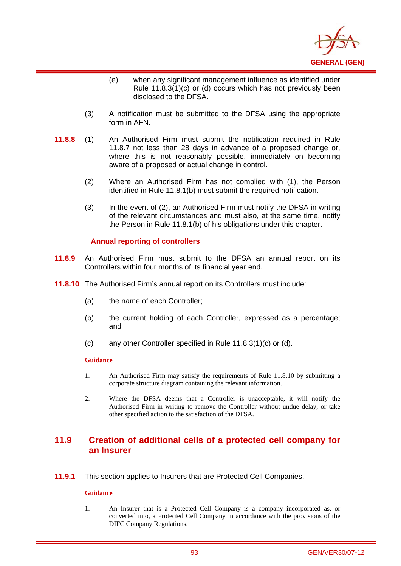

- (e) when any significant management influence as identified under Rule 11.8.3(1)(c) or (d) occurs which has not previously been disclosed to the DFSA.
- (3) A notification must be submitted to the DFSA using the appropriate form in AFN.
- **11.8.8** (1) An Authorised Firm must submit the notification required in Rule 11.8.7 not less than 28 days in advance of a proposed change or, where this is not reasonably possible, immediately on becoming aware of a proposed or actual change in control.
	- (2) Where an Authorised Firm has not complied with (1), the Person identified in Rule 11.8.1(b) must submit the required notification.
	- (3) In the event of (2), an Authorised Firm must notify the DFSA in writing of the relevant circumstances and must also, at the same time, notify the Person in Rule 11.8.1(b) of his obligations under this chapter.

### **Annual reporting of controllers**

- **11.8.9** An Authorised Firm must submit to the DFSA an annual report on its Controllers within four months of its financial year end.
- **11.8.10** The Authorised Firm's annual report on its Controllers must include:
	- (a) the name of each Controller;
	- (b) the current holding of each Controller, expressed as a percentage; and
	- (c) any other Controller specified in Rule 11.8.3(1)(c) or (d).

#### **Guidance**

i

- 1. An Authorised Firm may satisfy the requirements of Rule 11.8.10 by submitting a corporate structure diagram containing the relevant information.
- 2. Where the DFSA deems that a Controller is unacceptable, it will notify the Authorised Firm in writing to remove the Controller without undue delay, or take other specified action to the satisfaction of the DFSA.

## **11.9 Creation of additional cells of a protected cell company for an Insurer**

**11.9.1** This section applies to Insurers that are Protected Cell Companies.

#### **Guidance**

1. An Insurer that is a Protected Cell Company is a company incorporated as, or converted into, a Protected Cell Company in accordance with the provisions of the DIFC Company Regulations.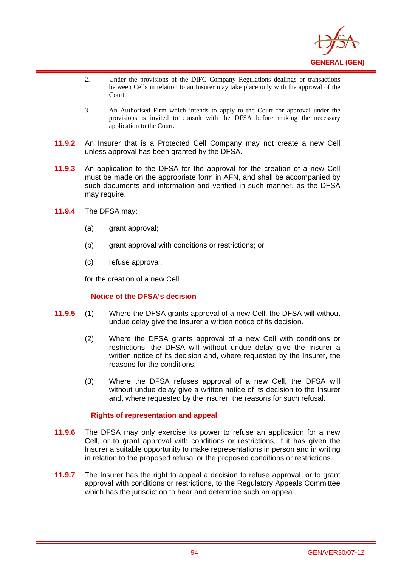

- 2. Under the provisions of the DIFC Company Regulations dealings or transactions between Cells in relation to an Insurer may take place only with the approval of the Court.
- 3. An Authorised Firm which intends to apply to the Court for approval under the provisions is invited to consult with the DFSA before making the necessary application to the Court.
- **11.9.2** An Insurer that is a Protected Cell Company may not create a new Cell unless approval has been granted by the DFSA.
- **11.9.3** An application to the DFSA for the approval for the creation of a new Cell must be made on the appropriate form in AFN, and shall be accompanied by such documents and information and verified in such manner, as the DFSA may require.
- **11.9.4** The DFSA may:

i

- (a) grant approval;
- (b) grant approval with conditions or restrictions; or
- (c) refuse approval;

for the creation of a new Cell.

### **Notice of the DFSA's decision**

- **11.9.5** (1) Where the DFSA grants approval of a new Cell, the DFSA will without undue delay give the Insurer a written notice of its decision.
	- (2) Where the DFSA grants approval of a new Cell with conditions or restrictions, the DFSA will without undue delay give the Insurer a written notice of its decision and, where requested by the Insurer, the reasons for the conditions.
	- (3) Where the DFSA refuses approval of a new Cell, the DFSA will without undue delay give a written notice of its decision to the Insurer and, where requested by the Insurer, the reasons for such refusal.

### **Rights of representation and appeal**

- **11.9.6** The DFSA may only exercise its power to refuse an application for a new Cell, or to grant approval with conditions or restrictions, if it has given the Insurer a suitable opportunity to make representations in person and in writing in relation to the proposed refusal or the proposed conditions or restrictions.
- **11.9.7** The Insurer has the right to appeal a decision to refuse approval, or to grant approval with conditions or restrictions, to the Regulatory Appeals Committee which has the jurisdiction to hear and determine such an appeal.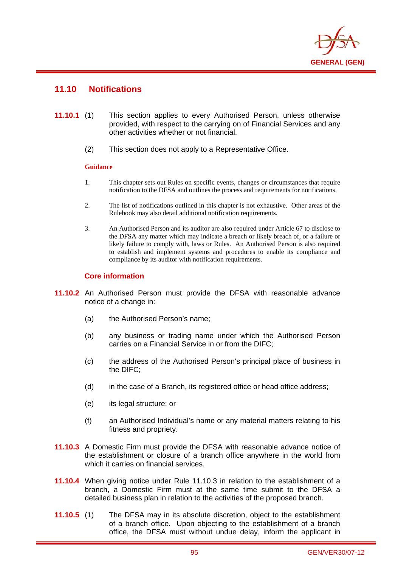

## **11.10 Notifications**

i

- **11.10.1** (1) This section applies to every Authorised Person, unless otherwise provided, with respect to the carrying on of Financial Services and any other activities whether or not financial.
	- (2) This section does not apply to a Representative Office.

### **Guidance**

- 1. This chapter sets out Rules on specific events, changes or circumstances that require notification to the DFSA and outlines the process and requirements for notifications.
- 2. The list of notifications outlined in this chapter is not exhaustive. Other areas of the Rulebook may also detail additional notification requirements.
- 3. An Authorised Person and its auditor are also required under Article 67 to disclose to the DFSA any matter which may indicate a breach or likely breach of, or a failure or likely failure to comply with, laws or Rules. An Authorised Person is also required to establish and implement systems and procedures to enable its compliance and compliance by its auditor with notification requirements.

### **Core information**

- **11.10.2** An Authorised Person must provide the DFSA with reasonable advance notice of a change in:
	- (a) the Authorised Person's name;
	- (b) any business or trading name under which the Authorised Person carries on a Financial Service in or from the DIFC;
	- (c) the address of the Authorised Person's principal place of business in the DIFC;
	- (d) in the case of a Branch, its registered office or head office address;
	- (e) its legal structure; or
	- (f) an Authorised Individual's name or any material matters relating to his fitness and propriety.
- **11.10.3** A Domestic Firm must provide the DFSA with reasonable advance notice of the establishment or closure of a branch office anywhere in the world from which it carries on financial services.
- **11.10.4** When giving notice under Rule 11.10.3 in relation to the establishment of a branch, a Domestic Firm must at the same time submit to the DFSA a detailed business plan in relation to the activities of the proposed branch.
- **11.10.5** (1) The DFSA may in its absolute discretion, object to the establishment of a branch office. Upon objecting to the establishment of a branch office, the DFSA must without undue delay, inform the applicant in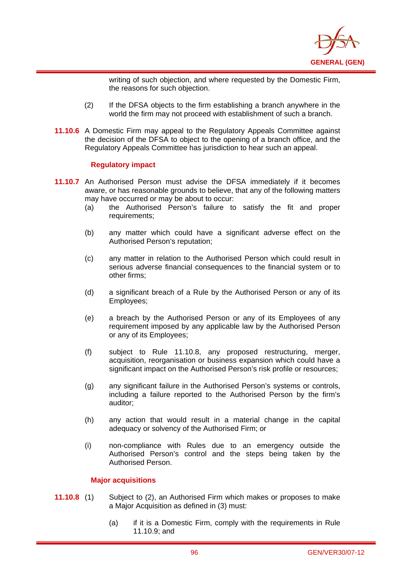

writing of such objection, and where requested by the Domestic Firm, the reasons for such objection.

- (2) If the DFSA objects to the firm establishing a branch anywhere in the world the firm may not proceed with establishment of such a branch.
- **11.10.6** A Domestic Firm may appeal to the Regulatory Appeals Committee against the decision of the DFSA to object to the opening of a branch office, and the Regulatory Appeals Committee has jurisdiction to hear such an appeal.

### **Regulatory impact**

i

- **11.10.7** An Authorised Person must advise the DFSA immediately if it becomes aware, or has reasonable grounds to believe, that any of the following matters may have occurred or may be about to occur:
	- (a) the Authorised Person's failure to satisfy the fit and proper requirements;
	- (b) any matter which could have a significant adverse effect on the Authorised Person's reputation;
	- (c) any matter in relation to the Authorised Person which could result in serious adverse financial consequences to the financial system or to other firms;
	- (d) a significant breach of a Rule by the Authorised Person or any of its Employees;
	- (e) a breach by the Authorised Person or any of its Employees of any requirement imposed by any applicable law by the Authorised Person or any of its Employees;
	- (f) subject to Rule 11.10.8, any proposed restructuring, merger, acquisition, reorganisation or business expansion which could have a significant impact on the Authorised Person's risk profile or resources;
	- (g) any significant failure in the Authorised Person's systems or controls, including a failure reported to the Authorised Person by the firm's auditor;
	- (h) any action that would result in a material change in the capital adequacy or solvency of the Authorised Firm; or
	- (i) non-compliance with Rules due to an emergency outside the Authorised Person's control and the steps being taken by the Authorised Person.

### **Major acquisitions**

- **11.10.8** (1) Subject to (2), an Authorised Firm which makes or proposes to make a Major Acquisition as defined in (3) must:
	- (a) if it is a Domestic Firm, comply with the requirements in Rule 11.10.9; and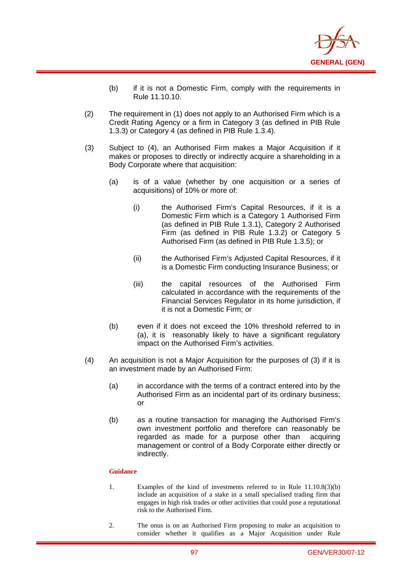

- (b) if it is not a Domestic Firm, comply with the requirements in Rule 11.10.10.
- (2) The requirement in (1) does not apply to an Authorised Firm which is a Credit Rating Agency or a firm in Category 3 (as defined in PIB Rule 1.3.3) or Category 4 (as defined in PIB Rule 1.3.4).
- (3) Subject to (4), an Authorised Firm makes a Major Acquisition if it makes or proposes to directly or indirectly acquire a shareholding in a Body Corporate where that acquisition:
	- (a) is of a value (whether by one acquisition or a series of acquisitions) of 10% or more of:
		- (i) the Authorised Firm's Capital Resources, if it is a Domestic Firm which is a Category 1 Authorised Firm (as defined in PIB Rule 1.3.1), Category 2 Authorised Firm (as defined in PIB Rule 1.3.2) or Category 5 Authorised Firm (as defined in PIB Rule 1.3.5); or
		- (ii) the Authorised Firm's Adjusted Capital Resources, if it is a Domestic Firm conducting Insurance Business; or
		- (iii) the capital resources of the Authorised Firm calculated in accordance with the requirements of the Financial Services Regulator in its home jurisdiction, if it is not a Domestic Firm; or
	- (b) even if it does not exceed the 10% threshold referred to in (a), it is reasonably likely to have a significant regulatory impact on the Authorised Firm's activities.
- (4) An acquisition is not a Major Acquisition for the purposes of (3) if it is an investment made by an Authorised Firm:
	- (a) in accordance with the terms of a contract entered into by the Authorised Firm as an incidental part of its ordinary business; or
	- (b) as a routine transaction for managing the Authorised Firm's own investment portfolio and therefore can reasonably be regarded as made for a purpose other than acquiring management or control of a Body Corporate either directly or indirectly.

- 1. Examples of the kind of investments referred to in Rule 11.10.8(3)(b) include an acquisition of a stake in a small specialised trading firm that engages in high risk trades or other activities that could pose a reputational risk to the Authorised Firm.
- 2. The onus is on an Authorised Firm proposing to make an acquisition to consider whether it qualifies as a Major Acquisition under Rule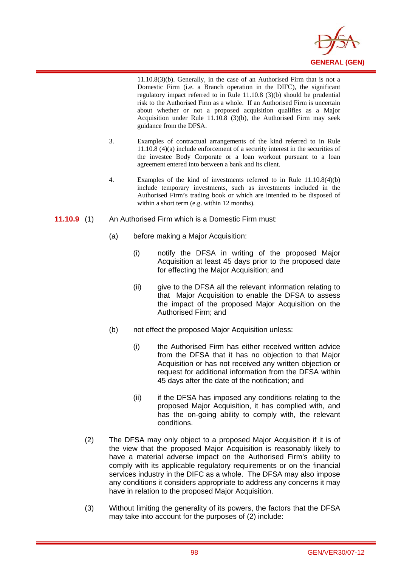

11.10.8(3)(b). Generally, in the case of an Authorised Firm that is not a Domestic Firm (i.e. a Branch operation in the DIFC), the significant regulatory impact referred to in Rule 11.10.8 (3)(b) should be prudential risk to the Authorised Firm as a whole. If an Authorised Firm is uncertain about whether or not a proposed acquisition qualifies as a Major Acquisition under Rule 11.10.8 (3)(b), the Authorised Firm may seek guidance from the DFSA.

- 3. Examples of contractual arrangements of the kind referred to in Rule 11.10.8 (4)(a) include enforcement of a security interest in the securities of the investee Body Corporate or a loan workout pursuant to a loan agreement entered into between a bank and its client.
- 4. Examples of the kind of investments referred to in Rule 11.10.8(4)(b) include temporary investments, such as investments included in the Authorised Firm's trading book or which are intended to be disposed of within a short term (e.g. within 12 months).
- **11.10.9** (1) An Authorised Firm which is a Domestic Firm must:

- (a) before making a Major Acquisition:
	- (i) notify the DFSA in writing of the proposed Major Acquisition at least 45 days prior to the proposed date for effecting the Major Acquisition; and
	- (ii) give to the DFSA all the relevant information relating to that Major Acquisition to enable the DFSA to assess the impact of the proposed Major Acquisition on the Authorised Firm; and
- (b) not effect the proposed Major Acquisition unless:
	- (i) the Authorised Firm has either received written advice from the DFSA that it has no objection to that Major Acquisition or has not received any written objection or request for additional information from the DFSA within 45 days after the date of the notification; and
	- (ii) if the DFSA has imposed any conditions relating to the proposed Major Acquisition, it has complied with, and has the on-going ability to comply with, the relevant conditions.
- (2) The DFSA may only object to a proposed Major Acquisition if it is of the view that the proposed Major Acquisition is reasonably likely to have a material adverse impact on the Authorised Firm's ability to comply with its applicable regulatory requirements or on the financial services industry in the DIFC as a whole. The DFSA may also impose any conditions it considers appropriate to address any concerns it may have in relation to the proposed Major Acquisition.
- (3) Without limiting the generality of its powers, the factors that the DFSA may take into account for the purposes of (2) include: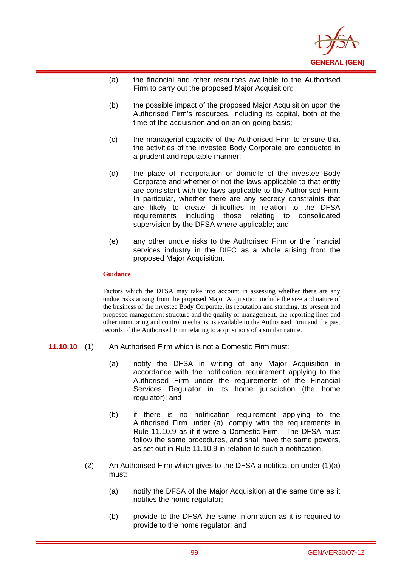

- (a) the financial and other resources available to the Authorised Firm to carry out the proposed Major Acquisition;
- (b) the possible impact of the proposed Major Acquisition upon the Authorised Firm's resources, including its capital, both at the time of the acquisition and on an on-going basis:
- (c) the managerial capacity of the Authorised Firm to ensure that the activities of the investee Body Corporate are conducted in a prudent and reputable manner;
- (d) the place of incorporation or domicile of the investee Body Corporate and whether or not the laws applicable to that entity are consistent with the laws applicable to the Authorised Firm. In particular, whether there are any secrecy constraints that are likely to create difficulties in relation to the DFSA requirements including those relating to consolidated supervision by the DFSA where applicable; and
- (e) any other undue risks to the Authorised Firm or the financial services industry in the DIFC as a whole arising from the proposed Major Acquisition.

i

Factors which the DFSA may take into account in assessing whether there are any undue risks arising from the proposed Major Acquisition include the size and nature of the business of the investee Body Corporate, its reputation and standing, its present and proposed management structure and the quality of management, the reporting lines and other monitoring and control mechanisms available to the Authorised Firm and the past records of the Authorised Firm relating to acquisitions of a similar nature.

- **11.10.10** (1) An Authorised Firm which is not a Domestic Firm must:
	- (a) notify the DFSA in writing of any Major Acquisition in accordance with the notification requirement applying to the Authorised Firm under the requirements of the Financial Services Regulator in its home jurisdiction (the home regulator); and
	- (b) if there is no notification requirement applying to the Authorised Firm under (a), comply with the requirements in Rule 11.10.9 as if it were a Domestic Firm. The DFSA must follow the same procedures, and shall have the same powers, as set out in Rule 11.10.9 in relation to such a notification.
	- (2) An Authorised Firm which gives to the DFSA a notification under  $(1)(a)$ must:
		- (a) notify the DFSA of the Major Acquisition at the same time as it notifies the home regulator;
		- (b) provide to the DFSA the same information as it is required to provide to the home regulator; and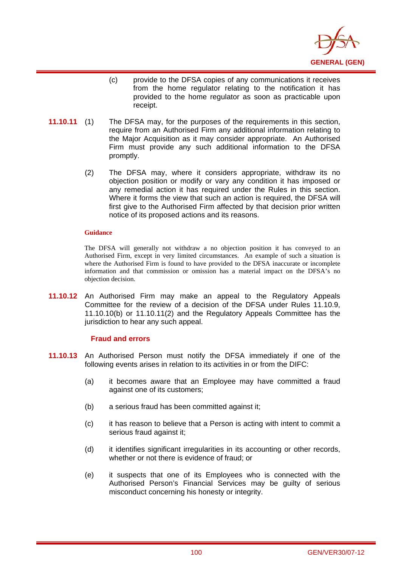

- (c) provide to the DFSA copies of any communications it receives from the home regulator relating to the notification it has provided to the home regulator as soon as practicable upon receipt.
- **11.10.11** (1) The DFSA may, for the purposes of the requirements in this section, require from an Authorised Firm any additional information relating to the Major Acquisition as it may consider appropriate. An Authorised Firm must provide any such additional information to the DFSA promptly.
	- (2) The DFSA may, where it considers appropriate, withdraw its no objection position or modify or vary any condition it has imposed or any remedial action it has required under the Rules in this section. Where it forms the view that such an action is required, the DFSA will first give to the Authorised Firm affected by that decision prior written notice of its proposed actions and its reasons.

i

The DFSA will generally not withdraw a no objection position it has conveyed to an Authorised Firm, except in very limited circumstances. An example of such a situation is where the Authorised Firm is found to have provided to the DFSA inaccurate or incomplete information and that commission or omission has a material impact on the DFSA's no objection decision.

**11.10.12** An Authorised Firm may make an appeal to the Regulatory Appeals Committee for the review of a decision of the DFSA under Rules 11.10.9, 11.10.10(b) or 11.10.11(2) and the Regulatory Appeals Committee has the jurisdiction to hear any such appeal.

### **Fraud and errors**

- **11.10.13** An Authorised Person must notify the DFSA immediately if one of the following events arises in relation to its activities in or from the DIFC:
	- (a) it becomes aware that an Employee may have committed a fraud against one of its customers;
	- (b) a serious fraud has been committed against it;
	- (c) it has reason to believe that a Person is acting with intent to commit a serious fraud against it;
	- (d) it identifies significant irregularities in its accounting or other records, whether or not there is evidence of fraud; or
	- (e) it suspects that one of its Employees who is connected with the Authorised Person's Financial Services may be guilty of serious misconduct concerning his honesty or integrity.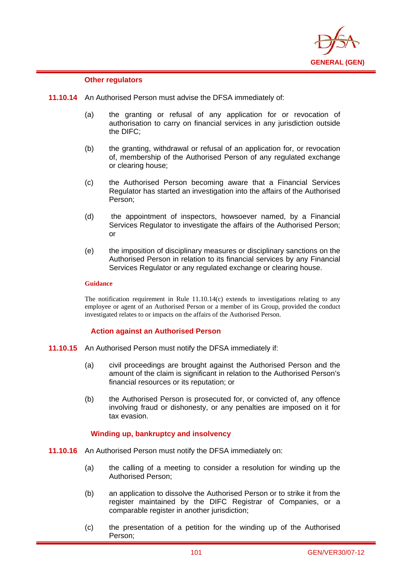

### **Other regulators**

i

- **11.10.14** An Authorised Person must advise the DFSA immediately of:
	- (a) the granting or refusal of any application for or revocation of authorisation to carry on financial services in any jurisdiction outside the DIFC;
	- (b) the granting, withdrawal or refusal of an application for, or revocation of, membership of the Authorised Person of any regulated exchange or clearing house;
	- (c) the Authorised Person becoming aware that a Financial Services Regulator has started an investigation into the affairs of the Authorised Person;
	- (d) the appointment of inspectors, howsoever named, by a Financial Services Regulator to investigate the affairs of the Authorised Person; or
	- (e) the imposition of disciplinary measures or disciplinary sanctions on the Authorised Person in relation to its financial services by any Financial Services Regulator or any regulated exchange or clearing house.

### **Guidance**

The notification requirement in Rule 11.10.14(c) extends to investigations relating to any employee or agent of an Authorised Person or a member of its Group, provided the conduct investigated relates to or impacts on the affairs of the Authorised Person.

#### **Action against an Authorised Person**

- **11.10.15** An Authorised Person must notify the DFSA immediately if:
	- (a) civil proceedings are brought against the Authorised Person and the amount of the claim is significant in relation to the Authorised Person's financial resources or its reputation; or
	- (b) the Authorised Person is prosecuted for, or convicted of, any offence involving fraud or dishonesty, or any penalties are imposed on it for tax evasion.

### **Winding up, bankruptcy and insolvency**

- **11.10.16** An Authorised Person must notify the DFSA immediately on:
	- (a) the calling of a meeting to consider a resolution for winding up the Authorised Person;
	- (b) an application to dissolve the Authorised Person or to strike it from the register maintained by the DIFC Registrar of Companies, or a comparable register in another jurisdiction;
	- (c) the presentation of a petition for the winding up of the Authorised Person;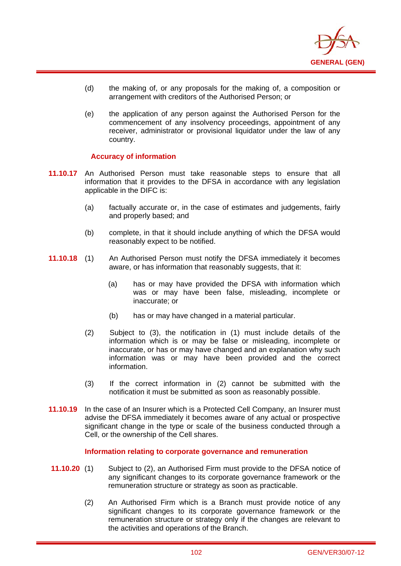

- (d) the making of, or any proposals for the making of, a composition or arrangement with creditors of the Authorised Person; or
- (e) the application of any person against the Authorised Person for the commencement of any insolvency proceedings, appointment of any receiver, administrator or provisional liquidator under the law of any country.

### **Accuracy of information**

i

- **11.10.17** An Authorised Person must take reasonable steps to ensure that all information that it provides to the DFSA in accordance with any legislation applicable in the DIFC is:
	- (a) factually accurate or, in the case of estimates and judgements, fairly and properly based; and
	- (b) complete, in that it should include anything of which the DFSA would reasonably expect to be notified.
- **11.10.18** (1) An Authorised Person must notify the DFSA immediately it becomes aware, or has information that reasonably suggests, that it:
	- (a) has or may have provided the DFSA with information which was or may have been false, misleading, incomplete or inaccurate; or
	- (b) has or may have changed in a material particular.
	- (2) Subject to (3), the notification in (1) must include details of the information which is or may be false or misleading, incomplete or inaccurate, or has or may have changed and an explanation why such information was or may have been provided and the correct information.
	- (3) If the correct information in (2) cannot be submitted with the notification it must be submitted as soon as reasonably possible.
- **11.10.19** In the case of an Insurer which is a Protected Cell Company, an Insurer must advise the DFSA immediately it becomes aware of any actual or prospective significant change in the type or scale of the business conducted through a Cell, or the ownership of the Cell shares.

#### **Information relating to corporate governance and remuneration**

- **11.10.20** (1) Subject to (2), an Authorised Firm must provide to the DFSA notice of any significant changes to its corporate governance framework or the remuneration structure or strategy as soon as practicable.
	- (2) An Authorised Firm which is a Branch must provide notice of any significant changes to its corporate governance framework or the remuneration structure or strategy only if the changes are relevant to the activities and operations of the Branch.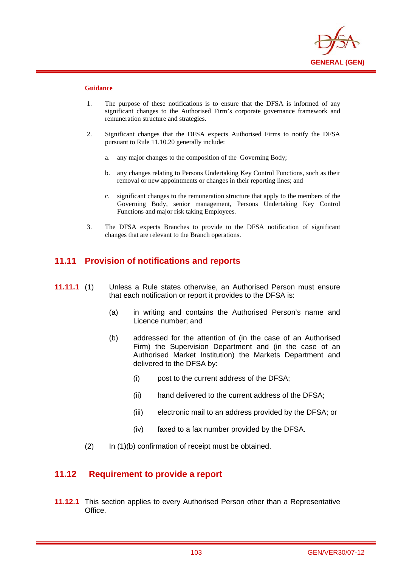

i

- 1. The purpose of these notifications is to ensure that the DFSA is informed of any significant changes to the Authorised Firm's corporate governance framework and remuneration structure and strategies.
- 2. Significant changes that the DFSA expects Authorised Firms to notify the DFSA pursuant to Rule 11.10.20 generally include:
	- a. any major changes to the composition of the Governing Body;
	- b. any changes relating to Persons Undertaking Key Control Functions, such as their removal or new appointments or changes in their reporting lines; and
	- c. significant changes to the remuneration structure that apply to the members of the Governing Body, senior management, Persons Undertaking Key Control Functions and major risk taking Employees.
- 3. The DFSA expects Branches to provide to the DFSA notification of significant changes that are relevant to the Branch operations.

## **11.11 Provision of notifications and reports**

- **11.11.1** (1) Unless a Rule states otherwise, an Authorised Person must ensure that each notification or report it provides to the DFSA is:
	- (a) in writing and contains the Authorised Person's name and Licence number; and
	- (b) addressed for the attention of (in the case of an Authorised Firm) the Supervision Department and (in the case of an Authorised Market Institution) the Markets Department and delivered to the DFSA by:
		- (i) post to the current address of the DFSA;
		- (ii) hand delivered to the current address of the DFSA;
		- (iii) electronic mail to an address provided by the DFSA; or
		- (iv) faxed to a fax number provided by the DFSA.
	- (2) In (1)(b) confirmation of receipt must be obtained.

## **11.12 Requirement to provide a report**

**11.12.1** This section applies to every Authorised Person other than a Representative Office.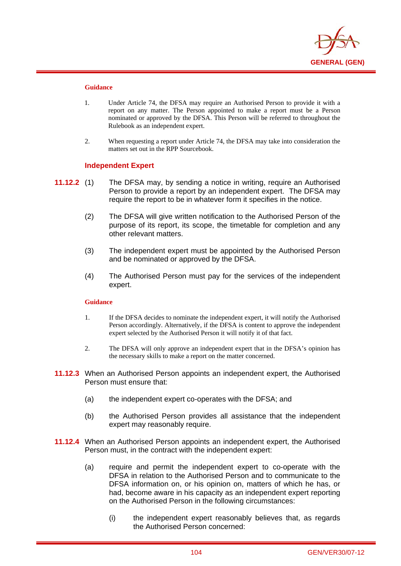

i

- 1. Under Article 74, the DFSA may require an Authorised Person to provide it with a report on any matter. The Person appointed to make a report must be a Person nominated or approved by the DFSA. This Person will be referred to throughout the Rulebook as an independent expert.
- 2. When requesting a report under Article 74, the DFSA may take into consideration the matters set out in the RPP Sourcebook.

#### **Independent Expert**

- **11.12.2** (1) The DFSA may, by sending a notice in writing, require an Authorised Person to provide a report by an independent expert. The DFSA may require the report to be in whatever form it specifies in the notice.
	- (2) The DFSA will give written notification to the Authorised Person of the purpose of its report, its scope, the timetable for completion and any other relevant matters.
	- (3) The independent expert must be appointed by the Authorised Person and be nominated or approved by the DFSA.
	- (4) The Authorised Person must pay for the services of the independent expert.

#### **Guidance**

- 1. If the DFSA decides to nominate the independent expert, it will notify the Authorised Person accordingly. Alternatively, if the DFSA is content to approve the independent expert selected by the Authorised Person it will notify it of that fact.
- 2. The DFSA will only approve an independent expert that in the DFSA's opinion has the necessary skills to make a report on the matter concerned.
- **11.12.3** When an Authorised Person appoints an independent expert, the Authorised Person must ensure that:
	- (a) the independent expert co-operates with the DFSA; and
	- (b) the Authorised Person provides all assistance that the independent expert may reasonably require.
- **11.12.4** When an Authorised Person appoints an independent expert, the Authorised Person must, in the contract with the independent expert:
	- (a) require and permit the independent expert to co-operate with the DFSA in relation to the Authorised Person and to communicate to the DFSA information on, or his opinion on, matters of which he has, or had, become aware in his capacity as an independent expert reporting on the Authorised Person in the following circumstances:
		- (i) the independent expert reasonably believes that, as regards the Authorised Person concerned: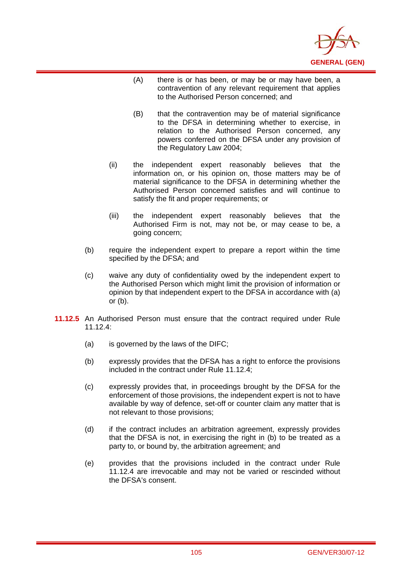

- (A) there is or has been, or may be or may have been, a contravention of any relevant requirement that applies to the Authorised Person concerned; and
- (B) that the contravention may be of material significance to the DFSA in determining whether to exercise, in relation to the Authorised Person concerned, any powers conferred on the DFSA under any provision of the Regulatory Law 2004;
- (ii) the independent expert reasonably believes that the information on, or his opinion on, those matters may be of material significance to the DFSA in determining whether the Authorised Person concerned satisfies and will continue to satisfy the fit and proper requirements; or
- (iii) the independent expert reasonably believes that the Authorised Firm is not, may not be, or may cease to be, a going concern;
- (b) require the independent expert to prepare a report within the time specified by the DFSA; and
- (c) waive any duty of confidentiality owed by the independent expert to the Authorised Person which might limit the provision of information or opinion by that independent expert to the DFSA in accordance with (a) or (b).
- **11.12.5** An Authorised Person must ensure that the contract required under Rule 11.12 $4$ 
	- (a) is governed by the laws of the DIFC;

- (b) expressly provides that the DFSA has a right to enforce the provisions included in the contract under Rule 11.12.4;
- (c) expressly provides that, in proceedings brought by the DFSA for the enforcement of those provisions, the independent expert is not to have available by way of defence, set-off or counter claim any matter that is not relevant to those provisions;
- (d) if the contract includes an arbitration agreement, expressly provides that the DFSA is not, in exercising the right in (b) to be treated as a party to, or bound by, the arbitration agreement; and
- (e) provides that the provisions included in the contract under Rule 11.12.4 are irrevocable and may not be varied or rescinded without the DFSA's consent.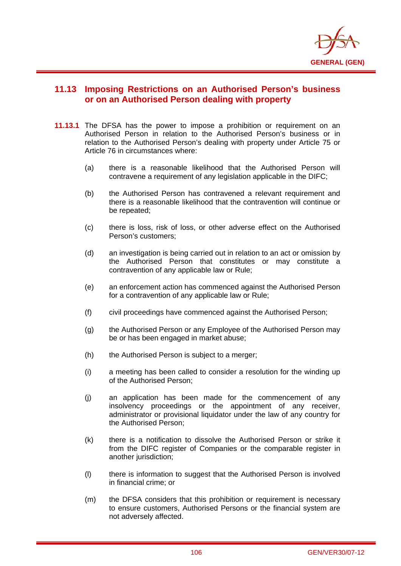

## **11.13 Imposing Restrictions on an Authorised Person's business or on an Authorised Person dealing with property**

- **11.13.1** The DFSA has the power to impose a prohibition or requirement on an Authorised Person in relation to the Authorised Person's business or in relation to the Authorised Person's dealing with property under Article 75 or Article 76 in circumstances where:
	- (a) there is a reasonable likelihood that the Authorised Person will contravene a requirement of any legislation applicable in the DIFC;
	- (b) the Authorised Person has contravened a relevant requirement and there is a reasonable likelihood that the contravention will continue or be repeated;
	- (c) there is loss, risk of loss, or other adverse effect on the Authorised Person's customers;
	- (d) an investigation is being carried out in relation to an act or omission by the Authorised Person that constitutes or may constitute a contravention of any applicable law or Rule;
	- (e) an enforcement action has commenced against the Authorised Person for a contravention of any applicable law or Rule;
	- (f) civil proceedings have commenced against the Authorised Person;
	- (g) the Authorised Person or any Employee of the Authorised Person may be or has been engaged in market abuse;
	- (h) the Authorised Person is subject to a merger;
	- (i) a meeting has been called to consider a resolution for the winding up of the Authorised Person;
	- (j) an application has been made for the commencement of any insolvency proceedings or the appointment of any receiver, administrator or provisional liquidator under the law of any country for the Authorised Person;
	- (k) there is a notification to dissolve the Authorised Person or strike it from the DIFC register of Companies or the comparable register in another jurisdiction;
	- (l) there is information to suggest that the Authorised Person is involved in financial crime; or
	- (m) the DFSA considers that this prohibition or requirement is necessary to ensure customers, Authorised Persons or the financial system are not adversely affected.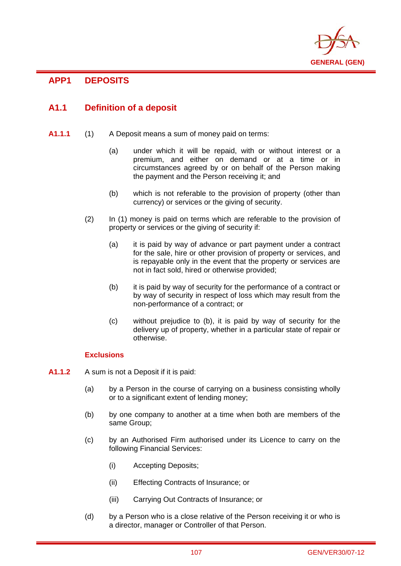

# **APP1 DEPOSITS**

i

# **A1.1 Definition of a deposit**

- **A1.1.1** (1) A Deposit means a sum of money paid on terms:
	- (a) under which it will be repaid, with or without interest or a premium, and either on demand or at a time or in circumstances agreed by or on behalf of the Person making the payment and the Person receiving it; and
	- (b) which is not referable to the provision of property (other than currency) or services or the giving of security.
	- (2) In (1) money is paid on terms which are referable to the provision of property or services or the giving of security if:
		- (a) it is paid by way of advance or part payment under a contract for the sale, hire or other provision of property or services, and is repayable only in the event that the property or services are not in fact sold, hired or otherwise provided;
		- (b) it is paid by way of security for the performance of a contract or by way of security in respect of loss which may result from the non-performance of a contract; or
		- (c) without prejudice to (b), it is paid by way of security for the delivery up of property, whether in a particular state of repair or otherwise.

## **Exclusions**

- **A1.1.2** A sum is not a Deposit if it is paid:
	- (a) by a Person in the course of carrying on a business consisting wholly or to a significant extent of lending money;
	- (b) by one company to another at a time when both are members of the same Group;
	- (c) by an Authorised Firm authorised under its Licence to carry on the following Financial Services:
		- (i) Accepting Deposits;
		- (ii) Effecting Contracts of Insurance; or
		- (iii) Carrying Out Contracts of Insurance; or
	- (d) by a Person who is a close relative of the Person receiving it or who is a director, manager or Controller of that Person.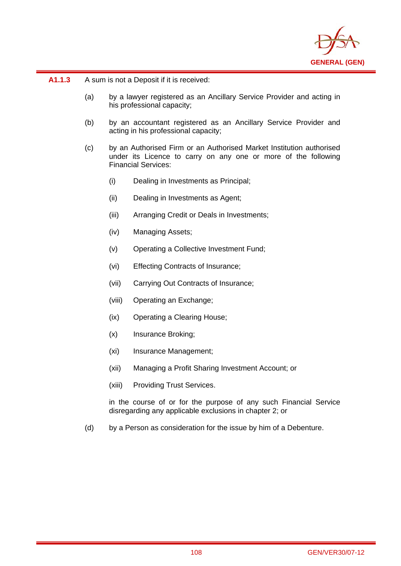

**A1.1.3** A sum is not a Deposit if it is received:

i

- (a) by a lawyer registered as an Ancillary Service Provider and acting in his professional capacity;
- (b) by an accountant registered as an Ancillary Service Provider and acting in his professional capacity;
- (c) by an Authorised Firm or an Authorised Market Institution authorised under its Licence to carry on any one or more of the following Financial Services:
	- (i) Dealing in Investments as Principal;
	- (ii) Dealing in Investments as Agent;
	- (iii) Arranging Credit or Deals in Investments;
	- (iv) Managing Assets;
	- (v) Operating a Collective Investment Fund;
	- (vi) Effecting Contracts of Insurance;
	- (vii) Carrying Out Contracts of Insurance;
	- (viii) Operating an Exchange;
	- (ix) Operating a Clearing House;
	- (x) Insurance Broking;
	- (xi) Insurance Management;
	- (xii) Managing a Profit Sharing Investment Account; or
	- (xiii) Providing Trust Services.

in the course of or for the purpose of any such Financial Service disregarding any applicable exclusions in chapter 2; or

(d) by a Person as consideration for the issue by him of a Debenture.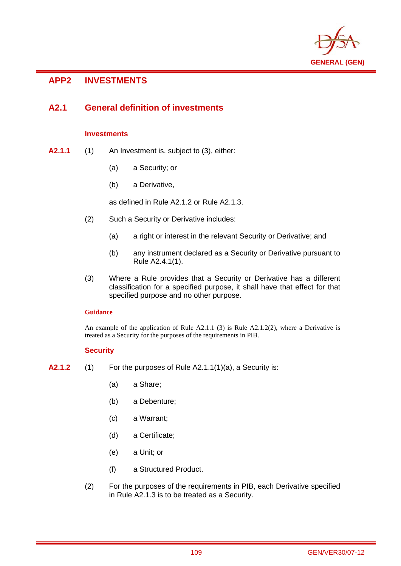

# **APP2 INVESTMENTS**

i

## **A2.1 General definition of investments**

## **Investments**

- **A2.1.1** (1) An Investment is, subject to (3), either:
	- (a) a Security; or
	- (b) a Derivative,

as defined in Rule A2.1.2 or Rule A2.1.3.

- (2) Such a Security or Derivative includes:
	- (a) a right or interest in the relevant Security or Derivative; and
	- (b) any instrument declared as a Security or Derivative pursuant to Rule A2.4.1(1).
- (3) Where a Rule provides that a Security or Derivative has a different classification for a specified purpose, it shall have that effect for that specified purpose and no other purpose.

## **Guidance**

An example of the application of Rule A2.1.1 (3) is Rule A2.1.2(2), where a Derivative is treated as a Security for the purposes of the requirements in PIB.

## **Security**

- **A2.1.2** (1) For the purposes of Rule A2.1.1(1)(a), a Security is:
	- (a) a Share;
	- (b) a Debenture;
	- (c) a Warrant;
	- (d) a Certificate;
	- (e) a Unit; or
	- (f) a Structured Product.
	- (2) For the purposes of the requirements in PIB, each Derivative specified in Rule A2.1.3 is to be treated as a Security.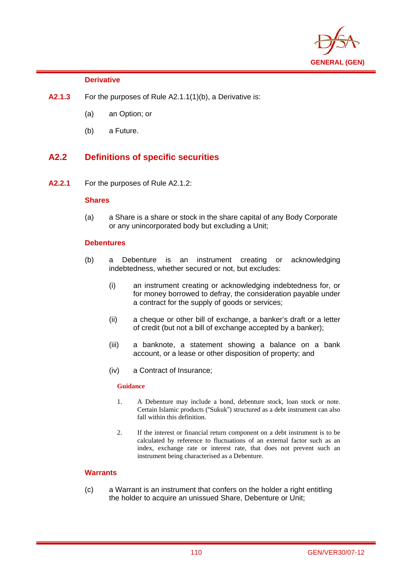

## **Derivative**

i

- **A2.1.3** For the purposes of Rule A2.1.1(1)(b), a Derivative is:
	- (a) an Option; or
	- (b) a Future.

# **A2.2 Definitions of specific securities**

**A2.2.1** For the purposes of Rule A2.1.2:

## **Shares**

(a) a Share is a share or stock in the share capital of any Body Corporate or any unincorporated body but excluding a Unit;

## **Debentures**

- (b) a Debenture is an instrument creating or acknowledging indebtedness, whether secured or not, but excludes:
	- (i) an instrument creating or acknowledging indebtedness for, or for money borrowed to defray, the consideration payable under a contract for the supply of goods or services;
	- (ii) a cheque or other bill of exchange, a banker's draft or a letter of credit (but not a bill of exchange accepted by a banker);
	- (iii) a banknote, a statement showing a balance on a bank account, or a lease or other disposition of property; and
	- (iv) a Contract of Insurance;

## **Guidance**

- 1. A Debenture may include a bond, debenture stock, loan stock or note. Certain Islamic products ("Sukuk") structured as a debt instrument can also fall within this definition.
- 2. If the interest or financial return component on a debt instrument is to be calculated by reference to fluctuations of an external factor such as an index, exchange rate or interest rate, that does not prevent such an instrument being characterised as a Debenture.

## **Warrants**

(c) a Warrant is an instrument that confers on the holder a right entitling the holder to acquire an unissued Share, Debenture or Unit;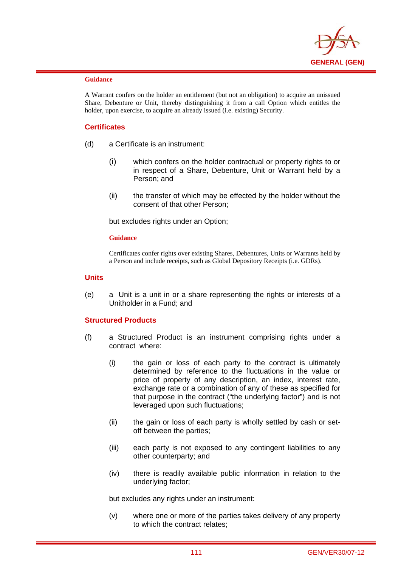

i

A Warrant confers on the holder an entitlement (but not an obligation) to acquire an unissued Share, Debenture or Unit, thereby distinguishing it from a call Option which entitles the holder, upon exercise, to acquire an already issued (i.e. existing) Security.

## **Certificates**

- (d) a Certificate is an instrument:
	- (i) which confers on the holder contractual or property rights to or in respect of a Share, Debenture, Unit or Warrant held by a Person; and
	- (ii) the transfer of which may be effected by the holder without the consent of that other Person;

but excludes rights under an Option;

#### **Guidance**

Certificates confer rights over existing Shares, Debentures, Units or Warrants held by a Person and include receipts, such as Global Depository Receipts (i.e. GDRs).

#### **Units**

(e) a Unit is a unit in or a share representing the rights or interests of a Unitholder in a Fund; and

## **Structured Products**

- (f) a Structured Product is an instrument comprising rights under a contract where:
	- (i) the gain or loss of each party to the contract is ultimately determined by reference to the fluctuations in the value or price of property of any description, an index, interest rate, exchange rate or a combination of any of these as specified for that purpose in the contract ("the underlying factor") and is not leveraged upon such fluctuations;
	- (ii) the gain or loss of each party is wholly settled by cash or setoff between the parties;
	- (iii) each party is not exposed to any contingent liabilities to any other counterparty; and
	- (iv) there is readily available public information in relation to the underlying factor;

but excludes any rights under an instrument:

(v) where one or more of the parties takes delivery of any property to which the contract relates;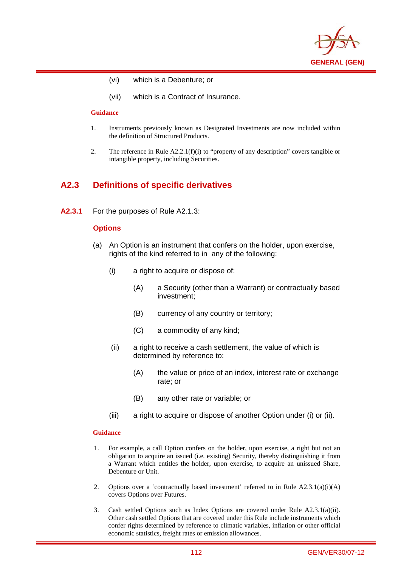

- (vi) which is a Debenture; or
- (vii) which is a Contract of Insurance.

i

- 1. Instruments previously known as Designated Investments are now included within the definition of Structured Products.
- 2. The reference in Rule A2.2.1(f)(i) to "property of any description" covers tangible or intangible property, including Securities.

## **A2.3 Definitions of specific derivatives**

**A2.3.1** For the purposes of Rule A2.1.3:

#### **Options**

- (a) An Option is an instrument that confers on the holder, upon exercise, rights of the kind referred to in any of the following:
	- (i) a right to acquire or dispose of:
		- (A) a Security (other than a Warrant) or contractually based investment;
		- (B) currency of any country or territory;
		- (C) a commodity of any kind;
	- (ii) a right to receive a cash settlement, the value of which is determined by reference to:
		- (A) the value or price of an index, interest rate or exchange rate; or
		- (B) any other rate or variable; or
	- (iii) a right to acquire or dispose of another Option under (i) or (ii).

#### **Guidance**

- 1. For example, a call Option confers on the holder, upon exercise, a right but not an obligation to acquire an issued (i.e. existing) Security, thereby distinguishing it from a Warrant which entitles the holder, upon exercise, to acquire an unissued Share, Debenture or Unit.
- 2. Options over a 'contractually based investment' referred to in Rule  $A2.3.1(a)(i)(A)$ covers Options over Futures.
- 3. Cash settled Options such as Index Options are covered under Rule A2.3.1(a)(ii). Other cash settled Options that are covered under this Rule include instruments which confer rights determined by reference to climatic variables, inflation or other official economic statistics, freight rates or emission allowances.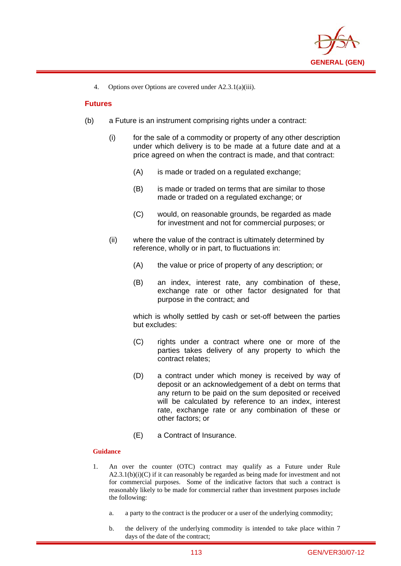

4. Options over Options are covered under A2.3.1(a)(iii).

## **Futures**

i

- (b) a Future is an instrument comprising rights under a contract:
	- (i) for the sale of a commodity or property of any other description under which delivery is to be made at a future date and at a price agreed on when the contract is made, and that contract:
		- (A) is made or traded on a regulated exchange;
		- (B) is made or traded on terms that are similar to those made or traded on a regulated exchange; or
		- (C) would, on reasonable grounds, be regarded as made for investment and not for commercial purposes; or
	- (ii) where the value of the contract is ultimately determined by reference, wholly or in part, to fluctuations in:
		- (A) the value or price of property of any description; or
		- (B) an index, interest rate, any combination of these, exchange rate or other factor designated for that purpose in the contract; and

which is wholly settled by cash or set-off between the parties but excludes:

- (C) rights under a contract where one or more of the parties takes delivery of any property to which the contract relates;
- (D) a contract under which money is received by way of deposit or an acknowledgement of a debt on terms that any return to be paid on the sum deposited or received will be calculated by reference to an index, interest rate, exchange rate or any combination of these or other factors; or
- (E) a Contract of Insurance.

### **Guidance**

- 1. An over the counter (OTC) contract may qualify as a Future under Rule  $A2.3.1(b)(i)(C)$  if it can reasonably be regarded as being made for investment and not for commercial purposes. Some of the indicative factors that such a contract is reasonably likely to be made for commercial rather than investment purposes include the following:
	- a. a party to the contract is the producer or a user of the underlying commodity;
	- b. the delivery of the underlying commodity is intended to take place within 7 days of the date of the contract;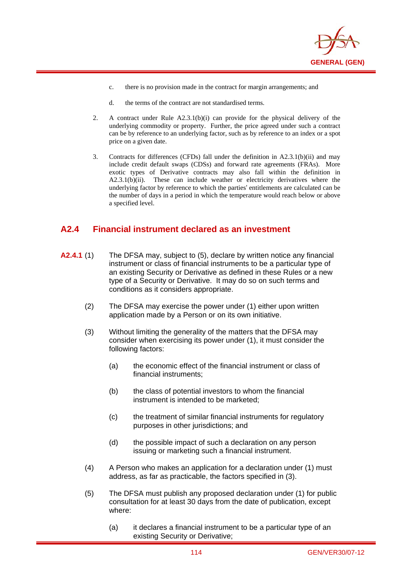

- c. there is no provision made in the contract for margin arrangements; and
- d. the terms of the contract are not standardised terms.

i

- 2. A contract under Rule A2.3.1(b)(i) can provide for the physical delivery of the underlying commodity or property. Further, the price agreed under such a contract can be by reference to an underlying factor, such as by reference to an index or a spot price on a given date.
- 3. Contracts for differences (CFDs) fall under the definition in A2.3.1(b)(ii) and may include credit default swaps (CDSs) and forward rate agreements (FRAs). More exotic types of Derivative contracts may also fall within the definition in A2.3.1(b)(ii). These can include weather or electricity derivatives where the underlying factor by reference to which the parties' entitlements are calculated can be the number of days in a period in which the temperature would reach below or above a specified level.

## **A2.4 Financial instrument declared as an investment**

- **A2.4.1** (1) The DFSA may, subject to (5), declare by written notice any financial instrument or class of financial instruments to be a particular type of an existing Security or Derivative as defined in these Rules or a new type of a Security or Derivative. It may do so on such terms and conditions as it considers appropriate.
	- (2) The DFSA may exercise the power under (1) either upon written application made by a Person or on its own initiative.
	- (3) Without limiting the generality of the matters that the DFSA may consider when exercising its power under (1), it must consider the following factors:
		- (a) the economic effect of the financial instrument or class of financial instruments;
		- (b) the class of potential investors to whom the financial instrument is intended to be marketed;
		- (c) the treatment of similar financial instruments for regulatory purposes in other jurisdictions; and
		- (d) the possible impact of such a declaration on any person issuing or marketing such a financial instrument.
	- (4) A Person who makes an application for a declaration under (1) must address, as far as practicable, the factors specified in (3).
	- (5) The DFSA must publish any proposed declaration under (1) for public consultation for at least 30 days from the date of publication, except where:
		- (a) it declares a financial instrument to be a particular type of an existing Security or Derivative;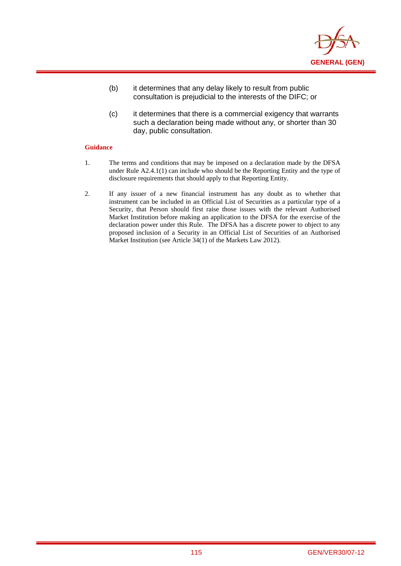

- (b) it determines that any delay likely to result from public consultation is prejudicial to the interests of the DIFC; or
- (c) it determines that there is a commercial exigency that warrants such a declaration being made without any, or shorter than 30 day, public consultation.

- 1. The terms and conditions that may be imposed on a declaration made by the DFSA under Rule A2.4.1(1) can include who should be the Reporting Entity and the type of disclosure requirements that should apply to that Reporting Entity.
- 2. If any issuer of a new financial instrument has any doubt as to whether that instrument can be included in an Official List of Securities as a particular type of a Security, that Person should first raise those issues with the relevant Authorised Market Institution before making an application to the DFSA for the exercise of the declaration power under this Rule. The DFSA has a discrete power to object to any proposed inclusion of a Security in an Official List of Securities of an Authorised Market Institution (see Article 34(1) of the Markets Law 2012).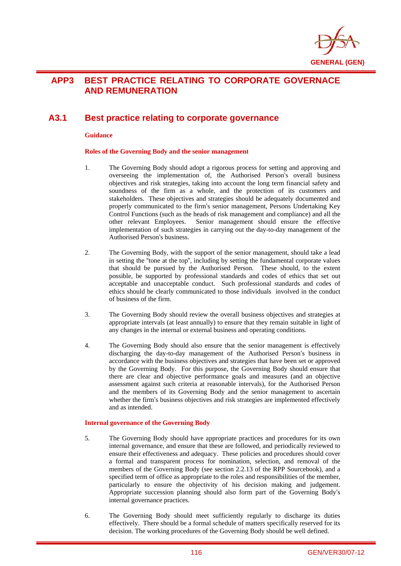

# **APP3 BEST PRACTICE RELATING TO CORPORATE GOVERNACE AND REMUNERATION**

## **A3.1 Best practice relating to corporate governance**

#### **Guidance**

i

#### **Roles of the Governing Body and the senior management**

- 1. The Governing Body should adopt a rigorous process for setting and approving and overseeing the implementation of, the Authorised Person's overall business objectives and risk strategies, taking into account the long term financial safety and soundness of the firm as a whole, and the protection of its customers and stakeholders. These objectives and strategies should be adequately documented and properly communicated to the firm's senior management, Persons Undertaking Key Control Functions (such as the heads of risk management and compliance) and all the other relevant Employees. Senior management should ensure the effective implementation of such strategies in carrying out the day-to-day management of the Authorised Person's business.
- 2. The Governing Body, with the support of the senior management, should take a lead in setting the "tone at the top", including by setting the fundamental corporate values that should be pursued by the Authorised Person. These should, to the extent possible, be supported by professional standards and codes of ethics that set out acceptable and unacceptable conduct. Such professional standards and codes of ethics should be clearly communicated to those individuals involved in the conduct of business of the firm.
- 3. The Governing Body should review the overall business objectives and strategies at appropriate intervals (at least annually) to ensure that they remain suitable in light of any changes in the internal or external business and operating conditions.
- 4. The Governing Body should also ensure that the senior management is effectively discharging the day-to-day management of the Authorised Person's business in accordance with the business objectives and strategies that have been set or approved by the Governing Body. For this purpose, the Governing Body should ensure that there are clear and objective performance goals and measures (and an objective assessment against such criteria at reasonable intervals), for the Authorised Person and the members of its Governing Body and the senior management to ascertain whether the firm's business objectives and risk strategies are implemented effectively and as intended.

#### **Internal governance of the Governing Body**

- 5. The Governing Body should have appropriate practices and procedures for its own internal governance, and ensure that these are followed, and periodically reviewed to ensure their effectiveness and adequacy. These policies and procedures should cover a formal and transparent process for nomination, selection, and removal of the members of the Governing Body (see section 2.2.13 of the RPP Sourcebook), and a specified term of office as appropriate to the roles and responsibilities of the member, particularly to ensure the objectivity of his decision making and judgement. Appropriate succession planning should also form part of the Governing Body's internal governance practices.
- 6. The Governing Body should meet sufficiently regularly to discharge its duties effectively. There should be a formal schedule of matters specifically reserved for its decision. The working procedures of the Governing Body should be well defined.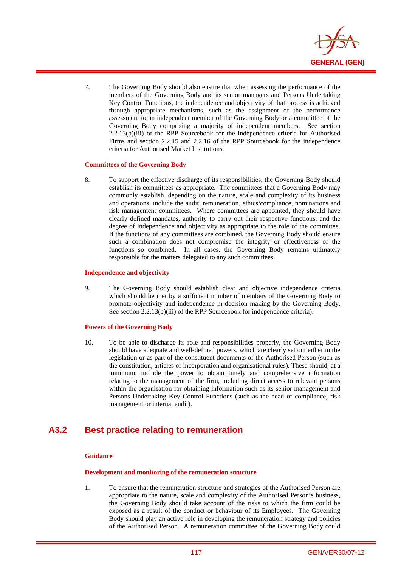

7. The Governing Body should also ensure that when assessing the performance of the members of the Governing Body and its senior managers and Persons Undertaking Key Control Functions, the independence and objectivity of that process is achieved through appropriate mechanisms, such as the assignment of the performance assessment to an independent member of the Governing Body or a committee of the Governing Body comprising a majority of independent members. See section 2.2.13(b)(iii) of the RPP Sourcebook for the independence criteria for Authorised Firms and section 2.2.15 and 2.2.16 of the RPP Sourcebook for the independence criteria for Authorised Market Institutions.

#### **Committees of the Governing Body**

i

8. To support the effective discharge of its responsibilities, the Governing Body should establish its committees as appropriate. The committees that a Governing Body may commonly establish, depending on the nature, scale and complexity of its business and operations, include the audit, remuneration, ethics/compliance, nominations and risk management committees. Where committees are appointed, they should have clearly defined mandates, authority to carry out their respective functions, and the degree of independence and objectivity as appropriate to the role of the committee. If the functions of any committees are combined, the Governing Body should ensure such a combination does not compromise the integrity or effectiveness of the functions so combined. In all cases, the Governing Body remains ultimately responsible for the matters delegated to any such committees.

#### **Independence and objectivity**

9. The Governing Body should establish clear and objective independence criteria which should be met by a sufficient number of members of the Governing Body to promote objectivity and independence in decision making by the Governing Body. See section 2.2.13(b)(iii) of the RPP Sourcebook for independence criteria).

#### **Powers of the Governing Body**

10. To be able to discharge its role and responsibilities properly, the Governing Body should have adequate and well-defined powers, which are clearly set out either in the legislation or as part of the constituent documents of the Authorised Person (such as the constitution, articles of incorporation and organisational rules). These should, at a minimum, include the power to obtain timely and comprehensive information relating to the management of the firm, including direct access to relevant persons within the organisation for obtaining information such as its senior management and Persons Undertaking Key Control Functions (such as the head of compliance, risk management or internal audit).

## **A3.2 Best practice relating to remuneration**

### **Guidance**

#### **Development and monitoring of the remuneration structure**

1. To ensure that the remuneration structure and strategies of the Authorised Person are appropriate to the nature, scale and complexity of the Authorised Person's business, the Governing Body should take account of the risks to which the firm could be exposed as a result of the conduct or behaviour of its Employees. The Governing Body should play an active role in developing the remuneration strategy and policies of the Authorised Person. A remuneration committee of the Governing Body could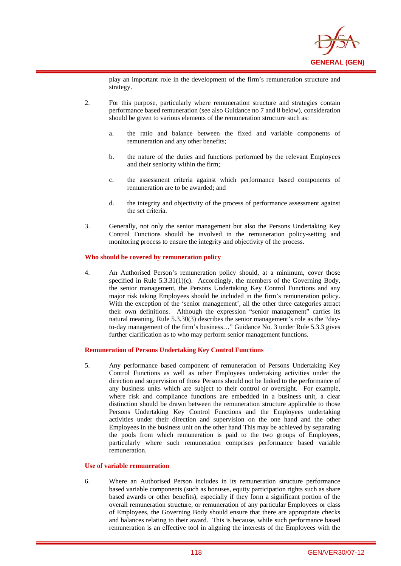

play an important role in the development of the firm's remuneration structure and strategy.

- 2. For this purpose, particularly where remuneration structure and strategies contain performance based remuneration (see also Guidance no 7 and 8 below), consideration should be given to various elements of the remuneration structure such as:
	- a. the ratio and balance between the fixed and variable components of remuneration and any other benefits;
	- b. the nature of the duties and functions performed by the relevant Employees and their seniority within the firm;
	- c. the assessment criteria against which performance based components of remuneration are to be awarded; and
	- d. the integrity and objectivity of the process of performance assessment against the set criteria.
- 3. Generally, not only the senior management but also the Persons Undertaking Key Control Functions should be involved in the remuneration policy-setting and monitoring process to ensure the integrity and objectivity of the process.

#### **Who should be covered by remuneration policy**

i

4. An Authorised Person's remuneration policy should, at a minimum, cover those specified in Rule 5.3.31(1)(c). Accordingly, the members of the Governing Body, the senior management, the Persons Undertaking Key Control Functions and any major risk taking Employees should be included in the firm's remuneration policy. With the exception of the 'senior management', all the other three categories attract their own definitions. Although the expression "senior management" carries its natural meaning, Rule 5.3.30(3) describes the senior management's role as the "dayto-day management of the firm's business…" Guidance No. 3 under Rule 5.3.3 gives further clarification as to who may perform senior management functions.

#### **Remuneration of Persons Undertaking Key Control Functions**

5. Any performance based component of remuneration of Persons Undertaking Key Control Functions as well as other Employees undertaking activities under the direction and supervision of those Persons should not be linked to the performance of any business units which are subject to their control or oversight. For example, where risk and compliance functions are embedded in a business unit, a clear distinction should be drawn between the remuneration structure applicable to those Persons Undertaking Key Control Functions and the Employees undertaking activities under their direction and supervision on the one hand and the other Employees in the business unit on the other hand This may be achieved by separating the pools from which remuneration is paid to the two groups of Employees, particularly where such remuneration comprises performance based variable remuneration.

#### **Use of variable remuneration**

6. Where an Authorised Person includes in its remuneration structure performance based variable components (such as bonuses, equity participation rights such as share based awards or other benefits), especially if they form a significant portion of the overall remuneration structure, or remuneration of any particular Employees or class of Employees, the Governing Body should ensure that there are appropriate checks and balances relating to their award. This is because, while such performance based remuneration is an effective tool in aligning the interests of the Employees with the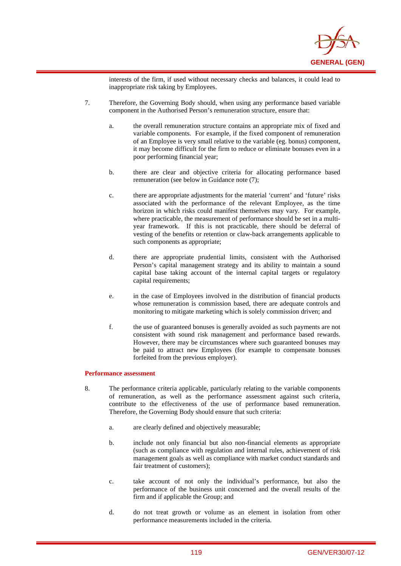

interests of the firm, if used without necessary checks and balances, it could lead to inappropriate risk taking by Employees.

- 7. Therefore, the Governing Body should, when using any performance based variable component in the Authorised Person's remuneration structure, ensure that:
	- a. the overall remuneration structure contains an appropriate mix of fixed and variable components. For example, if the fixed component of remuneration of an Employee is very small relative to the variable (eg. bonus) component, it may become difficult for the firm to reduce or eliminate bonuses even in a poor performing financial year;
	- b. there are clear and objective criteria for allocating performance based remuneration (see below in Guidance note (7);
	- c. there are appropriate adjustments for the material 'current' and 'future' risks associated with the performance of the relevant Employee, as the time horizon in which risks could manifest themselves may vary. For example, where practicable, the measurement of performance should be set in a multiyear framework. If this is not practicable, there should be deferral of vesting of the benefits or retention or claw-back arrangements applicable to such components as appropriate;
	- d. there are appropriate prudential limits, consistent with the Authorised Person's capital management strategy and its ability to maintain a sound capital base taking account of the internal capital targets or regulatory capital requirements;
	- e. in the case of Employees involved in the distribution of financial products whose remuneration is commission based, there are adequate controls and monitoring to mitigate marketing which is solely commission driven; and
	- f. the use of guaranteed bonuses is generally avoided as such payments are not consistent with sound risk management and performance based rewards. However, there may be circumstances where such guaranteed bonuses may be paid to attract new Employees (for example to compensate bonuses forfeited from the previous employer).

#### **Performance assessment**

- 8. The performance criteria applicable, particularly relating to the variable components of remuneration, as well as the performance assessment against such criteria, contribute to the effectiveness of the use of performance based remuneration. Therefore, the Governing Body should ensure that such criteria:
	- a. are clearly defined and objectively measurable;
	- b. include not only financial but also non-financial elements as appropriate (such as compliance with regulation and internal rules, achievement of risk management goals as well as compliance with market conduct standards and fair treatment of customers);
	- c. take account of not only the individual's performance, but also the performance of the business unit concerned and the overall results of the firm and if applicable the Group; and
	- d. do not treat growth or volume as an element in isolation from other performance measurements included in the criteria.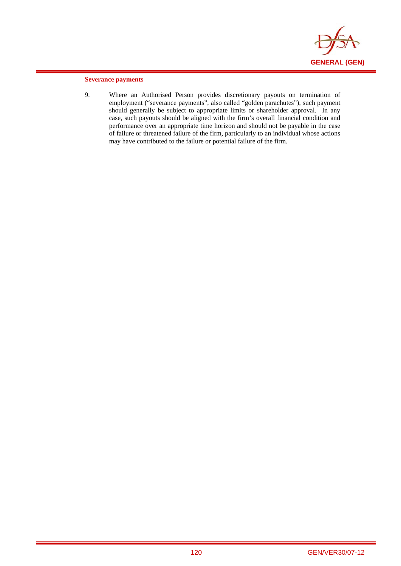

### **Severance payments**

i

9. Where an Authorised Person provides discretionary payouts on termination of employment ("severance payments", also called "golden parachutes"), such payment should generally be subject to appropriate limits or shareholder approval. In any case, such payouts should be aligned with the firm's overall financial condition and performance over an appropriate time horizon and should not be payable in the case of failure or threatened failure of the firm, particularly to an individual whose actions may have contributed to the failure or potential failure of the firm.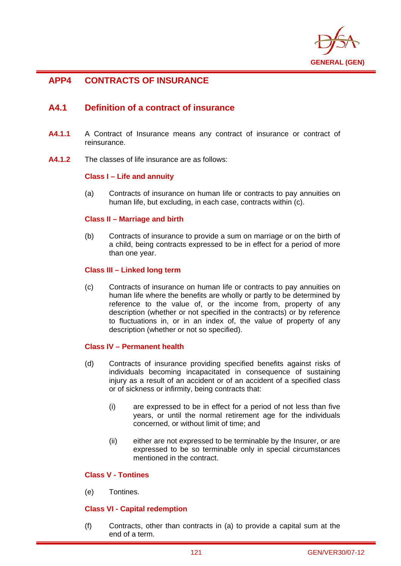

# **APP4 CONTRACTS OF INSURANCE**

i

## **A4.1 Definition of a contract of insurance**

- **A4.1.1** A Contract of Insurance means any contract of insurance or contract of reinsurance.
- **A4.1.2** The classes of life insurance are as follows:

## **Class I – Life and annuity**

(a) Contracts of insurance on human life or contracts to pay annuities on human life, but excluding, in each case, contracts within (c).

## **Class II – Marriage and birth**

(b) Contracts of insurance to provide a sum on marriage or on the birth of a child, being contracts expressed to be in effect for a period of more than one year.

## **Class III – Linked long term**

(c) Contracts of insurance on human life or contracts to pay annuities on human life where the benefits are wholly or partly to be determined by reference to the value of, or the income from, property of any description (whether or not specified in the contracts) or by reference to fluctuations in, or in an index of, the value of property of any description (whether or not so specified).

## **Class IV – Permanent health**

- (d) Contracts of insurance providing specified benefits against risks of individuals becoming incapacitated in consequence of sustaining injury as a result of an accident or of an accident of a specified class or of sickness or infirmity, being contracts that:
	- (i) are expressed to be in effect for a period of not less than five years, or until the normal retirement age for the individuals concerned, or without limit of time; and
	- (ii) either are not expressed to be terminable by the Insurer, or are expressed to be so terminable only in special circumstances mentioned in the contract.

## **Class V - Tontines**

(e) Tontines.

## **Class VI - Capital redemption**

(f) Contracts, other than contracts in (a) to provide a capital sum at the end of a term.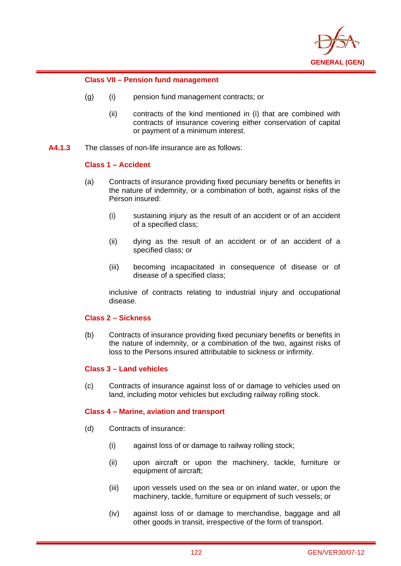

## **Class VII – Pension fund management**

- (g) (i) pension fund management contracts; or
	- (ii) contracts of the kind mentioned in (i) that are combined with contracts of insurance covering either conservation of capital or payment of a minimum interest.
- **A4.1.3** The classes of non-life insurance are as follows:

## **Class 1 – Accident**

i

- (a) Contracts of insurance providing fixed pecuniary benefits or benefits in the nature of indemnity, or a combination of both, against risks of the Person insured:
	- (i) sustaining injury as the result of an accident or of an accident of a specified class;
	- (ii) dying as the result of an accident or of an accident of a specified class; or
	- (iii) becoming incapacitated in consequence of disease or of disease of a specified class;

inclusive of contracts relating to industrial injury and occupational disease.

## **Class 2 – Sickness**

(b) Contracts of insurance providing fixed pecuniary benefits or benefits in the nature of indemnity, or a combination of the two, against risks of loss to the Persons insured attributable to sickness or infirmity.

## **Class 3 – Land vehicles**

(c) Contracts of insurance against loss of or damage to vehicles used on land, including motor vehicles but excluding railway rolling stock.

## **Class 4 – Marine, aviation and transport**

- (d) Contracts of insurance:
	- (i) against loss of or damage to railway rolling stock;
	- (ii) upon aircraft or upon the machinery, tackle, furniture or equipment of aircraft;
	- (iii) upon vessels used on the sea or on inland water, or upon the machinery, tackle, furniture or equipment of such vessels; or
	- (iv) against loss of or damage to merchandise, baggage and all other goods in transit, irrespective of the form of transport.